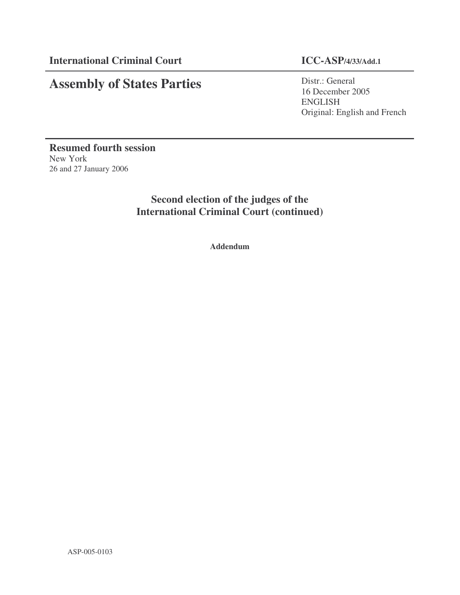# **Assembly of States Parties**

Distr.: General 16 December 2005 ENGLISH Original: English and French

**Resumed fourth session** New York 26 and 27 January 2006

> **Second election of the judges of the International Criminal Court (continued)**

> > **Addendum**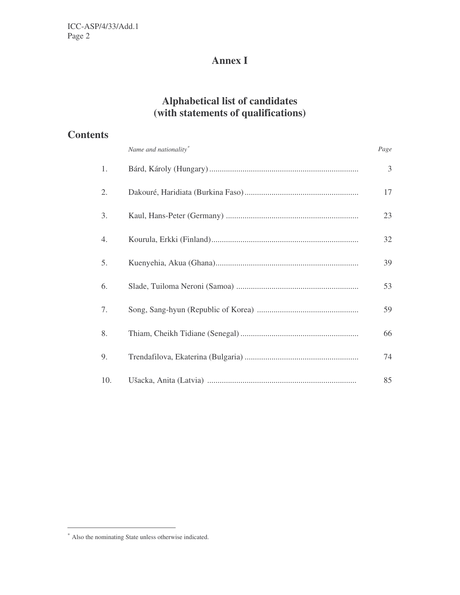# **Annex I**

## **Alphabetical list of candidates (with statements of qualifications)**

| <b>Contents</b> |                       |      |
|-----------------|-----------------------|------|
|                 | Name and nationality* | Page |
| 1.              |                       | 3    |
| 2.              |                       | 17   |
| 3.              |                       | 23   |
| 4.              |                       | 32   |
| 5.              |                       | 39   |
| 6.              |                       | 53   |
| 7.              |                       | 59   |
| 8.              |                       | 66   |
| 9.              |                       | 74   |
| 10.             |                       | 85   |

<sup>∗</sup> Also the nominating State unless otherwise indicated.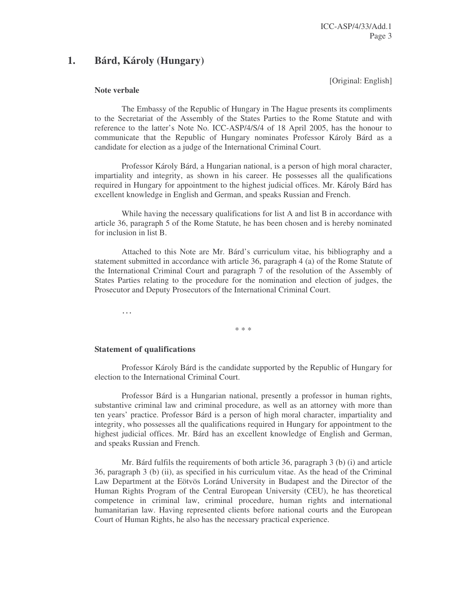## **1. Bárd, Károly (Hungary)**

[Original: English]

#### **Note verbale**

The Embassy of the Republic of Hungary in The Hague presents its compliments to the Secretariat of the Assembly of the States Parties to the Rome Statute and with reference to the latter's Note No. ICC-ASP/4/S/4 of 18 April 2005, has the honour to communicate that the Republic of Hungary nominates Professor Károly Bárd as a candidate for election as a judge of the International Criminal Court.

Professor Károly Bárd, a Hungarian national, is a person of high moral character, impartiality and integrity, as shown in his career. He possesses all the qualifications required in Hungary for appointment to the highest judicial offices. Mr. Károly Bárd has excellent knowledge in English and German, and speaks Russian and French.

While having the necessary qualifications for list A and list B in accordance with article 36, paragraph 5 of the Rome Statute, he has been chosen and is hereby nominated for inclusion in list B.

Attached to this Note are Mr. Bárd's curriculum vitae, his bibliography and a statement submitted in accordance with article 36, paragraph 4 (a) of the Rome Statute of the International Criminal Court and paragraph 7 of the resolution of the Assembly of States Parties relating to the procedure for the nomination and election of judges, the Prosecutor and Deputy Prosecutors of the International Criminal Court.

…

#### **Statement of qualifications**

Professor Károly Bárd is the candidate supported by the Republic of Hungary for election to the International Criminal Court.

\* \* \*

Professor Bárd is a Hungarian national, presently a professor in human rights, substantive criminal law and criminal procedure, as well as an attorney with more than ten years' practice. Professor Bárd is a person of high moral character, impartiality and integrity, who possesses all the qualifications required in Hungary for appointment to the highest judicial offices. Mr. Bárd has an excellent knowledge of English and German, and speaks Russian and French.

Mr. Bárd fulfils the requirements of both article 36, paragraph 3 (b) (i) and article 36, paragraph 3 (b) (ii), as specified in his curriculum vitae. As the head of the Criminal Law Department at the Eötvös Loránd University in Budapest and the Director of the Human Rights Program of the Central European University (CEU), he has theoretical competence in criminal law, criminal procedure, human rights and international humanitarian law. Having represented clients before national courts and the European Court of Human Rights, he also has the necessary practical experience.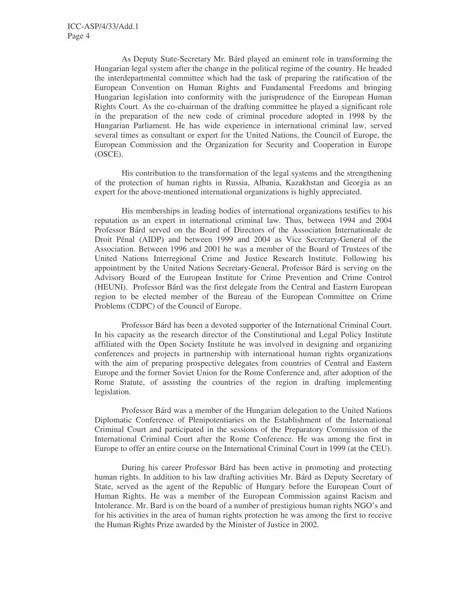As Deputy State-Secretary Mr. Bárd played an eminent role in transforming the Hungarian legal system after the change in the political regime of the country. He headed the interdepartmental committee which had the task of preparing the ratification of the European Convention on Human Rights and Fundamental Freedoms and bringing Hungarian legislation into conformity with the jurisprudence of the European Human Rights Court. As the co-chairman of the drafting committee he played a significant role in the preparation of the new code of criminal procedure adopted in 1998 by the Hungarian Parliament. He has wide experience in international criminal law, served several times as consultant or expert for the United Nations, the Council of Europe, the European Commission and the Organization for Security and Cooperation in Europe (OSCE).

His contribution to the transformation of the legal systems and the strengthening of the protection of human rights in Russia, Albania, Kazakhstan and Georgia as an expert for the above-mentioned international organizations is highly appreciated.

His memberships in leading bodies of international organizations testifies to his reputation as an expert in international criminal law. Thus, between 1994 and 2004 Professor Bárd served on the Board of Directors of the Association Internationale de Droit Pénal (AIDP) and between 1999 and 2004 as Vice Secretary-General of the Association. Between 1996 and 2001 he was a member of the Board of Trustees of the United Nations Interregional Crime and Justice Research Institute. Following his appointment by the United Nations Secretary-General, Professor Bárd is serving on the Advisory Board of the European Institute for Crime Prevention and Crime Control (HEUNI). Professor Bárd was the first delegate from the Central and Eastern European region to be elected member of the Bureau of the European Committee on Crime Problems (CDPC) of the Council of Europe.

Professor Bárd has been a devoted supporter of the International Criminal Court. In his capacity as the research director of the Constitutional and Legal Policy Institute affiliated with the Open Society Institute he was involved in designing and organizing conferences and projects in partnership with international human rights organizations with the aim of preparing prospective delegates from countries of Central and Eastern Europe and the former Soviet Union for the Rome Conference and, after adoption of the Rome Statute, of assisting the countries of the region in drafting implementing legislation.

Professor Bárd was a member of the Hungarian delegation to the United Nations Diplomatic Conference of Plenipotentiaries on the Establishment of the International Criminal Court and participated in the sessions of the Preparatory Commission of the International Criminal Court after the Rome Conference. He was among the first in Europe to offer an entire course on the International Criminal Court in 1999 (at the CEU).

During his career Professor Bárd has been active in promoting and protecting human rights. In addition to his law drafting activities Mr. Bárd as Deputy Secretary of State, served as the agent of the Republic of Hungary before the European Court of Human Rights. He was a member of the European Commission against Racism and Intolerance. Mr. Bard is on the board of a number of prestigious human rights NGO's and for his activities in the area of human rights protection he was among the first to receive the Human Rights Prize awarded by the Minister of Justice in 2002.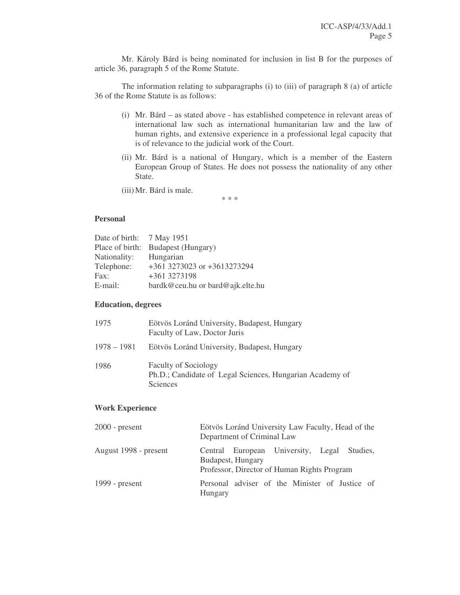Mr. Károly Bárd is being nominated for inclusion in list B for the purposes of article 36, paragraph 5 of the Rome Statute.

The information relating to subparagraphs (i) to (iii) of paragraph 8 (a) of article 36 of the Rome Statute is as follows:

- (i) Mr. Bárd as stated above has established competence in relevant areas of international law such as international humanitarian law and the law of human rights, and extensive experience in a professional legal capacity that is of relevance to the judicial work of the Court.
- (ii) Mr. Bárd is a national of Hungary, which is a member of the Eastern European Group of States. He does not possess the nationality of any other State.
- (iii)Mr. Bárd is male.

\* \* \*

#### **Personal**

| Date of birth: 7 May 1951 |                                  |
|---------------------------|----------------------------------|
| Place of birth:           | Budapest (Hungary)               |
| Nationality:              | Hungarian                        |
| Telephone:                | +361 3273023 or +3613273294      |
| Fax:                      | +361 3273198                     |
| E-mail:                   | bardk@ceu.hu or bard@ajk.elte.hu |

#### **Education, degrees**

| 1975        | Eötvös Loránd University, Budapest, Hungary<br>Faculty of Law, Doctor Juris                         |
|-------------|-----------------------------------------------------------------------------------------------------|
| 1978 – 1981 | Eötvös Loránd University, Budapest, Hungary                                                         |
| 1986        | <b>Faculty of Sociology</b><br>Ph.D.; Candidate of Legal Sciences, Hungarian Academy of<br>Sciences |

#### **Work Experience**

| $2000$ - present      | Eötvös Loránd University Law Faculty, Head of the<br>Department of Criminal Law |                                                                  |  |  |                                                |  |
|-----------------------|---------------------------------------------------------------------------------|------------------------------------------------------------------|--|--|------------------------------------------------|--|
| August 1998 - present |                                                                                 | Budapest, Hungary<br>Professor, Director of Human Rights Program |  |  | Central European University, Legal Studies,    |  |
| 1999 - $present$      | Hungary                                                                         |                                                                  |  |  | Personal adviser of the Minister of Justice of |  |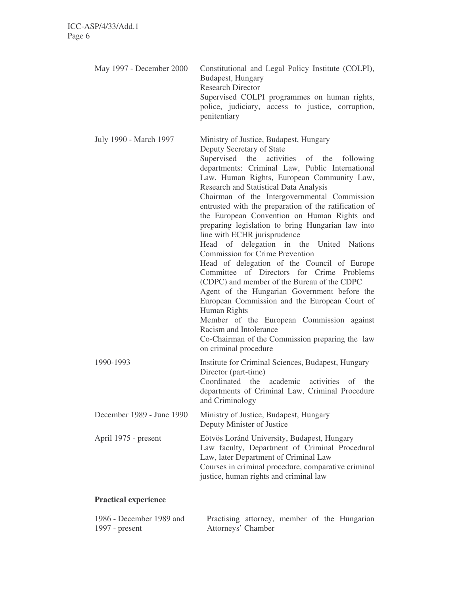| May 1997 - December 2000  | Constitutional and Legal Policy Institute (COLPI),<br>Budapest, Hungary<br><b>Research Director</b><br>Supervised COLPI programmes on human rights,<br>police, judiciary, access to justice, corruption,<br>penitentiary                                                                                                                                                                                                                                                                                                                                                                                                                                                                                                                                                                                                                                                                                                                                                                                          |
|---------------------------|-------------------------------------------------------------------------------------------------------------------------------------------------------------------------------------------------------------------------------------------------------------------------------------------------------------------------------------------------------------------------------------------------------------------------------------------------------------------------------------------------------------------------------------------------------------------------------------------------------------------------------------------------------------------------------------------------------------------------------------------------------------------------------------------------------------------------------------------------------------------------------------------------------------------------------------------------------------------------------------------------------------------|
| July 1990 - March 1997    | Ministry of Justice, Budapest, Hungary<br>Deputy Secretary of State<br>Supervised the activities of the<br>following<br>departments: Criminal Law, Public International<br>Law, Human Rights, European Community Law,<br>Research and Statistical Data Analysis<br>Chairman of the Intergovernmental Commission<br>entrusted with the preparation of the ratification of<br>the European Convention on Human Rights and<br>preparing legislation to bring Hungarian law into<br>line with ECHR jurisprudence<br>Head of delegation in the United Nations<br><b>Commission for Crime Prevention</b><br>Head of delegation of the Council of Europe<br>Committee of Directors for Crime Problems<br>(CDPC) and member of the Bureau of the CDPC<br>Agent of the Hungarian Government before the<br>European Commission and the European Court of<br>Human Rights<br>Member of the European Commission against<br>Racism and Intolerance<br>Co-Chairman of the Commission preparing the law<br>on criminal procedure |
| 1990-1993                 | Institute for Criminal Sciences, Budapest, Hungary<br>Director (part-time)<br>Coordinated the<br>academic<br>activities<br>of the<br>departments of Criminal Law, Criminal Procedure<br>and Criminology                                                                                                                                                                                                                                                                                                                                                                                                                                                                                                                                                                                                                                                                                                                                                                                                           |
| December 1989 - June 1990 | Ministry of Justice, Budapest, Hungary<br>Deputy Minister of Justice                                                                                                                                                                                                                                                                                                                                                                                                                                                                                                                                                                                                                                                                                                                                                                                                                                                                                                                                              |
| April 1975 - present      | Eötvös Loránd University, Budapest, Hungary<br>Law faculty, Department of Criminal Procedural<br>Law, later Department of Criminal Law<br>Courses in criminal procedure, comparative criminal<br>justice, human rights and criminal law                                                                                                                                                                                                                                                                                                                                                                                                                                                                                                                                                                                                                                                                                                                                                                           |

## **Practical experience**

| 1986 - December 1989 and |                    |  |  | Practising attorney, member of the Hungarian |
|--------------------------|--------------------|--|--|----------------------------------------------|
| 1997 - $present$         | Attorneys' Chamber |  |  |                                              |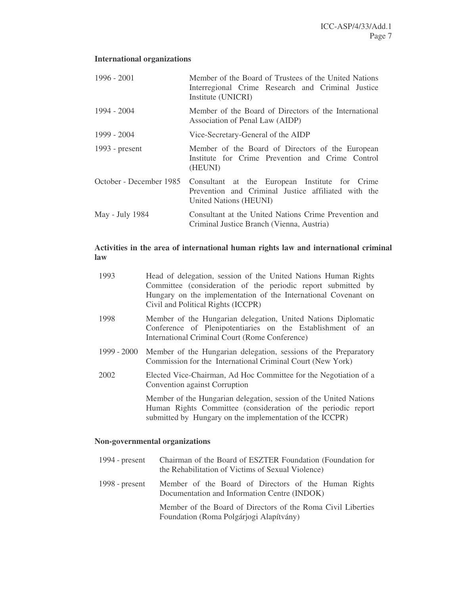## **International organizations**

| $1996 - 2001$           | Member of the Board of Trustees of the United Nations<br>Interregional Crime Research and Criminal Justice<br>Institute (UNICRI) |
|-------------------------|----------------------------------------------------------------------------------------------------------------------------------|
| 1994 - 2004             | Member of the Board of Directors of the International<br>Association of Penal Law (AIDP)                                         |
| 1999 - 2004             | Vice-Secretary-General of the AIDP                                                                                               |
| 1993 - present          | Member of the Board of Directors of the European<br>Institute for Crime Prevention and Crime Control<br>(HEUNI)                  |
| October - December 1985 | Consultant at the European Institute for Crime<br>Prevention and Criminal Justice affiliated with the<br>United Nations (HEUNI)  |
| May - July 1984         | Consultant at the United Nations Crime Prevention and<br>Criminal Justice Branch (Vienna, Austria)                               |

## **Activities in the area of international human rights law and international criminal law**

| 1993          | Head of delegation, session of the United Nations Human Rights<br>Committee (consideration of the periodic report submitted by<br>Hungary on the implementation of the International Covenant on<br>Civil and Political Rights (ICCPR) |
|---------------|----------------------------------------------------------------------------------------------------------------------------------------------------------------------------------------------------------------------------------------|
| 1998          | Member of the Hungarian delegation, United Nations Diplomatic<br>Conference of Plenipotentiaries on the Establishment of an<br>International Criminal Court (Rome Conference)                                                          |
| $1999 - 2000$ | Member of the Hungarian delegation, sessions of the Preparatory<br>Commission for the International Criminal Court (New York)                                                                                                          |
| 2002          | Elected Vice-Chairman, Ad Hoc Committee for the Negotiation of a<br>Convention against Corruption                                                                                                                                      |
|               | Member of the Hungarian delegation, session of the United Nations<br>Human Rights Committee (consideration of the periodic report<br>submitted by Hungary on the implementation of the ICCPR)                                          |

## **Non-governmental organizations**

| 1994 - $present$ | Chairman of the Board of ESZTER Foundation (Foundation for<br>the Rehabilitation of Victims of Sexual Violence) |
|------------------|-----------------------------------------------------------------------------------------------------------------|
| 1998 - $present$ | Member of the Board of Directors of the Human Rights<br>Documentation and Information Centre (INDOK)            |
|                  | Member of the Board of Directors of the Roma Civil Liberties<br>Foundation (Roma Polgárjogi Alapítvány)         |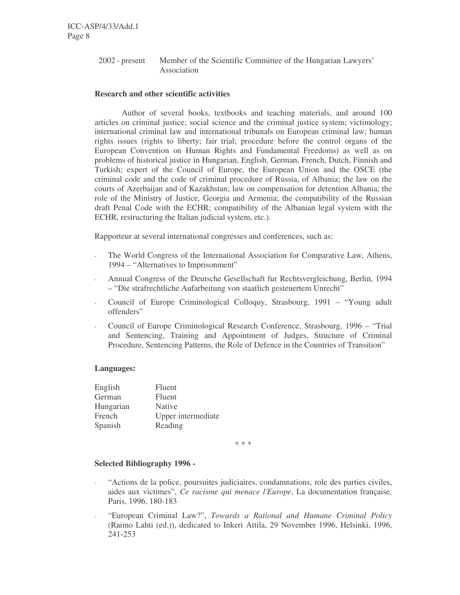2002 - present Member of the Scientific Committee of the Hungarian Lawyers' Association

#### **Research and other scientific activities**

Author of several books, textbooks and teaching materials, and around 100 articles on criminal justice; social science and the criminal justice system; victimology; international criminal law and international tribunals on European criminal law; human rights issues (rights to liberty; fair trial; procedure before the control organs of the European Convention on Human Rights and Fundamental Freedoms) as well as on problems of historical justice in Hungarian, English, German, French, Dutch, Finnish and Turkish; expert of the Council of Europe, the European Union and the OSCE (the criminal code and the code of criminal procedure of Russia, of Albania; the law on the courts of Azerbaijan and of Kazakhstan; law on compensation for detention Albania; the role of the Ministry of Justice, Georgia and Armenia; the compatibility of the Russian draft Penal Code with the ECHR; compatibility of the Albanian legal system with the ECHR, restructuring the Italian judicial system, etc.).

Rapporteur at several international congresses and conferences, such as:

- The World Congress of the International Association for Comparative Law, Athens, 1994 – "Alternatives to Imprisonment"
- Annual Congress of the Deutsche Gesellschaft fur Rechtsvergleichung, Berlin, 1994 – "Die strafrechtliche Aufarbeitung von staatlich gesteuertem Unrecht"
- Council of Europe Criminological Colloquy, Strasbourg, 1991 "Young adult offenders"
- Council of Europe Criminological Research Conference, Strasbourg, 1996 "Trial and Sentencing, Training and Appointment of Judges, Structure of Criminal Procedure, Sentencing Patterns, the Role of Defence in the Countries of Transition"

#### **Languages:**

| English   | Fluent             |
|-----------|--------------------|
| German    | Fluent             |
| Hungarian | Native             |
| French    | Upper intermediate |
| Spanish   | Reading            |

\* \* \*

#### **Selected Bibliography 1996 -**

- "Actions de la police, poursuites judiciaires, condamnations, role des parties civiles, aides aux victimes", *Ce racisme qui menace l'Europe*, La documentation française*,* Paris, 1996, 180-183
- "European Criminal Law?", *Towards a Rational and Humane Criminal Policy* (Raimo Lahti (ed.)), dedicated to Inkeri Attila, 29 November 1996, Helsinki, 1996, 241-253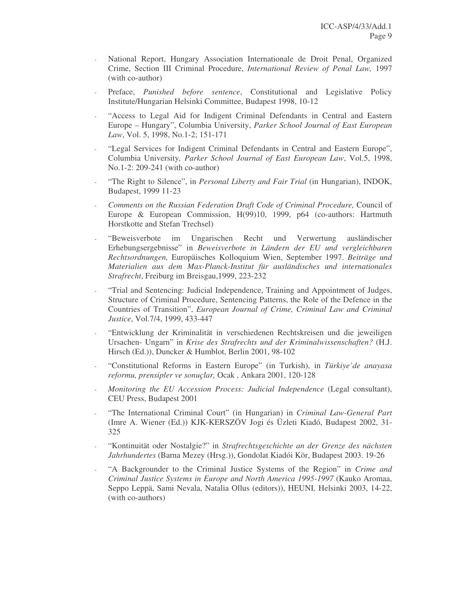- National Report, Hungary Association Internationale de Droit Penal, Organized Crime, Section III Criminal Procedure, *International Review of Penal Law,* 1997 (with co-author)
- Preface, *Punished before sentence*, Constitutional and Legislative Policy Institute/Hungarian Helsinki Committee, Budapest 1998, 10-12
- "Access to Legal Aid for Indigent Criminal Defendants in Central and Eastern Europe – Hungary", Columbia University, *Parker School Journal of East European Law*, Vol. 5, 1998, No.1-2; 151-171
- "Legal Services for Indigent Criminal Defendants in Central and Eastern Europe", Columbia University*, Parker School Journal of East European Law*, Vol.5, 1998, No.1-2: 209-241 (with co-author)
- "The Right to Silence", in *Personal Liberty and Fair Trial* (in Hungarian), INDOK, Budapest, 1999 11-23
- *Comments on the Russian Federation Draft Code of Criminal Procedure,* Council of Europe & European Commission, H(99)10, 1999, p64 (co-authors: Hartmuth Horstkotte and Stefan Trechsel)
- "Beweisverbote im Ungarischen Recht und Verwertung ausländischer Erhebungsergebnisse" in *Beweisverbote in Ländern der EU und vergleichbaren Rechtsordnungen,* Europäisches Kolloquium Wien, September 1997. *Beiträge und Materialien aus dem Max-Planck-Institut für ausländisches und internationales Strafrecht*, Freiburg im Breisgau,1999, 223-232
- "Trial and Sentencing: Judicial Independence, Training and Appointment of Judges, Structure of Criminal Procedure, Sentencing Patterns, the Role of the Defence in the Countries of Transition", *European Journal of Crime, Criminal Law and Criminal Justice*, Vol.7/4, 1999, 433-447
- "Entwicklung der Kriminalität in verschiedenen Rechtskreisen und die jeweiligen Ursachen- Ungarn" in *Krise des Strafrechts und der Kriminalwissenschaften?* (H.J. Hirsch (Ed.)), Duncker & Humblot, Berlin 2001, 98-102
- "Constitutional Reforms in Eastern Europe" (in Turkish), in *Türkiye'de anayasa reformu, prensipler ve sonuçlar,* Ocak , Ankara 2001, 120-128
- *Monitoring the EU Accession Process: Judicial Independence* (Legal consultant), CEU Press, Budapest 2001
- "The International Criminal Court" (in Hungarian) in *Criminal Law-General Part* (Imre A. Wiener (Ed.)) KJK-KERSZÖV Jogi és Üzleti Kiadó, Budapest 2002, 31- 325
- "Kontinuität oder Nostalgie?" in *Strafrechtsgeschichte an der Grenze des nächsten Jahrhundertes* (Barna Mezey (Hrsg.)), Gondolat Kiadói Kör, Budapest 2003. 19-26
- "A Backgrounder to the Criminal Justice Systems of the Region" in *Crime and Criminal Justice Systems in Europe and North America 1995-1997* (Kauko Aromaa, Seppo Leppä, Sami Nevala, Natalia Ollus (editors)), HEUNI*,* Helsinki 2003, 14-22, (with co-authors)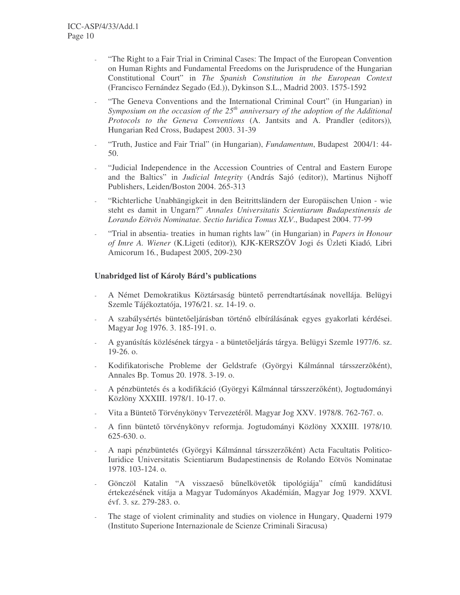- "The Right to a Fair Trial in Criminal Cases: The Impact of the European Convention on Human Rights and Fundamental Freedoms on the Jurisprudence of the Hungarian Constitutional Court" in *The Spanish Constitution in the European Context* (Francisco Fernández Segado (Ed.)), Dykinson S.L., Madrid 2003. 1575-1592
- "The Geneva Conventions and the International Criminal Court" (in Hungarian) in *Symposium on the occasion of the 25 th anniversary of the adoption of the Additional Protocols to the Geneva Conventions* (A. Jantsits and A. Prandler (editors))*,* Hungarian Red Cross, Budapest 2003. 31-39
- "Truth, Justice and Fair Trial" (in Hungarian), *Fundamentum*, Budapest 2004/1: 44- 50.
- "Judicial Independence in the Accession Countries of Central and Eastern Europe and the Baltics" in *Judicial Integrity* (András Sajó (editor)), Martinus Nijhoff Publishers, Leiden/Boston 2004. 265-313
- "Richterliche Unabhängigkeit in den Beitrittsländern der Europäischen Union wie steht es damit in Ungarn?" *Annales Universitatis Scientiarum Budapestinensis de Lorando Eötvös Nominatae. Sectio Iuridica Tomus XLV*., Budapest 2004. 77-99
- "Trial in absentia- treaties in human rights law" (in Hungarian) in *Papers in Honour of Imre A. Wiener* (K.Ligeti (editor))*,* KJK-KERSZÖV Jogi és Üzleti Kiadó*,* Libri Amicorum 16*.*, Budapest 2005, 209-230

#### **Unabridged list of Károly Bárd's publications**

- A Német Demokratikus Köztársaság büntető perrendtartásának novellája. Belügyi Szemle Tájékoztatója, 1976/21. sz. 14-19. o.
- A szabálysértés büntetőeljárásban történő elbírálásának egyes gyakorlati kérdései. Magyar Jog 1976. 3. 185-191. o.
- A gyanúsítás közlésének tárgya a büntetőeljárás tárgya. Belügyi Szemle 1977/6. sz. 19-26. o.
- Kodifikatorische Probleme der Geldstrafe (Györgyi Kálmánnal társszerzõként), Annales Bp. Tomus 20. 1978. 3-19. o.
- A pénzbüntetés és a kodifikáció (Györgyi Kálmánnal társszerzőként), Jogtudományi Közlöny XXXIII. 1978/1. 10-17. o.
- Vita a Büntető Törvénykönyv Tervezetéről. Magyar Jog XXV. 1978/8. 762-767. o.
- A finn büntető törvénykönyv reformja. Jogtudományi Közlöny XXXIII. 1978/10. 625-630. o.
- A napi pénzbüntetés (Györgyi Kálmánnal társszerzőként) Acta Facultatis Politico-Iuridice Universitatis Scientiarum Budapestinensis de Rolando Eötvös Nominatae 1978. 103-124. o.
- Gönczöl Katalin "A visszaeső bűnelkövetők tipológiája" című kandidátusi értekezésének vitája a Magyar Tudományos Akadémián, Magyar Jog 1979. XXVI. évf. 3. sz. 279-283. o.
- The stage of violent criminality and studies on violence in Hungary, Quaderni 1979 (Instituto Superione Internazionale de Scienze Criminali Siracusa)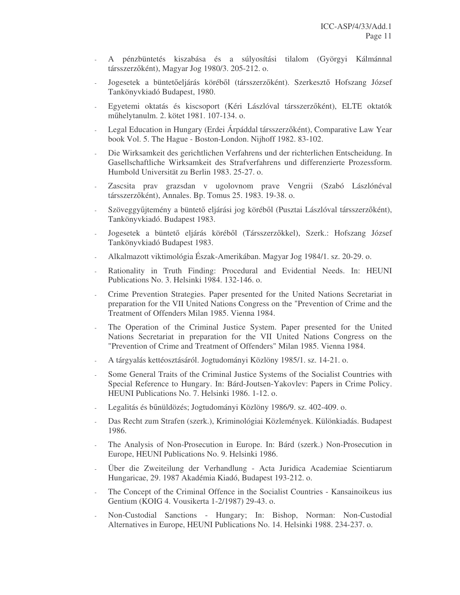- A pénzbüntetés kiszabása és a súlyosítási tilalom (Györgyi Kálmánnal társszerzőként), Magyar Jog 1980/3. 205-212. o.
- Jogesetek a büntetőeljárás köréből (társszerzőként). Szerkesztő Hofszang József Tankönyvkiadó Budapest, 1980.
- Egyetemi oktatás és kiscsoport (Kéri Lászlóval társszerzőként), ELTE oktatók műhelytanulm. 2. kötet 1981. 107-134. o.
- Legal Education in Hungary (Erdei Árpáddal társszerzőként), Comparative Law Year book Vol. 5. The Hague - Boston-London. Nijhoff 1982. 83-102.
- Die Wirksamkeit des gerichtlichen Verfahrens und der richterlichen Entscheidung. In Gasellschaftliche Wirksamkeit des Strafverfahrens und differenzierte Prozessform. Humbold Universität zu Berlin 1983. 25-27. o.
- Zascsita prav grazsdan v ugolovnom prave Vengrii (Szabó Lászlónéval társszerzőként), Annales. Bp. Tomus 25. 1983. 19-38. o.
- Szöveggyűjtemény a büntető eljárási jog köréből (Pusztai Lászlóval társszerzőként), Tankönyvkiadó. Budapest 1983.
- Jogesetek a büntető eljárás köréből (Társszerzőkkel), Szerk.: Hofszang József Tankönyvkiadó Budapest 1983.
- Alkalmazott viktimológia Észak-Amerikában. Magyar Jog 1984/1. sz. 20-29. o.
- Rationality in Truth Finding: Procedural and Evidential Needs. In: HEUNI Publications No. 3. Helsinki 1984. 132-146. o.
- Crime Prevention Strategies. Paper presented for the United Nations Secretariat in preparation for the VII United Nations Congress on the "Prevention of Crime and the Treatment of Offenders Milan 1985. Vienna 1984.
- The Operation of the Criminal Justice System. Paper presented for the United Nations Secretariat in preparation for the VII United Nations Congress on the "Prevention of Crime and Treatment of Offenders" Milan 1985. Vienna 1984.
- A tárgyalás kettéosztásáról. Jogtudományi Közlöny 1985/1. sz. 14-21. o.
- Some General Traits of the Criminal Justice Systems of the Socialist Countries with Special Reference to Hungary. In: Bárd-Joutsen-Yakovlev: Papers in Crime Policy. HEUNI Publications No. 7. Helsinki 1986. 1-12. o.
- Legalitás és bűnüldözés; Jogtudományi Közlöny 1986/9. sz. 402-409. o.
- Das Recht zum Strafen (szerk.), Kriminológiai Közlemények. Különkiadás. Budapest 1986.
- The Analysis of Non-Prosecution in Europe. In: Bárd (szerk.) Non-Prosecution in Europe, HEUNI Publications No. 9. Helsinki 1986.
- Über die Zweiteilung der Verhandlung Acta Juridica Academiae Scientiarum Hungaricae, 29. 1987 Akadémia Kiadó, Budapest 193-212. o.
- The Concept of the Criminal Offence in the Socialist Countries Kansainoikeus ius Gentium (KOIG 4. Vousikerta 1-2/1987) 29-43. o.
- Non-Custodial Sanctions Hungary; In: Bishop, Norman: Non-Custodial Alternatives in Europe, HEUNI Publications No. 14. Helsinki 1988. 234-237. o.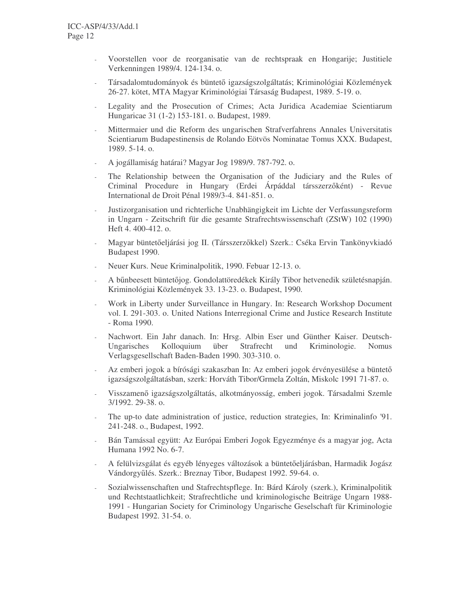- Voorstellen voor de reorganisatie van de rechtspraak en Hongarije; Justitiele Verkenningen 1989/4. 124-134. o.
- Társadalomtudományok és büntető igazságszolgáltatás; Kriminológiai Közlemények 26-27. kötet, MTA Magyar Kriminológiai Társaság Budapest, 1989. 5-19. o.
- Legality and the Prosecution of Crimes; Acta Juridica Academiae Scientiarum Hungaricae 31 (1-2) 153-181. o. Budapest, 1989.
- Mittermaier und die Reform des ungarischen Strafverfahrens Annales Universitatis Scientiarum Budapestinensis de Rolando Eötvös Nominatae Tomus XXX. Budapest, 1989. 5-14. o.
- A jogállamiság határai? Magyar Jog 1989/9. 787-792. o.
- The Relationship between the Organisation of the Judiciary and the Rules of Criminal Procedure in Hungary (Erdei Árpáddal társszerzőként) - Revue International de Droit Pénal 1989/3-4. 841-851. o.
- Justizorganisation und richterliche Unabhängigkeit im Lichte der Verfassungsreform in Ungarn - Zeitschrift für die gesamte Strafrechtswissenschaft (ZStW) 102 (1990) Heft 4. 400-412. o.
- Magyar büntetőeljárási jog II. (Társszerzőkkel) Szerk.: Cséka Ervin Tankönyvkiadó Budapest 1990.
- Neuer Kurs. Neue Kriminalpolitik, 1990. Febuar 12-13. o.
- A bűnbeesett büntetőjog. Gondolattöredékek Király Tibor hetvenedik születésnapján. Kriminológiai Közlemények 33. 13-23. o. Budapest, 1990.
- Work in Liberty under Surveillance in Hungary. In: Research Workshop Document vol. I. 291-303. o. United Nations Interregional Crime and Justice Research Institute - Roma 1990.
- Nachwort. Ein Jahr danach. In: Hrsg. Albin Eser und Günther Kaiser. Deutsch-Ungarisches Kolloquium über Strafrecht und Kriminologie. Nomus Verlagsgesellschaft Baden-Baden 1990. 303-310. o.
- Az emberi jogok a bírósági szakaszban In: Az emberi jogok érvényesülése a büntet igazságszolgáltatásban, szerk: Horváth Tibor/Grmela Zoltán, Miskolc 1991 71-87. o.
- Visszamenő igazságszolgáltatás, alkotmányosság, emberi jogok. Társadalmi Szemle 3/1992. 29-38. o.
- The up-to date administration of justice, reduction strategies, In: Kriminalinfo '91. 241-248. o., Budapest, 1992.
- Bán Tamással együtt: Az Európai Emberi Jogok Egyezménye és a magyar jog, Acta Humana 1992 No. 6-7.
- A felülvizsgálat és egyéb lényeges változások a büntetőeljárásban, Harmadik Jogász Vándorgyűlés. Szerk.: Breznay Tibor, Budapest 1992. 59-64. o.
- Sozialwissenschaften und Stafrechtspflege. In: Bárd Károly (szerk.), Kriminalpolitik und Rechtstaatlichkeit; Strafrechtliche und kriminologische Beiträge Ungarn 1988- 1991 - Hungarian Society for Criminology Ungarische Geselschaft für Kriminologie Budapest 1992. 31-54. o.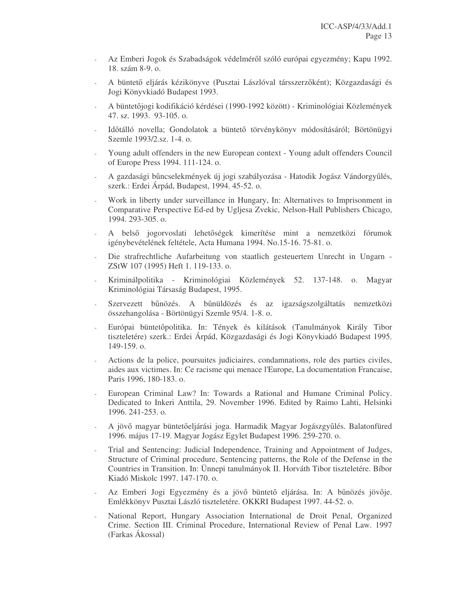- Az Emberi Jogok és Szabadságok védelméről szóló európai egyezmény; Kapu 1992. 18. szám 8-9. o.
- A büntető eljárás kézikönyve (Pusztai Lászlóval társszerzőként); Közgazdasági és Jogi Könyvkiadó Budapest 1993.
- A büntetőjogi kodifikáció kérdései (1990-1992 között) Kriminológiai Közlemények 47. sz. 1993. 93-105. o.
- Időtálló novella; Gondolatok a büntető törvénykönyv módosításáról; Börtönügyi Szemle 1993/2.sz. 1-4. o.
- Young adult offenders in the new European context Young adult offenders Council of Europe Press 1994. 111-124. o.
- A gazdasági bűncselekmények új jogi szabályozása Hatodik Jogász Vándorgyűlés, szerk.: Erdei Árpád, Budapest, 1994. 45-52. o.
- Work in liberty under surveillance in Hungary, In: Alternatives to Imprisonment in Comparative Perspective Ed-ed by Ugljesa Zvekic, Nelson-Hall Publishers Chicago, 1994. 293-305. o.
- A belső jogorvoslati lehetőségek kimerítése mint a nemzetközi fórumok igénybevételének feltétele, Acta Humana 1994. No.15-16. 75-81. o.
- Die strafrechtliche Aufarbeitung von staatlich gesteuertem Unrecht in Ungarn ZStW 107 (1995) Heft 1. 119-133. o.
- Kriminálpolitika Kriminológiai Közlemények 52. 137-148. o. Magyar Kriminológiai Társaság Budapest, 1995.
- Szervezett bűnözés. A bűnüldözés és az igazságszolgáltatás nemzetközi összehangolása - Börtönügyi Szemle 95/4. 1-8. o.
- Európai büntetőpolitika. In: Tények és kilátások (Tanulmányok Király Tibor tiszteletére) szerk.: Erdei Árpád, Közgazdasági és Jogi Könyvkiadó Budapest 1995. 149-159. o.
- Actions de la police, poursuites judiciaires, condamnations, role des parties civiles, aides aux victimes. In: Ce racisme qui menace l'Europe, La documentation Francaise, Paris 1996, 180-183. o.
- European Criminal Law? In: Towards a Rational and Humane Criminal Policy. Dedicated to Inkeri Anttila, 29. November 1996. Edited by Raimo Lahti, Helsinki 1996. 241-253. o.
- A jövő magyar büntetőeljárási joga. Harmadik Magyar Jogászgyűlés. Balatonfüred 1996. május 17-19. Magyar Jogász Egylet Budapest 1996. 259-270. o.
- Trial and Sentencing: Judicial Independence, Training and Appointment of Judges, Structure of Criminal procedure, Sentencing patterns, the Role of the Defense in the Countries in Transition. In: Ünnepi tanulmányok II. Horváth Tibor tiszteletére. Bíbor Kiadó Miskolc 1997. 147-170. o.
- Az Emberi Jogi Egyezmény és a jövő büntető eljárása. In: A bűnözés jövője. Emlékkönyv Pusztai László tiszteletére. OKKRI Budapest 1997. 44-52. o.
- National Report, Hungary Association International de Droit Penal, Organized Crime. Section III. Criminal Procedure, International Review of Penal Law. 1997 (Farkas Ákossal)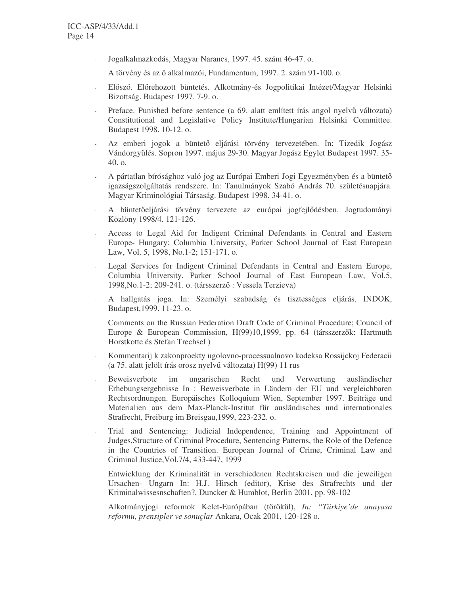- Jogalkalmazkodás, Magyar Narancs, 1997. 45. szám 46-47. o.
- A törvény és az ő alkalmazói, Fundamentum, 1997. 2. szám 91-100. o.
- Előszó. Előrehozott büntetés. Alkotmány-és Jogpolitikai Intézet/Magyar Helsinki Bizottság. Budapest 1997. 7-9. o.
- Preface. Punished before sentence (a 69. alatt említett írás angol nyelvű változata) Constitutional and Legislative Policy Institute/Hungarian Helsinki Committee. Budapest 1998. 10-12. o.
- Az emberi jogok a büntető eljárási törvény tervezetében. In: Tizedik Jogász Vándorgyűlés. Sopron 1997. május 29-30. Magyar Jogász Egylet Budapest 1997. 35-40. o.
- A pártatlan bírósághoz való jog az Európai Emberi Jogi Egyezményben és a büntet igazságszolgáltatás rendszere. In: Tanulmányok Szabó András 70. születésnapjára. Magyar Kriminológiai Társaság. Budapest 1998. 34-41. o.
- A büntetőeljárási törvény tervezete az európai jogfejlődésben. Jogtudományi Közlöny 1998/4. 121-126.
- Access to Legal Aid for Indigent Criminal Defendants in Central and Eastern Europe- Hungary; Columbia University, Parker School Journal of East European Law, Vol. 5, 1998, No.1-2; 151-171. o.
- Legal Services for Indigent Criminal Defendants in Central and Eastern Europe, Columbia University, Parker School Journal of East European Law, Vol.5, 1998, No. 1-2; 209-241. o. (társszerző: Vessela Terzieva)
- A hallgatás joga. In: Személyi szabadság és tisztességes eljárás, INDOK, Budapest,1999. 11-23. o.
- Comments on the Russian Federation Draft Code of Criminal Procedure; Council of Europe & European Commission, H(99)10,1999, pp. 64 (társszerzők: Hartmuth Horstkotte és Stefan Trechsel )
- Kommentarij k zakonproekty ugolovno-processualnovo kodeksa Rossijckoj Federacii (a 75. alatt jelölt írás orosz nyelvű változata) H(99) 11 rus
- Beweisverbote im ungarischen Recht und Verwertung ausländischer Erhebungsergebnisse In : Beweisverbote in Ländern der EU und vergleichbaren Rechtsordnungen. Europäisches Kolloquium Wien, September 1997. Beiträge und Materialien aus dem Max-Planck-Institut für ausländisches und internationales Strafrecht, Freiburg im Breisgau,1999, 223-232. o.
- Trial and Sentencing: Judicial Independence, Training and Appointment of Judges,Structure of Criminal Procedure, Sentencing Patterns, the Role of the Defence in the Countries of Transition. European Journal of Crime, Criminal Law and Criminal Justice,Vol.7/4, 433-447, 1999
- Entwicklung der Kriminalität in verschiedenen Rechtskreisen und die jeweiligen Ursachen- Ungarn In: H.J. Hirsch (editor), Krise des Strafrechts und der Kriminalwissesnschaften?, Duncker & Humblot, Berlin 2001, pp. 98-102
- Alkotmányjogi reformok Kelet-Európában (törökül), *In: "Türkiye'de anayasa reformu, prensipler ve sonuçlar* Ankara, Ocak 2001, 120-128 o.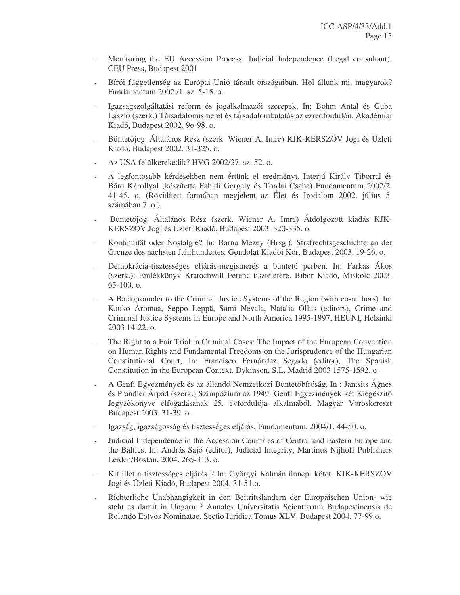- Monitoring the EU Accession Process: Judicial Independence (Legal consultant), CEU Press, Budapest 2001
- Bírói függetlenség az Európai Unió társult országaiban. Hol állunk mi, magyarok? Fundamentum 2002./1. sz. 5-15. o.
- Igazságszolgáltatási reform és jogalkalmazói szerepek. In: Böhm Antal és Guba László (szerk.) Társadalomismeret és társadalomkutatás az ezredfordulón. Akadémiai Kiadó, Budapest 2002. 9o-98. o.
- Büntetjog. Általános Rész (szerk. Wiener A. Imre) KJK-KERSZÖV Jogi és Üzleti Kiadó, Budapest 2002. 31-325. o.
- Az USA felülkerekedik? HVG 2002/37. sz. 52. o.
- A legfontosabb kérdésekben nem értünk el eredményt. Interjú Király Tiborral és Bárd Károllyal (készítette Fahidi Gergely és Tordai Csaba) Fundamentum 2002/2. 41-45. o. (Rövidített formában megjelent az Élet és Irodalom 2002. július 5. számában 7. o.)
- Büntetőjog. Általános Rész (szerk. Wiener A. Imre) Átdolgozott kiadás KJK-KERSZÖV Jogi és Üzleti Kiadó, Budapest 2003. 320-335. o.
- Kontinuität oder Nostalgie? In: Barna Mezey (Hrsg.): Strafrechtsgeschichte an der Grenze des nächsten Jahrhundertes. Gondolat Kiadói Kör, Budapest 2003. 19-26. o.
- Demokrácia-tisztességes eljárás-megismerés a büntető perben. In: Farkas Ákos (szerk.): Emlékkönyv Kratochwill Ferenc tiszteletére. Bibor Kiadó, Miskolc 2003. 65-100. o.
- A Backgrounder to the Criminal Justice Systems of the Region (with co-authors). In: Kauko Aromaa, Seppo Leppä, Sami Nevala, Natalia Ollus (editors), Crime and Criminal Justice Systems in Europe and North America 1995-1997, HEUNI, Helsinki 2003 14-22. o.
- The Right to a Fair Trial in Criminal Cases: The Impact of the European Convention on Human Rights and Fundamental Freedoms on the Jurisprudence of the Hungarian Constitutional Court, In: Francisco Fernández Segado (editor), The Spanish Constitution in the European Context. Dykinson, S.L. Madrid 2003 1575-1592. o.
- A Genfi Egyezmények és az állandó Nemzetközi Büntetőbíróság. In : Jantsits Ágnes és Prandler Árpád (szerk.) Szimpózium az 1949. Genfi Egyezmények két Kiegészít Jegyzkönyve elfogadásának 25. évfordulója alkalmából. Magyar Vöröskereszt Budapest 2003. 31-39. o.
- Igazság, igazságosság és tisztességes eljárás, Fundamentum, 2004/1. 44-50. o.
- Judicial Independence in the Accession Countries of Central and Eastern Europe and the Baltics. In: András Sajó (editor), Judicial Integrity, Martinus Nijhoff Publishers Leiden/Boston, 2004. 265-313. o.
- Kit illet a tisztességes eljárás ? In: Györgyi Kálmán ünnepi kötet. KJK-KERSZÖV Jogi és Üzleti Kiadó, Budapest 2004. 31-51.o.
- Richterliche Unabhängigkeit in den Beitrittsländern der Europäischen Union- wie steht es damit in Ungarn ? Annales Universitatis Scientiarum Budapestinensis de Rolando Eötvös Nominatae. Sectio Iuridica Tomus XLV. Budapest 2004. 77-99.o.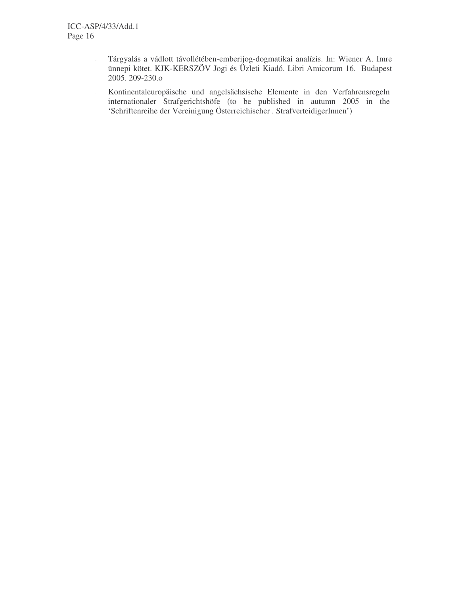- Tárgyalás a vádlott távollétében-emberijog-dogmatikai analízis. In: Wiener A. Imre ünnepi kötet. KJK-KERSZÖV Jogi és Üzleti Kiadó. Libri Amicorum 16. Budapest 2005. 209-230.o
- Kontinentaleuropäische und angelsächsische Elemente in den Verfahrensregeln internationaler Strafgerichtshöfe (to be published in autumn 2005 in the 'Schriftenreihe der Vereinigung Österreichischer . StrafverteidigerInnen')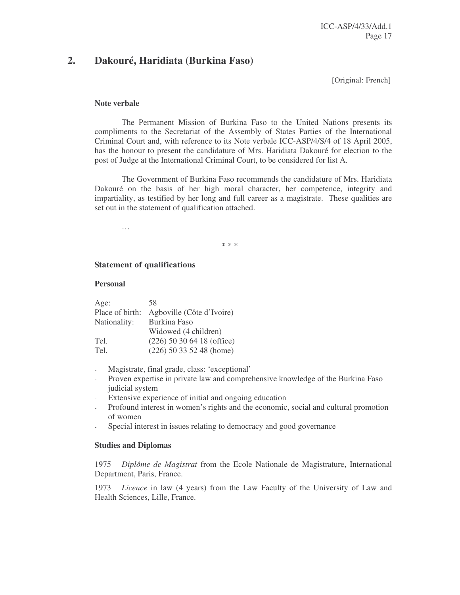## **2. Dakouré, Haridiata (Burkina Faso)**

[Original: French]

#### **Note verbale**

The Permanent Mission of Burkina Faso to the United Nations presents its compliments to the Secretariat of the Assembly of States Parties of the International Criminal Court and, with reference to its Note verbale ICC-ASP/4/S/4 of 18 April 2005, has the honour to present the candidature of Mrs. Haridiata Dakouré for election to the post of Judge at the International Criminal Court, to be considered for list A.

The Government of Burkina Faso recommends the candidature of Mrs. Haridiata Dakouré on the basis of her high moral character, her competence, integrity and impartiality, as testified by her long and full career as a magistrate. These qualities are set out in the statement of qualification attached.

…

\* \* \*

#### **Statement of qualifications**

#### **Personal**

| Age:            | 58                           |
|-----------------|------------------------------|
| Place of birth: | Agboville (Côte d'Ivoire)    |
| Nationality:    | <b>Burkina Faso</b>          |
|                 | Widowed (4 children)         |
| Tel.            | $(226)$ 50 30 64 18 (office) |
| Tel.            | $(226)$ 50 33 52 48 (home)   |

- Magistrate, final grade, class: 'exceptional'
- Proven expertise in private law and comprehensive knowledge of the Burkina Faso judicial system
- Extensive experience of initial and ongoing education
- Profound interest in women's rights and the economic, social and cultural promotion of women
- Special interest in issues relating to democracy and good governance

#### **Studies and Diplomas**

1975 *Diplôme de Magistrat* from the Ecole Nationale de Magistrature, International Department, Paris, France.

1973 *Licence* in law (4 years) from the Law Faculty of the University of Law and Health Sciences, Lille, France.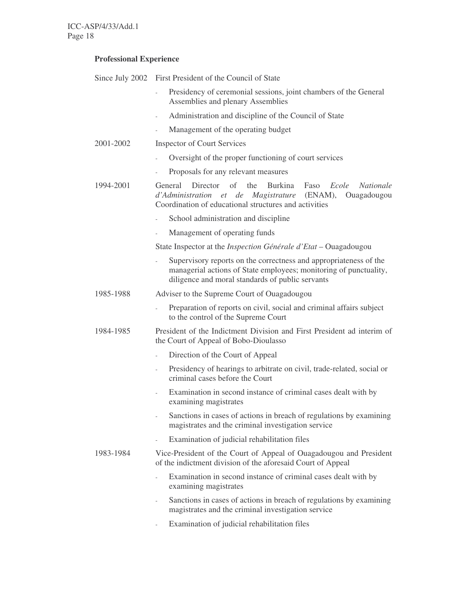## **Professional Experience**

|           | Since July 2002 First President of the Council of State                                                                                                                                                  |
|-----------|----------------------------------------------------------------------------------------------------------------------------------------------------------------------------------------------------------|
|           | Presidency of ceremonial sessions, joint chambers of the General<br>L.<br>Assemblies and plenary Assemblies                                                                                              |
|           | Administration and discipline of the Council of State<br>$\overline{\phantom{a}}$                                                                                                                        |
|           | Management of the operating budget<br>÷,                                                                                                                                                                 |
| 2001-2002 | <b>Inspector of Court Services</b>                                                                                                                                                                       |
|           | Oversight of the proper functioning of court services                                                                                                                                                    |
|           | Proposals for any relevant measures<br>$\overline{\phantom{a}}$                                                                                                                                          |
| 1994-2001 | Director of<br>the<br><b>Burkina</b><br>Ecole<br>General<br>Faso<br><i>Nationale</i><br>d'Administration et de Magistrature (ENAM), Ouagadougou<br>Coordination of educational structures and activities |
|           | School administration and discipline<br>÷,                                                                                                                                                               |
|           | Management of operating funds                                                                                                                                                                            |
|           | State Inspector at the <i>Inspection Générale d'Etat</i> – Ouagadougou                                                                                                                                   |
|           | Supervisory reports on the correctness and appropriateness of the<br>÷,<br>managerial actions of State employees; monitoring of punctuality,<br>diligence and moral standards of public servants         |
| 1985-1988 | Adviser to the Supreme Court of Ouagadougou                                                                                                                                                              |
|           | Preparation of reports on civil, social and criminal affairs subject<br>to the control of the Supreme Court                                                                                              |
| 1984-1985 | President of the Indictment Division and First President ad interim of<br>the Court of Appeal of Bobo-Dioulasso                                                                                          |
|           | Direction of the Court of Appeal<br>$\frac{1}{2}$                                                                                                                                                        |
|           | Presidency of hearings to arbitrate on civil, trade-related, social or<br>$\overline{\phantom{a}}$<br>criminal cases before the Court                                                                    |
|           | Examination in second instance of criminal cases dealt with by<br>examining magistrates                                                                                                                  |
|           | Sanctions in cases of actions in breach of regulations by examining<br>magistrates and the criminal investigation service                                                                                |
|           | Examination of judicial rehabilitation files                                                                                                                                                             |
| 1983-1984 | Vice-President of the Court of Appeal of Ouagadougou and President<br>of the indictment division of the aforesaid Court of Appeal                                                                        |
|           | Examination in second instance of criminal cases dealt with by<br>examining magistrates                                                                                                                  |
|           | Sanctions in cases of actions in breach of regulations by examining<br>$\overline{\phantom{a}}$<br>magistrates and the criminal investigation service                                                    |
|           | Examination of judicial rehabilitation files                                                                                                                                                             |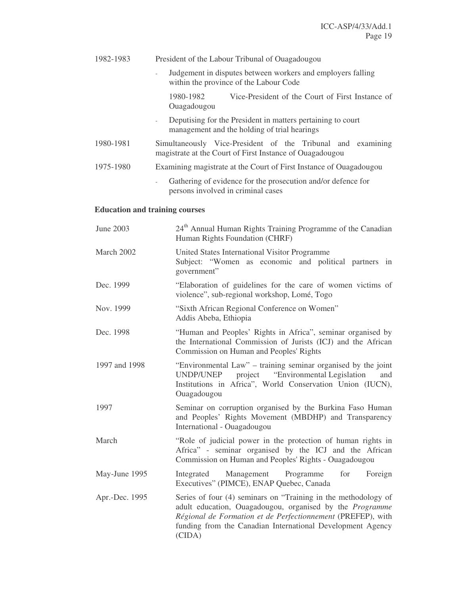| 1982-1983 | President of the Labour Tribunal of Ouagadougou                                                                                         |
|-----------|-----------------------------------------------------------------------------------------------------------------------------------------|
|           | Judgement in disputes between workers and employers falling<br>$\overline{\phantom{a}}$<br>within the province of the Labour Code       |
|           | 1980-1982<br>Vice-President of the Court of First Instance of<br>Ouagadougou                                                            |
|           | Deputising for the President in matters pertaining to court<br>$\overline{\phantom{a}}$<br>management and the holding of trial hearings |
| 1980-1981 | Simultaneously Vice-President of the Tribunal and examining<br>magistrate at the Court of First Instance of Ouagadougou                 |
| 1975-1980 | Examining magistrate at the Court of First Instance of Ouagadougou                                                                      |
|           | Gathering of evidence for the prosecution and/or defence for<br>$\sim$<br>persons involved in criminal cases                            |

## **Education and training courses**

| June 2003      | 24 <sup>th</sup> Annual Human Rights Training Programme of the Canadian<br>Human Rights Foundation (CHRF)                                                                                                                                                                |  |
|----------------|--------------------------------------------------------------------------------------------------------------------------------------------------------------------------------------------------------------------------------------------------------------------------|--|
| March 2002     | United States International Visitor Programme<br>Subject: "Women as economic and political partners in<br>government"                                                                                                                                                    |  |
| Dec. 1999      | "Elaboration of guidelines for the care of women victims of<br>violence", sub-regional workshop, Lomé, Togo                                                                                                                                                              |  |
| Nov. 1999      | "Sixth African Regional Conference on Women"<br>Addis Abeba, Ethiopia                                                                                                                                                                                                    |  |
| Dec. 1998      | "Human and Peoples' Rights in Africa", seminar organised by<br>the International Commission of Jurists (ICJ) and the African<br>Commission on Human and Peoples' Rights                                                                                                  |  |
| 1997 and 1998  | "Environmental Law" – training seminar organised by the joint<br>project "Environmental Legislation"<br>UNDP/UNEP<br>and<br>Institutions in Africa", World Conservation Union (IUCN),<br>Ouagadougou                                                                     |  |
| 1997           | Seminar on corruption organised by the Burkina Faso Human<br>and Peoples' Rights Movement (MBDHP) and Transparency<br>International - Ouagadougou                                                                                                                        |  |
| March          | "Role of judicial power in the protection of human rights in<br>Africa" - seminar organised by the ICJ and the African<br>Commission on Human and Peoples' Rights - Ouagadougou                                                                                          |  |
| May-June 1995  | for<br>Foreign<br>Integrated Management Programme<br>Executives" (PIMCE), ENAP Quebec, Canada                                                                                                                                                                            |  |
| Apr.-Dec. 1995 | Series of four (4) seminars on "Training in the methodology of<br>adult education, Ouagadougou, organised by the <i>Programme</i><br>Régional de Formation et de Perfectionnement (PREFEP), with<br>funding from the Canadian International Development Agency<br>(CIDA) |  |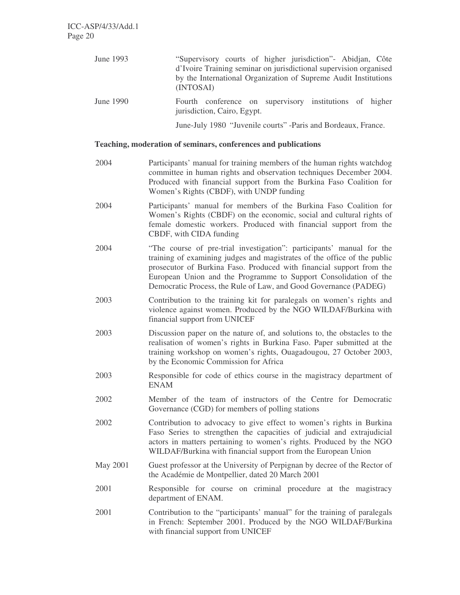June 1993 "Supervisory courts of higher jurisdiction"- Abidjan, Côte d'Ivoire Training seminar on jurisdictional supervision organised by the International Organization of Supreme Audit Institutions (INTOSAI) June 1990 Fourth conference on supervisory institutions of higher jurisdiction, Cairo, Egypt.

June-July 1980 "Juvenile courts" -Paris and Bordeaux, France.

#### **Teaching, moderation of seminars, conferences and publications**

- 2004 Participants' manual for training members of the human rights watchdog committee in human rights and observation techniques December 2004. Produced with financial support from the Burkina Faso Coalition for Women's Rights (CBDF), with UNDP funding
- 2004 Participants' manual for members of the Burkina Faso Coalition for Women's Rights (CBDF) on the economic, social and cultural rights of female domestic workers. Produced with financial support from the CBDF, with CIDA funding
- 2004 "The course of pre-trial investigation": participants' manual for the training of examining judges and magistrates of the office of the public prosecutor of Burkina Faso. Produced with financial support from the European Union and the Programme to Support Consolidation of the Democratic Process, the Rule of Law, and Good Governance (PADEG)
- 2003 Contribution to the training kit for paralegals on women's rights and violence against women. Produced by the NGO WILDAF/Burkina with financial support from UNICEF
- 2003 Discussion paper on the nature of, and solutions to, the obstacles to the realisation of women's rights in Burkina Faso. Paper submitted at the training workshop on women's rights, Ouagadougou, 27 October 2003, by the Economic Commission for Africa
- 2003 Responsible for code of ethics course in the magistracy department of ENAM
- 2002 Member of the team of instructors of the Centre for Democratic Governance (CGD) for members of polling stations
- 2002 Contribution to advocacy to give effect to women's rights in Burkina Faso Series to strengthen the capacities of judicial and extrajudicial actors in matters pertaining to women's rights. Produced by the NGO WILDAF/Burkina with financial support from the European Union
- May 2001 Guest professor at the University of Perpignan by decree of the Rector of the Académie de Montpellier, dated 20 March 2001
- 2001 Responsible for course on criminal procedure at the magistracy department of ENAM.
- 2001 Contribution to the "participants' manual" for the training of paralegals in French: September 2001. Produced by the NGO WILDAF/Burkina with financial support from UNICEF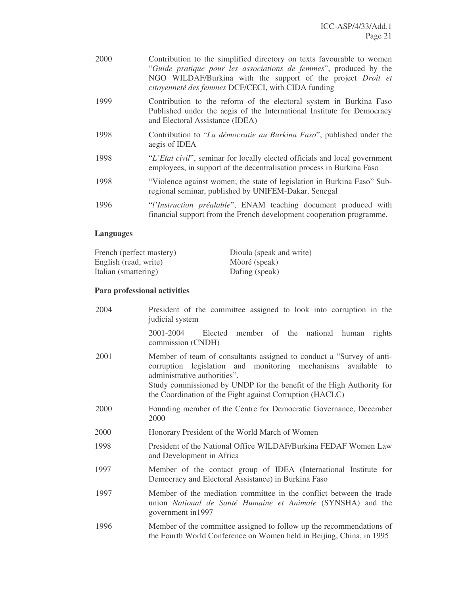| 2000 | Contribution to the simplified directory on texts favourable to women<br>"Guide pratique pour les associations de femmes", produced by the<br>NGO WILDAF/Burkina with the support of the project <i>Droit et</i><br>citoyenneté des femmes DCF/CECI, with CIDA funding |
|------|------------------------------------------------------------------------------------------------------------------------------------------------------------------------------------------------------------------------------------------------------------------------|
| 1999 | Contribution to the reform of the electoral system in Burkina Faso<br>Published under the aegis of the International Institute for Democracy<br>and Electoral Assistance (IDEA)                                                                                        |
| 1998 | Contribution to "La démocratie au Burkina Faso", published under the<br>aegis of IDEA                                                                                                                                                                                  |
| 1998 | "L'Etat civil", seminar for locally elected officials and local government<br>employees, in support of the decentralisation process in Burkina Faso                                                                                                                    |
| 1998 | "Violence against women; the state of legislation in Burkina Faso" Sub-<br>regional seminar, published by UNIFEM-Dakar, Senegal                                                                                                                                        |
| 1996 | "l'Instruction préalable", ENAM teaching document produced with<br>financial support from the French development cooperation programme.                                                                                                                                |

## **Languages**

| French (perfect mastery) | Dioula (speak and write) |
|--------------------------|--------------------------|
| English (read, write)    | Mòoré (speak)            |
| Italian (smattering)     | Dafing (speak)           |

## **Para professional activities**

| 2004 | President of the committee assigned to look into corruption in the<br>judicial system                                                                                                                                                                                                                     |
|------|-----------------------------------------------------------------------------------------------------------------------------------------------------------------------------------------------------------------------------------------------------------------------------------------------------------|
|      | Elected member of the national human rights<br>2001-2004<br>commission (CNDH)                                                                                                                                                                                                                             |
| 2001 | Member of team of consultants assigned to conduct a "Survey of anti-<br>corruption legislation and monitoring mechanisms available to<br>administrative authorities".<br>Study commissioned by UNDP for the benefit of the High Authority for<br>the Coordination of the Fight against Corruption (HACLC) |
| 2000 | Founding member of the Centre for Democratic Governance, December<br>2000                                                                                                                                                                                                                                 |
| 2000 | Honorary President of the World March of Women                                                                                                                                                                                                                                                            |
| 1998 | President of the National Office WILDAF/Burkina FEDAF Women Law<br>and Development in Africa                                                                                                                                                                                                              |
| 1997 | Member of the contact group of IDEA (International Institute for<br>Democracy and Electoral Assistance) in Burkina Faso                                                                                                                                                                                   |
| 1997 | Member of the mediation committee in the conflict between the trade<br>union National de Santé Humaine et Animale (SYNSHA) and the<br>government in 1997                                                                                                                                                  |
| 1996 | Member of the committee assigned to follow up the recommendations of<br>the Fourth World Conference on Women held in Beijing, China, in 1995                                                                                                                                                              |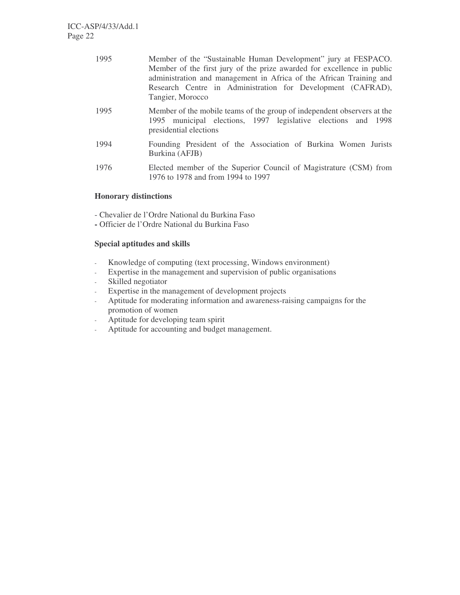| 1995 | Member of the "Sustainable Human Development" jury at FESPACO.<br>Member of the first jury of the prize awarded for excellence in public<br>administration and management in Africa of the African Training and<br>Research Centre in Administration for Development (CAFRAD),<br>Tangier, Morocco |
|------|----------------------------------------------------------------------------------------------------------------------------------------------------------------------------------------------------------------------------------------------------------------------------------------------------|
| 1995 | Member of the mobile teams of the group of independent observers at the<br>1995 municipal elections, 1997 legislative elections and 1998<br>presidential elections                                                                                                                                 |
| 1994 | Founding President of the Association of Burkina Women Jurists<br>Burkina (AFJB)                                                                                                                                                                                                                   |
| 1976 | Elected member of the Superior Council of Magistrature (CSM) from<br>1976 to 1978 and from 1994 to 1997                                                                                                                                                                                            |

### **Honorary distinctions**

- Chevalier de l'Ordre National du Burkina Faso
- **-** Officier de l'Ordre National du Burkina Faso

### **Special aptitudes and skills**

- Knowledge of computing (text processing, Windows environment)
- Expertise in the management and supervision of public organisations
- Skilled negotiator
- Expertise in the management of development projects
- Aptitude for moderating information and awareness-raising campaigns for the promotion of women
- Aptitude for developing team spirit
- Aptitude for accounting and budget management.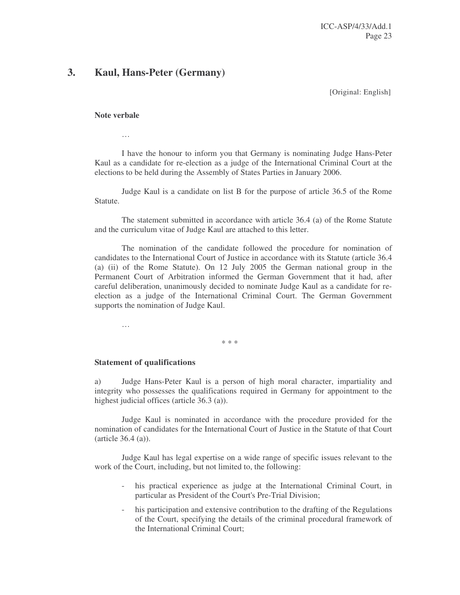## **3. Kaul, Hans-Peter (Germany)**

[Original: English]

#### **Note verbale**

…

I have the honour to inform you that Germany is nominating Judge Hans-Peter Kaul as a candidate for re-election as a judge of the International Criminal Court at the elections to be held during the Assembly of States Parties in January 2006.

Judge Kaul is a candidate on list B for the purpose of article 36.5 of the Rome Statute.

The statement submitted in accordance with article 36.4 (a) of the Rome Statute and the curriculum vitae of Judge Kaul are attached to this letter.

The nomination of the candidate followed the procedure for nomination of candidates to the International Court of Justice in accordance with its Statute (article 36.4 (a) (ii) of the Rome Statute). On 12 July 2005 the German national group in the Permanent Court of Arbitration informed the German Government that it had, after careful deliberation, unanimously decided to nominate Judge Kaul as a candidate for reelection as a judge of the International Criminal Court. The German Government supports the nomination of Judge Kaul.

…

\* \* \*

#### **Statement of qualifications**

a) Judge Hans-Peter Kaul is a person of high moral character, impartiality and integrity who possesses the qualifications required in Germany for appointment to the highest judicial offices (article 36.3 (a)).

Judge Kaul is nominated in accordance with the procedure provided for the nomination of candidates for the International Court of Justice in the Statute of that Court (article 36.4 (a)).

Judge Kaul has legal expertise on a wide range of specific issues relevant to the work of the Court, including, but not limited to, the following:

- his practical experience as judge at the International Criminal Court, in particular as President of the Court's Pre-Trial Division;
- his participation and extensive contribution to the drafting of the Regulations of the Court, specifying the details of the criminal procedural framework of the International Criminal Court;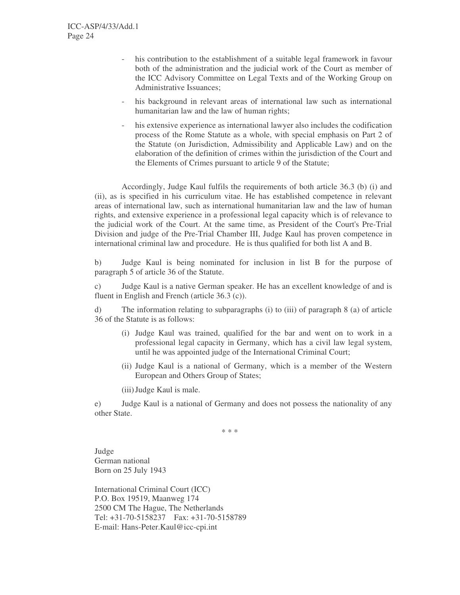- his contribution to the establishment of a suitable legal framework in favour both of the administration and the judicial work of the Court as member of the ICC Advisory Committee on Legal Texts and of the Working Group on Administrative Issuances;
- his background in relevant areas of international law such as international humanitarian law and the law of human rights;
- his extensive experience as international lawyer also includes the codification process of the Rome Statute as a whole, with special emphasis on Part 2 of the Statute (on Jurisdiction, Admissibility and Applicable Law) and on the elaboration of the definition of crimes within the jurisdiction of the Court and the Elements of Crimes pursuant to article 9 of the Statute;

Accordingly, Judge Kaul fulfils the requirements of both article 36.3 (b) (i) and (ii), as is specified in his curriculum vitae. He has established competence in relevant areas of international law, such as international humanitarian law and the law of human rights, and extensive experience in a professional legal capacity which is of relevance to the judicial work of the Court. At the same time, as President of the Court's Pre-Trial Division and judge of the Pre-Trial Chamber III, Judge Kaul has proven competence in international criminal law and procedure. He is thus qualified for both list A and B.

b) Judge Kaul is being nominated for inclusion in list B for the purpose of paragraph 5 of article 36 of the Statute.

c) Judge Kaul is a native German speaker. He has an excellent knowledge of and is fluent in English and French (article 36.3 (c)).

d) The information relating to subparagraphs (i) to (iii) of paragraph 8 (a) of article 36 of the Statute is as follows:

- (i) Judge Kaul was trained, qualified for the bar and went on to work in a professional legal capacity in Germany, which has a civil law legal system, until he was appointed judge of the International Criminal Court;
- (ii) Judge Kaul is a national of Germany, which is a member of the Western European and Others Group of States;

(iii)Judge Kaul is male.

e) Judge Kaul is a national of Germany and does not possess the nationality of any other State.

\* \* \*

Judge German national Born on 25 July 1943

International Criminal Court (ICC) P.O. Box 19519, Maanweg 174 2500 CM The Hague, The Netherlands Tel: +31-70-5158237 Fax: +31-70-5158789 E-mail: Hans-Peter.Kaul@icc-cpi.int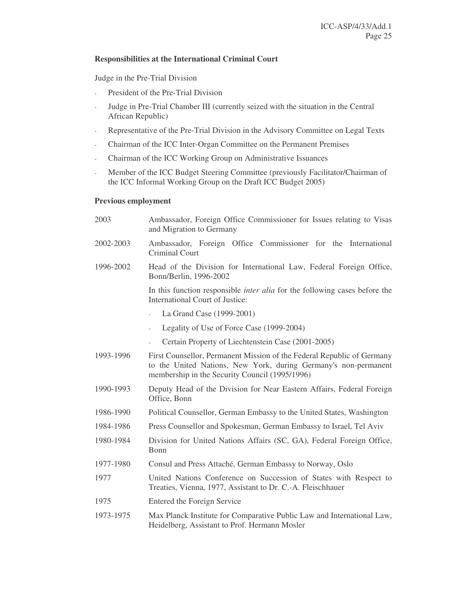#### **Responsibilities at the International Criminal Court**

Judge in the Pre-Trial Division

- President of the Pre-Trial Division
- Judge in Pre-Trial Chamber III (currently seized with the situation in the Central African Republic)
- Representative of the Pre-Trial Division in the Advisory Committee on Legal Texts
- Chairman of the ICC Inter-Organ Committee on the Permanent Premises
- Chairman of the ICC Working Group on Administrative Issuances
- Member of the ICC Budget Steering Committee (previously Facilitator/Chairman of the ICC Informal Working Group on the Draft ICC Budget 2005)

#### **Previous employment**

| 2003      | Ambassador, Foreign Office Commissioner for Issues relating to Visas<br>and Migration to Germany                                                                                            |
|-----------|---------------------------------------------------------------------------------------------------------------------------------------------------------------------------------------------|
| 2002-2003 | Ambassador, Foreign Office Commissioner for the International<br>Criminal Court                                                                                                             |
| 1996-2002 | Head of the Division for International Law, Federal Foreign Office,<br>Bonn/Berlin, 1996-2002                                                                                               |
|           | In this function responsible <i>inter alia</i> for the following cases before the<br>International Court of Justice:                                                                        |
|           | La Grand Case (1999-2001)<br>$\omega$                                                                                                                                                       |
|           | Legality of Use of Force Case (1999-2004)<br>÷,                                                                                                                                             |
|           | Certain Property of Liechtenstein Case (2001-2005)                                                                                                                                          |
| 1993-1996 | First Counsellor, Permanent Mission of the Federal Republic of Germany<br>to the United Nations, New York, during Germany's non-permanent<br>membership in the Security Council (1995/1996) |
| 1990-1993 | Deputy Head of the Division for Near Eastern Affairs, Federal Foreign<br>Office, Bonn                                                                                                       |
| 1986-1990 | Political Counsellor, German Embassy to the United States, Washington                                                                                                                       |
| 1984-1986 | Press Counsellor and Spokesman, German Embassy to Israel, Tel Aviv                                                                                                                          |
| 1980-1984 | Division for United Nations Affairs (SC, GA), Federal Foreign Office,<br>Bonn                                                                                                               |
| 1977-1980 | Consul and Press Attaché, German Embassy to Norway, Oslo                                                                                                                                    |
| 1977      | United Nations Conference on Succession of States with Respect to<br>Treaties, Vienna, 1977, Assistant to Dr. C.-A. Fleischhauer                                                            |
| 1975      | Entered the Foreign Service                                                                                                                                                                 |
| 1973-1975 | Max Planck Institute for Comparative Public Law and International Law,<br>Heidelberg, Assistant to Prof. Hermann Mosler                                                                     |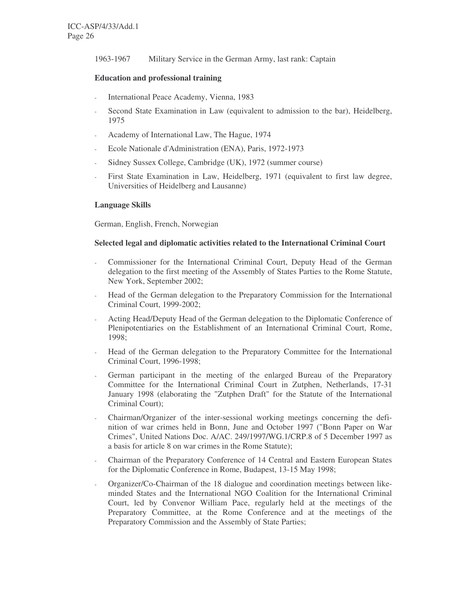1963-1967 Military Service in the German Army, last rank: Captain

#### **Education and professional training**

- International Peace Academy, Vienna, 1983
- Second State Examination in Law (equivalent to admission to the bar), Heidelberg, 1975
- Academy of International Law, The Hague, 1974
- Ecole Nationale d'Administration (ENA), Paris, 1972-1973
- Sidney Sussex College, Cambridge (UK), 1972 (summer course)
- First State Examination in Law, Heidelberg, 1971 (equivalent to first law degree, Universities of Heidelberg and Lausanne)

#### **Language Skills**

German, English, French, Norwegian

#### **Selected legal and diplomatic activities related to the International Criminal Court**

- Commissioner for the International Criminal Court, Deputy Head of the German delegation to the first meeting of the Assembly of States Parties to the Rome Statute, New York, September 2002;
- Head of the German delegation to the Preparatory Commission for the International Criminal Court, 1999-2002;
- Acting Head/Deputy Head of the German delegation to the Diplomatic Conference of Plenipotentiaries on the Establishment of an International Criminal Court, Rome, 1998;
- Head of the German delegation to the Preparatory Committee for the International Criminal Court, 1996-1998;
- German participant in the meeting of the enlarged Bureau of the Preparatory Committee for the International Criminal Court in Zutphen, Netherlands, 17-31 January 1998 (elaborating the "Zutphen Draft" for the Statute of the International Criminal Court);
- Chairman/Organizer of the inter-sessional working meetings concerning the definition of war crimes held in Bonn, June and October 1997 ("Bonn Paper on War Crimes", United Nations Doc. A/AC. 249/1997/WG.1/CRP.8 of 5 December 1997 as a basis for article 8 on war crimes in the Rome Statute);
- Chairman of the Preparatory Conference of 14 Central and Eastern European States for the Diplomatic Conference in Rome, Budapest, 13-15 May 1998;
- Organizer/Co-Chairman of the 18 dialogue and coordination meetings between likeminded States and the International NGO Coalition for the International Criminal Court, led by Convenor William Pace, regularly held at the meetings of the Preparatory Committee, at the Rome Conference and at the meetings of the Preparatory Commission and the Assembly of State Parties;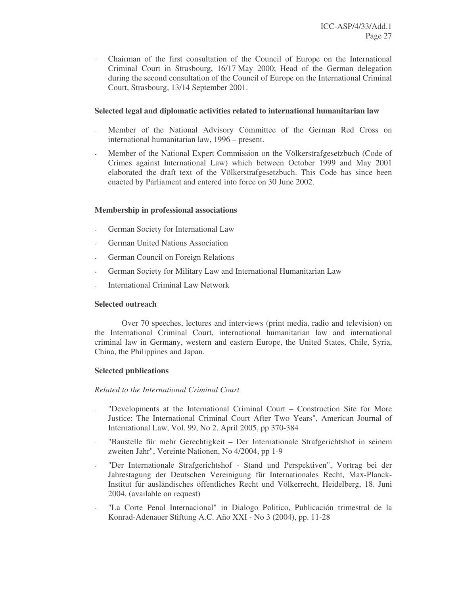- Chairman of the first consultation of the Council of Europe on the International Criminal Court in Strasbourg, 16/17 May 2000; Head of the German delegation during the second consultation of the Council of Europe on the International Criminal Court, Strasbourg, 13/14 September 2001.

### **Selected legal and diplomatic activities related to international humanitarian law**

- Member of the National Advisory Committee of the German Red Cross on international humanitarian law, 1996 – present.
- Member of the National Expert Commission on the Völkerstrafgesetzbuch (Code of Crimes against International Law) which between October 1999 and May 2001 elaborated the draft text of the Völkerstrafgesetzbuch. This Code has since been enacted by Parliament and entered into force on 30 June 2002.

#### **Membership in professional associations**

- German Society for International Law
- German United Nations Association
- German Council on Foreign Relations
- German Society for Military Law and International Humanitarian Law
- International Criminal Law Network

#### **Selected outreach**

Over 70 speeches, lectures and interviews (print media, radio and television) on the International Criminal Court, international humanitarian law and international criminal law in Germany, western and eastern Europe, the United States, Chile, Syria, China, the Philippines and Japan.

#### **Selected publications**

#### *Related to the International Criminal Court*

- "Developments at the International Criminal Court Construction Site for More Justice: The International Criminal Court After Two Years", American Journal of International Law, Vol. 99, No 2, April 2005, pp 370-384
- "Baustelle für mehr Gerechtigkeit Der Internationale Strafgerichtshof in seinem zweiten Jahr", Vereinte Nationen, No 4/2004, pp 1-9
- "Der Internationale Strafgerichtshof Stand und Perspektiven", Vortrag bei der Jahrestagung der Deutschen Vereinigung für Internationales Recht, Max-Planck-Institut für ausländisches öffentliches Recht und Völkerrecht, Heidelberg, 18. Juni 2004, (available on request)
- "La Corte Penal Internacional" in Dialogo Politico, Publicación trimestral de la Konrad-Adenauer Stiftung A.C. Año XXI - No 3 (2004), pp. 11-28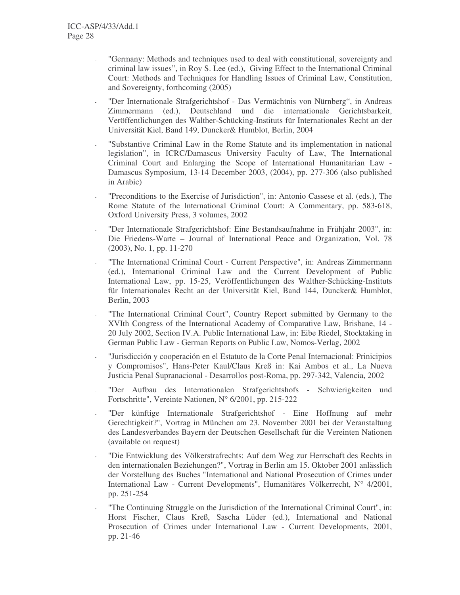- "Germany: Methods and techniques used to deal with constitutional, sovereignty and criminal law issues", in Roy S. Lee (ed.), Giving Effect to the International Criminal Court: Methods and Techniques for Handling Issues of Criminal Law, Constitution, and Sovereignty, forthcoming (2005)
- "Der Internationale Strafgerichtshof Das Vermächtnis von Nürnberg", in Andreas Zimmermann (ed.), Deutschland und die internationale Gerichtsbarkeit, Veröffentlichungen des Walther-Schücking-Instituts für Internationales Recht an der Universität Kiel, Band 149, Duncker& Humblot, Berlin, 2004
- "Substantive Criminal Law in the Rome Statute and its implementation in national legislation", in ICRC/Damascus University Faculty of Law, The International Criminal Court and Enlarging the Scope of International Humanitarian Law - Damascus Symposium, 13-14 December 2003, (2004), pp. 277-306 (also published in Arabic)
- "Preconditions to the Exercise of Jurisdiction", in: Antonio Cassese et al. (eds.), The Rome Statute of the International Criminal Court: A Commentary, pp. 583-618, Oxford University Press, 3 volumes, 2002
- "Der Internationale Strafgerichtshof: Eine Bestandsaufnahme in Frühjahr 2003", in: Die Friedens-Warte – Journal of International Peace and Organization, Vol. 78 (2003), No. 1, pp. 11-270
- "The International Criminal Court Current Perspective", in: Andreas Zimmermann (ed.), International Criminal Law and the Current Development of Public International Law, pp. 15-25, Veröffentlichungen des Walther-Schücking-Instituts für Internationales Recht an der Universität Kiel, Band 144, Duncker& Humblot, Berlin, 2003
- "The International Criminal Court", Country Report submitted by Germany to the XVIth Congress of the International Academy of Comparative Law, Brisbane, 14 - 20 July 2002, Section IV.A. Public International Law, in: Eibe Riedel, Stocktaking in German Public Law - German Reports on Public Law, Nomos-Verlag, 2002
- "Jurisdicción y cooperación en el Estatuto de la Corte Penal Internacional: Prinicipios y Compromisos", Hans-Peter Kaul/Claus Kreß in: Kai Ambos et al., La Nueva Justicia Penal Supranacional - Desarrollos post-Roma, pp. 297-342, Valencia, 2002
- "Der Aufbau des Internationalen Strafgerichtshofs Schwierigkeiten und Fortschritte", Vereinte Nationen, N° 6/2001, pp. 215-222
- "Der künftige Internationale Strafgerichtshof Eine Hoffnung auf mehr Gerechtigkeit?", Vortrag in München am 23. November 2001 bei der Veranstaltung des Landesverbandes Bayern der Deutschen Gesellschaft für die Vereinten Nationen (available on request)
- "Die Entwicklung des Völkerstrafrechts: Auf dem Weg zur Herrschaft des Rechts in den internationalen Beziehungen?", Vortrag in Berlin am 15. Oktober 2001 anlässlich der Vorstellung des Buches "International and National Prosecution of Crimes under International Law - Current Developments", Humanitäres Völkerrecht, N° 4/2001, pp. 251-254
- "The Continuing Struggle on the Jurisdiction of the International Criminal Court", in: Horst Fischer, Claus Kreß, Sascha Lüder (ed.), International and National Prosecution of Crimes under International Law - Current Developments, 2001, pp. 21-46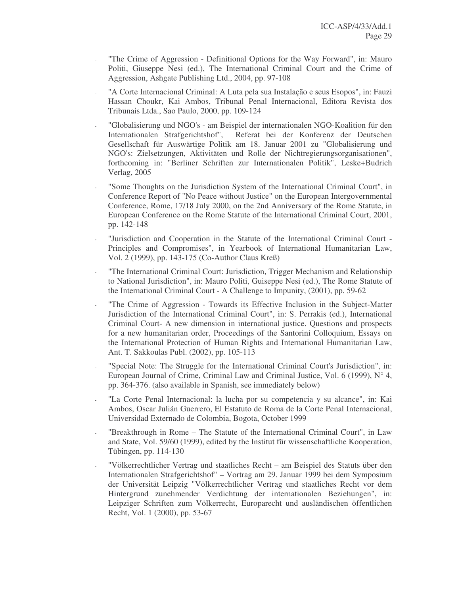- "The Crime of Aggression Definitional Options for the Way Forward", in: Mauro Politi, Giuseppe Nesi (ed.), The International Criminal Court and the Crime of Aggression, Ashgate Publishing Ltd., 2004, pp. 97-108
- "A Corte Internacional Criminal: A Luta pela sua Instalação e seus Esopos", in: Fauzi Hassan Choukr, Kai Ambos, Tribunal Penal Internacional, Editora Revista dos Tribunais Ltda., Sao Paulo, 2000, pp. 109-124
- "Globalisierung und NGO's am Beispiel der internationalen NGO-Koalition für den Internationalen Strafgerichtshof", Referat bei der Konferenz der Deutschen Gesellschaft für Auswärtige Politik am 18. Januar 2001 zu "Globalisierung und NGO's: Zielsetzungen, Aktivitäten und Rolle der Nichtregierungsorganisationen", forthcoming in: "Berliner Schriften zur Internationalen Politik", Leske+Budrich Verlag, 2005
- "Some Thoughts on the Jurisdiction System of the International Criminal Court", in Conference Report of "No Peace without Justice" on the European Intergovernmental Conference, Rome, 17/18 July 2000, on the 2nd Anniversary of the Rome Statute, in European Conference on the Rome Statute of the International Criminal Court, 2001, pp. 142-148
- "Jurisdiction and Cooperation in the Statute of the International Criminal Court Principles and Compromises", in Yearbook of International Humanitarian Law, Vol. 2 (1999), pp. 143-175 (Co-Author Claus Kreß)
- "The International Criminal Court: Jurisdiction, Trigger Mechanism and Relationship to National Jurisdiction", in: Mauro Politi, Guiseppe Nesi (ed.), The Rome Statute of the International Criminal Court - A Challenge to Impunity, (2001), pp. 59-62
- "The Crime of Aggression Towards its Effective Inclusion in the Subject-Matter Jurisdiction of the International Criminal Court", in: S. Perrakis (ed.), International Criminal Court- A new dimension in international justice. Questions and prospects for a new humanitarian order, Proceedings of the Santorini Colloquium, Essays on the International Protection of Human Rights and International Humanitarian Law, Ant. T. Sakkoulas Publ. (2002), pp. 105-113
- "Special Note: The Struggle for the International Criminal Court's Jurisdiction", in: European Journal of Crime, Criminal Law and Criminal Justice, Vol. 6 (1999),  $N^{\circ}$  4, pp. 364-376. (also available in Spanish, see immediately below)
- "La Corte Penal Internacional: la lucha por su competencia y su alcance", in: Kai Ambos, Oscar Julián Guerrero, El Estatuto de Roma de la Corte Penal Internacional, Universidad Externado de Colombia, Bogota, October 1999
- "Breakthrough in Rome The Statute of the International Criminal Court", in Law and State, Vol. 59/60 (1999), edited by the Institut für wissenschaftliche Kooperation, Tübingen, pp. 114-130
- "Völkerrechtlicher Vertrag und staatliches Recht am Beispiel des Statuts über den Internationalen Strafgerichtshof" – Vortrag am 29. Januar 1999 bei dem Symposium der Universität Leipzig "Völkerrechtlicher Vertrag und staatliches Recht vor dem Hintergrund zunehmender Verdichtung der internationalen Beziehungen", in: Leipziger Schriften zum Völkerrecht, Europarecht und ausländischen öffentlichen Recht, Vol. 1 (2000), pp. 53-67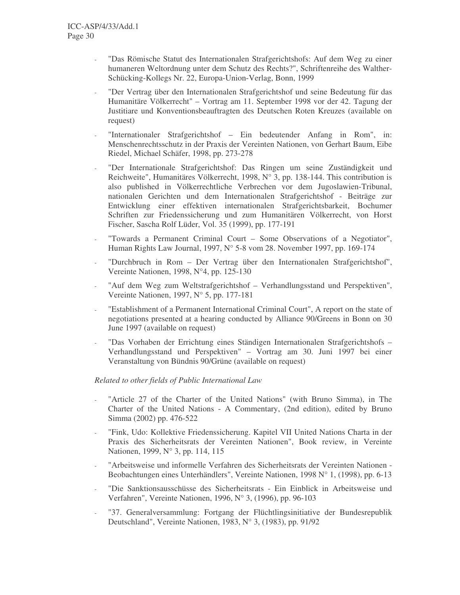- "Das Römische Statut des Internationalen Strafgerichtshofs: Auf dem Weg zu einer humaneren Weltordnung unter dem Schutz des Rechts?", Schriftenreihe des Walther-Schücking-Kollegs Nr. 22, Europa-Union-Verlag, Bonn, 1999
- "Der Vertrag über den Internationalen Strafgerichtshof und seine Bedeutung für das Humanitäre Völkerrecht" – Vortrag am 11. September 1998 vor der 42. Tagung der Justitiare und Konventionsbeauftragten des Deutschen Roten Kreuzes (available on request)
- "Internationaler Strafgerichtshof Ein bedeutender Anfang in Rom", in: Menschenrechtsschutz in der Praxis der Vereinten Nationen, von Gerhart Baum, Eibe Riedel, Michael Schäfer, 1998, pp. 273-278
- "Der Internationale Strafgerichtshof: Das Ringen um seine Zuständigkeit und Reichweite", Humanitäres Völkerrecht, 1998, N° 3, pp. 138-144. This contribution is also published in Völkerrechtliche Verbrechen vor dem Jugoslawien-Tribunal, nationalen Gerichten und dem Internationalen Strafgerichtshof - Beiträge zur Entwicklung einer effektiven internationalen Strafgerichtsbarkeit, Bochumer Schriften zur Friedenssicherung und zum Humanitären Völkerrecht, von Horst Fischer, Sascha Rolf Lüder, Vol. 35 (1999), pp. 177-191
- "Towards a Permanent Criminal Court Some Observations of a Negotiator", Human Rights Law Journal, 1997, N° 5-8 vom 28. November 1997, pp. 169-174
- "Durchbruch in Rom Der Vertrag über den Internationalen Strafgerichtshof", Vereinte Nationen, 1998, N°4, pp. 125-130
- "Auf dem Weg zum Weltstrafgerichtshof Verhandlungsstand und Perspektiven", Vereinte Nationen, 1997, N° 5, pp. 177-181
- "Establishment of a Permanent International Criminal Court", A report on the state of negotiations presented at a hearing conducted by Alliance 90/Greens in Bonn on 30 June 1997 (available on request)
- "Das Vorhaben der Errichtung eines Ständigen Internationalen Strafgerichtshofs Verhandlungsstand und Perspektiven" – Vortrag am 30. Juni 1997 bei einer Veranstaltung von Bündnis 90/Grüne (available on request)

### *Related to other fields of Public International Law*

- "Article 27 of the Charter of the United Nations" (with Bruno Simma), in The Charter of the United Nations - A Commentary, (2nd edition), edited by Bruno Simma (2002) pp. 476-522
- "Fink, Udo: Kollektive Friedenssicherung. Kapitel VII United Nations Charta in der Praxis des Sicherheitsrats der Vereinten Nationen", Book review, in Vereinte Nationen, 1999, N° 3, pp. 114, 115
- "Arbeitsweise und informelle Verfahren des Sicherheitsrats der Vereinten Nationen Beobachtungen eines Unterhändlers", Vereinte Nationen, 1998 N° 1, (1998), pp. 6-13
- "Die Sanktionsausschüsse des Sicherheitsrats Ein Einblick in Arbeitsweise und Verfahren", Vereinte Nationen, 1996, N° 3, (1996), pp. 96-103
- "37. Generalversammlung: Fortgang der Flüchtlingsinitiative der Bundesrepublik Deutschland", Vereinte Nationen, 1983, N° 3, (1983), pp. 91/92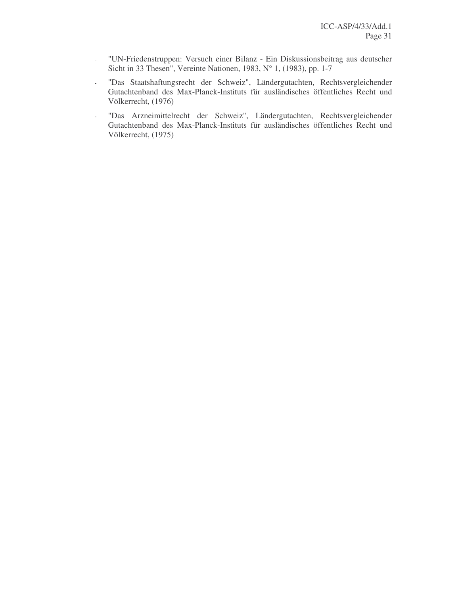- "UN-Friedenstruppen: Versuch einer Bilanz Ein Diskussionsbeitrag aus deutscher Sicht in 33 Thesen", Vereinte Nationen, 1983, N° 1, (1983), pp. 1-7
- "Das Staatshaftungsrecht der Schweiz", Ländergutachten, Rechtsvergleichender Gutachtenband des Max-Planck-Instituts für ausländisches öffentliches Recht und Völkerrecht, (1976)
- "Das Arzneimittelrecht der Schweiz", Ländergutachten, Rechtsvergleichender Gutachtenband des Max-Planck-Instituts für ausländisches öffentliches Recht und Völkerrecht, (1975)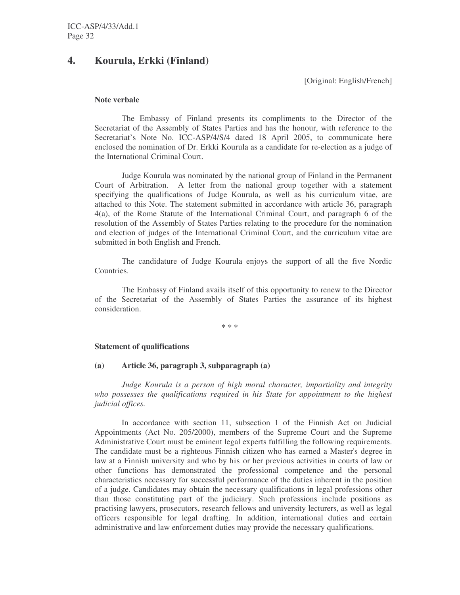## **4. Kourula, Erkki (Finland)**

[Original: English/French]

#### **Note verbale**

The Embassy of Finland presents its compliments to the Director of the Secretariat of the Assembly of States Parties and has the honour, with reference to the Secretariat's Note No. ICC-ASP/4/S/4 dated 18 April 2005, to communicate here enclosed the nomination of Dr. Erkki Kourula as a candidate for re-election as a judge of the International Criminal Court.

Judge Kourula was nominated by the national group of Finland in the Permanent Court of Arbitration. A letter from the national group together with a statement specifying the qualifications of Judge Kourula, as well as his curriculum vitae, are attached to this Note. The statement submitted in accordance with article 36, paragraph 4(a), of the Rome Statute of the International Criminal Court, and paragraph 6 of the resolution of the Assembly of States Parties relating to the procedure for the nomination and election of judges of the International Criminal Court, and the curriculum vitae are submitted in both English and French.

The candidature of Judge Kourula enjoys the support of all the five Nordic Countries.

The Embassy of Finland avails itself of this opportunity to renew to the Director of the Secretariat of the Assembly of States Parties the assurance of its highest consideration.

\* \* \*

#### **Statement of qualifications**

#### **(a) Article 36, paragraph 3, subparagraph (a)**

*Judge Kourula is a person of high moral character, impartiality and integrity who possesses the qualifications required in his State for appointment to the highest judicial offices.*

In accordance with section 11, subsection 1 of the Finnish Act on Judicial Appointments (Act No. 205/2000), members of the Supreme Court and the Supreme Administrative Court must be eminent legal experts fulfilling the following requirements. The candidate must be a righteous Finnish citizen who has earned a Master's degree in law at a Finnish university and who by his or her previous activities in courts of law or other functions has demonstrated the professional competence and the personal characteristics necessary for successful performance of the duties inherent in the position of a judge. Candidates may obtain the necessary qualifications in legal professions other than those constituting part of the judiciary. Such professions include positions as practising lawyers, prosecutors, research fellows and university lecturers, as well as legal officers responsible for legal drafting. In addition, international duties and certain administrative and law enforcement duties may provide the necessary qualifications.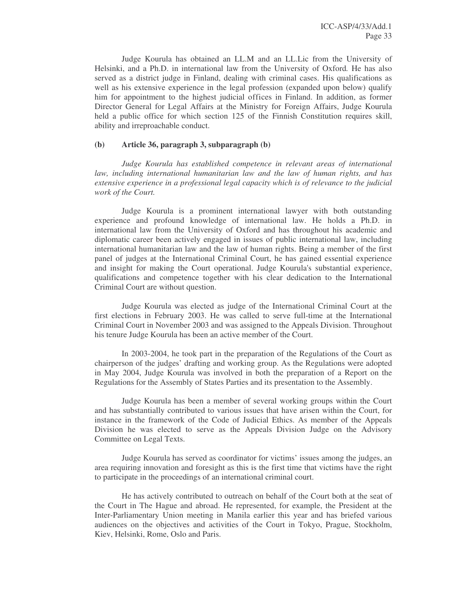Judge Kourula has obtained an LL.M and an LL.Lic from the University of Helsinki, and a Ph.D. in international law from the University of Oxford*.* He has also served as a district judge in Finland, dealing with criminal cases. His qualifications as well as his extensive experience in the legal profession (expanded upon below) qualify him for appointment to the highest judicial offices in Finland. In addition, as former Director General for Legal Affairs at the Ministry for Foreign Affairs, Judge Kourula held a public office for which section 125 of the Finnish Constitution requires skill, ability and irreproachable conduct.

#### **(b) Article 36, paragraph 3, subparagraph (b)**

*Judge Kourula has established competence in relevant areas of international law, including international humanitarian law and the law of human rights, and has extensive experience in a professional legal capacity which is of relevance to the judicial work of the Court.*

Judge Kourula is a prominent international lawyer with both outstanding experience and profound knowledge of international law. He holds a Ph.D. in international law from the University of Oxford and has throughout his academic and diplomatic career been actively engaged in issues of public international law, including international humanitarian law and the law of human rights. Being a member of the first panel of judges at the International Criminal Court, he has gained essential experience and insight for making the Court operational. Judge Kourula's substantial experience, qualifications and competence together with his clear dedication to the International Criminal Court are without question.

Judge Kourula was elected as judge of the International Criminal Court at the first elections in February 2003. He was called to serve full-time at the International Criminal Court in November 2003 and was assigned to the Appeals Division. Throughout his tenure Judge Kourula has been an active member of the Court.

In 2003-2004, he took part in the preparation of the Regulations of the Court as chairperson of the judges' drafting and working group. As the Regulations were adopted in May 2004, Judge Kourula was involved in both the preparation of a Report on the Regulations for the Assembly of States Parties and its presentation to the Assembly.

Judge Kourula has been a member of several working groups within the Court and has substantially contributed to various issues that have arisen within the Court, for instance in the framework of the Code of Judicial Ethics. As member of the Appeals Division he was elected to serve as the Appeals Division Judge on the Advisory Committee on Legal Texts.

Judge Kourula has served as coordinator for victims' issues among the judges, an area requiring innovation and foresight as this is the first time that victims have the right to participate in the proceedings of an international criminal court.

He has actively contributed to outreach on behalf of the Court both at the seat of the Court in The Hague and abroad. He represented, for example, the President at the Inter-Parliamentary Union meeting in Manila earlier this year and has briefed various audiences on the objectives and activities of the Court in Tokyo, Prague, Stockholm, Kiev, Helsinki, Rome, Oslo and Paris.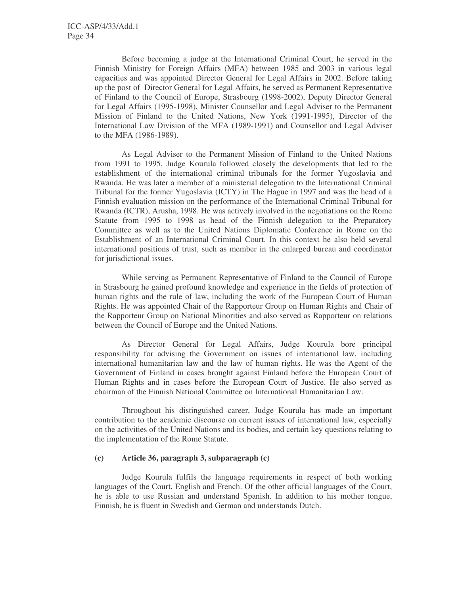Before becoming a judge at the International Criminal Court, he served in the Finnish Ministry for Foreign Affairs (MFA) between 1985 and 2003 in various legal capacities and was appointed Director General for Legal Affairs in 2002. Before taking up the post of Director General for Legal Affairs, he served as Permanent Representative of Finland to the Council of Europe, Strasbourg (1998-2002), Deputy Director General for Legal Affairs (1995-1998), Minister Counsellor and Legal Adviser to the Permanent Mission of Finland to the United Nations, New York (1991-1995), Director of the International Law Division of the MFA (1989-1991) and Counsellor and Legal Adviser to the MFA (1986-1989).

As Legal Adviser to the Permanent Mission of Finland to the United Nations from 1991 to 1995, Judge Kourula followed closely the developments that led to the establishment of the international criminal tribunals for the former Yugoslavia and Rwanda. He was later a member of a ministerial delegation to the International Criminal Tribunal for the former Yugoslavia (ICTY) in The Hague in 1997 and was the head of a Finnish evaluation mission on the performance of the International Criminal Tribunal for Rwanda (ICTR), Arusha, 1998. He was actively involved in the negotiations on the Rome Statute from 1995 to 1998 as head of the Finnish delegation to the Preparatory Committee as well as to the United Nations Diplomatic Conference in Rome on the Establishment of an International Criminal Court. In this context he also held several international positions of trust, such as member in the enlarged bureau and coordinator for jurisdictional issues.

While serving as Permanent Representative of Finland to the Council of Europe in Strasbourg he gained profound knowledge and experience in the fields of protection of human rights and the rule of law, including the work of the European Court of Human Rights. He was appointed Chair of the Rapporteur Group on Human Rights and Chair of the Rapporteur Group on National Minorities and also served as Rapporteur on relations between the Council of Europe and the United Nations.

As Director General for Legal Affairs, Judge Kourula bore principal responsibility for advising the Government on issues of international law, including international humanitarian law and the law of human rights. He was the Agent of the Government of Finland in cases brought against Finland before the European Court of Human Rights and in cases before the European Court of Justice. He also served as chairman of the Finnish National Committee on International Humanitarian Law.

Throughout his distinguished career, Judge Kourula has made an important contribution to the academic discourse on current issues of international law, especially on the activities of the United Nations and its bodies, and certain key questions relating to the implementation of the Rome Statute.

### **(c) Article 36, paragraph 3, subparagraph (c)**

Judge Kourula fulfils the language requirements in respect of both working languages of the Court, English and French. Of the other official languages of the Court, he is able to use Russian and understand Spanish. In addition to his mother tongue, Finnish, he is fluent in Swedish and German and understands Dutch.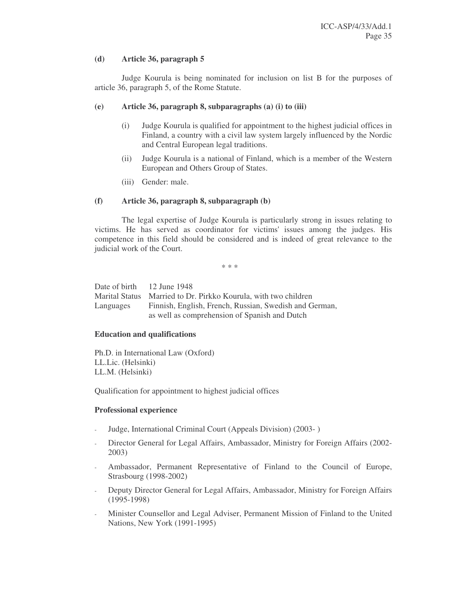#### **(d) Article 36, paragraph 5**

Judge Kourula is being nominated for inclusion on list B for the purposes of article 36, paragraph 5, of the Rome Statute.

#### **(e) Article 36, paragraph 8, subparagraphs (a) (i) to (iii)**

- (i) Judge Kourula is qualified for appointment to the highest judicial offices in Finland, a country with a civil law system largely influenced by the Nordic and Central European legal traditions.
- (ii) Judge Kourula is a national of Finland, which is a member of the Western European and Others Group of States.
- (iii) Gender: male.

#### **(f) Article 36, paragraph 8, subparagraph (b)**

The legal expertise of Judge Kourula is particularly strong in issues relating to victims. He has served as coordinator for victims'issues among the judges. His competence in this field should be considered and is indeed of great relevance to the judicial work of the Court.

\* \* \*

| Date of birth 12 June 1948 |                                                        |
|----------------------------|--------------------------------------------------------|
| <b>Marital Status</b>      | Married to Dr. Pirkko Kourula, with two children       |
| Languages                  | Finnish, English, French, Russian, Swedish and German, |
|                            | as well as comprehension of Spanish and Dutch          |

#### **Education and qualifications**

Ph.D. in International Law (Oxford) LL.Lic. (Helsinki) LL.M. (Helsinki)

Qualification for appointment to highest judicial offices

#### **Professional experience**

- Judge, International Criminal Court (Appeals Division) (2003- )
- Director General for Legal Affairs, Ambassador, Ministry for Foreign Affairs (2002- 2003)
- Ambassador, Permanent Representative of Finland to the Council of Europe, Strasbourg (1998-2002)
- Deputy Director General for Legal Affairs, Ambassador, Ministry for Foreign Affairs (1995-1998)
- Minister Counsellor and Legal Adviser, Permanent Mission of Finland to the United Nations, New York (1991-1995)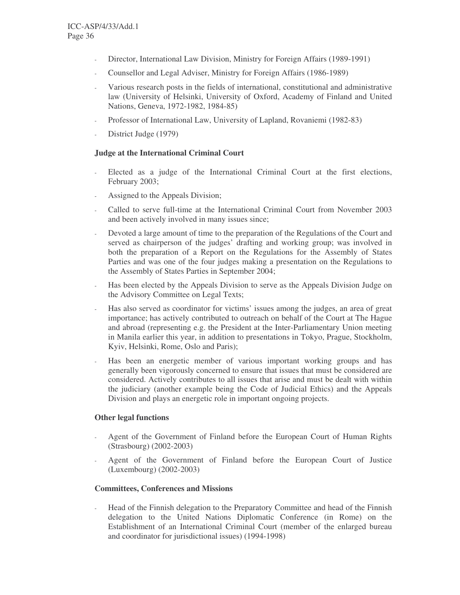- Director, International Law Division, Ministry for Foreign Affairs (1989-1991)
- Counsellor and Legal Adviser, Ministry for Foreign Affairs (1986-1989)
- Various research posts in the fields of international, constitutional and administrative law (University of Helsinki, University of Oxford, Academy of Finland and United Nations, Geneva, 1972-1982, 1984-85)
- Professor of International Law, University of Lapland, Rovaniemi (1982-83)
- District Judge (1979)

### **Judge at the International Criminal Court**

- Elected as a judge of the International Criminal Court at the first elections, February 2003;
- Assigned to the Appeals Division;
- Called to serve full-time at the International Criminal Court from November 2003 and been actively involved in many issues since;
- Devoted a large amount of time to the preparation of the Regulations of the Court and served as chairperson of the judges' drafting and working group; was involved in both the preparation of a Report on the Regulations for the Assembly of States Parties and was one of the four judges making a presentation on the Regulations to the Assembly of States Parties in September 2004;
- Has been elected by the Appeals Division to serve as the Appeals Division Judge on the Advisory Committee on Legal Texts;
- Has also served as coordinator for victims' issues among the judges, an area of great importance; has actively contributed to outreach on behalf of the Court at The Hague and abroad (representing e.g. the President at the Inter-Parliamentary Union meeting in Manila earlier this year, in addition to presentations in Tokyo, Prague, Stockholm, Kyiv, Helsinki, Rome, Oslo and Paris);
- Has been an energetic member of various important working groups and has generally been vigorously concerned to ensure that issues that must be considered are considered. Actively contributes to all issues that arise and must be dealt with within the judiciary (another example being the Code of Judicial Ethics) and the Appeals Division and plays an energetic role in important ongoing projects.

### **Other legal functions**

- Agent of the Government of Finland before the European Court of Human Rights (Strasbourg) (2002-2003)
- Agent of the Government of Finland before the European Court of Justice (Luxembourg) (2002-2003)

#### **Committees, Conferences and Missions**

- Head of the Finnish delegation to the Preparatory Committee and head of the Finnish delegation to the United Nations Diplomatic Conference (in Rome) on the Establishment of an International Criminal Court (member of the enlarged bureau and coordinator for jurisdictional issues) (1994-1998)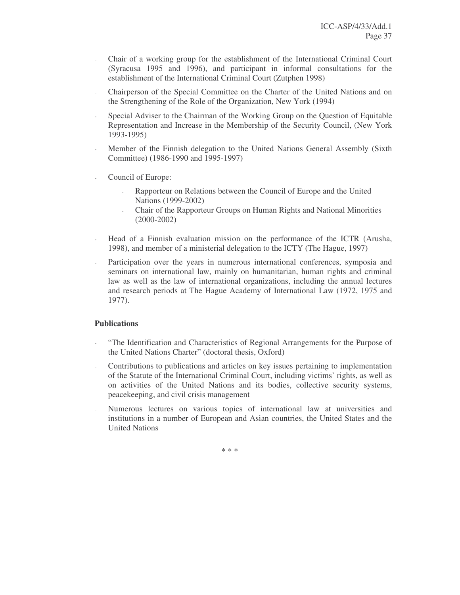- Chair of a working group for the establishment of the International Criminal Court (Syracusa 1995 and 1996), and participant in informal consultations for the establishment of the International Criminal Court (Zutphen 1998)
- Chairperson of the Special Committee on the Charter of the United Nations and on the Strengthening of the Role of the Organization, New York (1994)
- Special Adviser to the Chairman of the Working Group on the Question of Equitable Representation and Increase in the Membership of the Security Council, (New York 1993-1995)
- Member of the Finnish delegation to the United Nations General Assembly (Sixth Committee) (1986-1990 and 1995-1997)
- Council of Europe:
	- Rapporteur on Relations between the Council of Europe and the United Nations (1999-2002)
	- Chair of the Rapporteur Groups on Human Rights and National Minorities (2000-2002)
- Head of a Finnish evaluation mission on the performance of the ICTR (Arusha, 1998), and member of a ministerial delegation to the ICTY (The Hague, 1997)
- Participation over the years in numerous international conferences, symposia and seminars on international law, mainly on humanitarian, human rights and criminal law as well as the law of international organizations, including the annual lectures and research periods at The Hague Academy of International Law (1972, 1975 and 1977).

## **Publications**

- "The Identification and Characteristics of Regional Arrangements for the Purpose of the United Nations Charter" (doctoral thesis, Oxford)
- Contributions to publications and articles on key issues pertaining to implementation of the Statute of the International Criminal Court, including victims' rights, as well as on activities of the United Nations and its bodies, collective security systems, peacekeeping, and civil crisis management
- Numerous lectures on various topics of international law at universities and institutions in a number of European and Asian countries, the United States and the United Nations

\* \* \*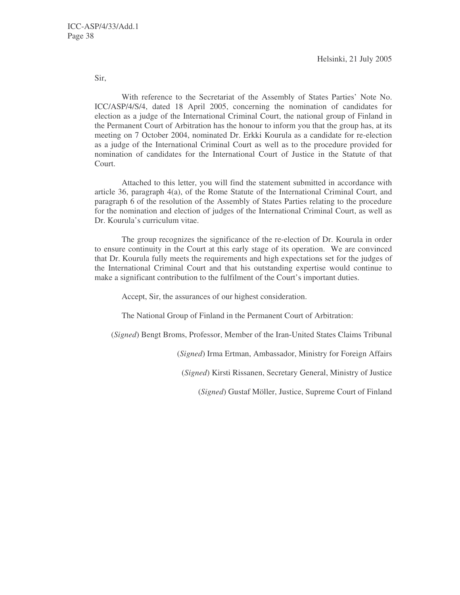Helsinki, 21 July 2005

Sir,

With reference to the Secretariat of the Assembly of States Parties' Note No. ICC/ASP/4/S/4, dated 18 April 2005, concerning the nomination of candidates for election as a judge of the International Criminal Court, the national group of Finland in the Permanent Court of Arbitration has the honour to inform you that the group has, at its meeting on 7 October 2004, nominated Dr. Erkki Kourula as a candidate for re-election as a judge of the International Criminal Court as well as to the procedure provided for nomination of candidates for the International Court of Justice in the Statute of that Court.

Attached to this letter, you will find the statement submitted in accordance with article 36, paragraph 4(a), of the Rome Statute of the International Criminal Court, and paragraph 6 of the resolution of the Assembly of States Parties relating to the procedure for the nomination and election of judges of the International Criminal Court, as well as Dr. Kourula's curriculum vitae.

The group recognizes the significance of the re-election of Dr. Kourula in order to ensure continuity in the Court at this early stage of its operation. We are convinced that Dr. Kourula fully meets the requirements and high expectations set for the judges of the International Criminal Court and that his outstanding expertise would continue to make a significant contribution to the fulfilment of the Court's important duties.

Accept, Sir, the assurances of our highest consideration.

The National Group of Finland in the Permanent Court of Arbitration:

(*Signed*) Bengt Broms, Professor, Member of the Iran-United States Claims Tribunal

(*Signed*) Irma Ertman, Ambassador, Ministry for Foreign Affairs

(*Signed*) Kirsti Rissanen, Secretary General, Ministry of Justice

(*Signed*) Gustaf Möller, Justice, Supreme Court of Finland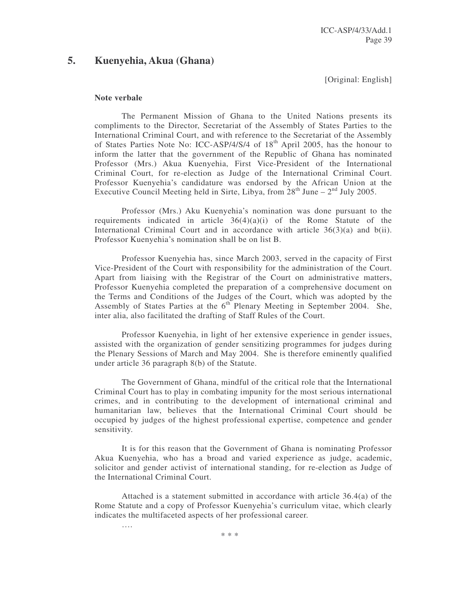## **5. Kuenyehia, Akua (Ghana)**

[Original: English]

#### **Note verbale**

….

The Permanent Mission of Ghana to the United Nations presents its compliments to the Director, Secretariat of the Assembly of States Parties to the International Criminal Court, and with reference to the Secretariat of the Assembly of States Parties Note No: ICC-ASP/4/S/4 of 18<sup>th</sup> April 2005, has the honour to inform the latter that the government of the Republic of Ghana has nominated Professor (Mrs.) Akua Kuenyehia, First Vice-President of the International Criminal Court, for re-election as Judge of the International Criminal Court. Professor Kuenyehia's candidature was endorsed by the African Union at the Executive Council Meeting held in Sirte, Libya, from  $28<sup>th</sup>$  June  $-2<sup>nd</sup>$  July 2005.

Professor (Mrs.) Aku Kuenyehia's nomination was done pursuant to the requirements indicated in article  $36(4)(a)(i)$  of the Rome Statute of the International Criminal Court and in accordance with article  $36(3)(a)$  and  $b(ii)$ . Professor Kuenyehia's nomination shall be on list B.

Professor Kuenyehia has, since March 2003, served in the capacity of First Vice-President of the Court with responsibility for the administration of the Court. Apart from liaising with the Registrar of the Court on administrative matters, Professor Kuenyehia completed the preparation of a comprehensive document on the Terms and Conditions of the Judges of the Court, which was adopted by the Assembly of States Parties at the  $6<sup>th</sup>$  Plenary Meeting in September 2004. She, inter alia, also facilitated the drafting of Staff Rules of the Court.

Professor Kuenyehia, in light of her extensive experience in gender issues, assisted with the organization of gender sensitizing programmes for judges during the Plenary Sessions of March and May 2004. She is therefore eminently qualified under article 36 paragraph 8(b) of the Statute.

The Government of Ghana, mindful of the critical role that the International Criminal Court has to play in combating impunity for the most serious international crimes, and in contributing to the development of international criminal and humanitarian law, believes that the International Criminal Court should be occupied by judges of the highest professional expertise, competence and gender sensitivity.

It is for this reason that the Government of Ghana is nominating Professor Akua Kuenyehia, who has a broad and varied experience as judge, academic, solicitor and gender activist of international standing, for re-election as Judge of the International Criminal Court.

Attached is a statement submitted in accordance with article 36.4(a) of the Rome Statute and a copy of Professor Kuenyehia's curriculum vitae, which clearly indicates the multifaceted aspects of her professional career.

\* \* \*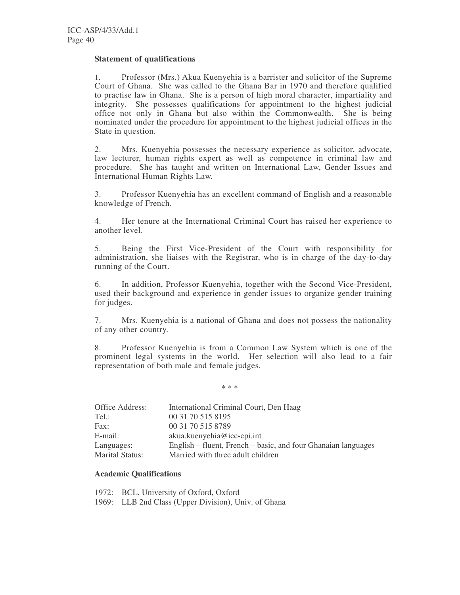#### **Statement of qualifications**

1. Professor (Mrs.) Akua Kuenyehia is a barrister and solicitor of the Supreme Court of Ghana. She was called to the Ghana Bar in 1970 and therefore qualified to practise law in Ghana. She is a person of high moral character, impartiality and integrity. She possesses qualifications for appointment to the highest judicial office not only in Ghana but also within the Commonwealth. She is being nominated under the procedure for appointment to the highest judicial offices in the State in question.

2. Mrs. Kuenyehia possesses the necessary experience as solicitor, advocate, law lecturer, human rights expert as well as competence in criminal law and procedure. She has taught and written on International Law, Gender Issues and International Human Rights Law.

3. Professor Kuenyehia has an excellent command of English and a reasonable knowledge of French.

4. Her tenure at the International Criminal Court has raised her experience to another level.

5. Being the First Vice-President of the Court with responsibility for administration, she liaises with the Registrar, who is in charge of the day-to-day running of the Court.

6. In addition, Professor Kuenyehia, together with the Second Vice-President, used their background and experience in gender issues to organize gender training for judges.

7. Mrs. Kuenyehia is a national of Ghana and does not possess the nationality of any other country.

8. Professor Kuenyehia is from a Common Law System which is one of the prominent legal systems in the world. Her selection will also lead to a fair representation of both male and female judges.

\* \* \*

| Office Address:        | International Criminal Court, Den Haag                        |
|------------------------|---------------------------------------------------------------|
| Tel.:                  | 00 31 70 515 8195                                             |
| Fax:                   | 00 31 70 515 8789                                             |
| E-mail:                | $akua.kuenyehia@ice-cpi.int$                                  |
| Languages:             | English – fluent, French – basic, and four Ghanaian languages |
| <b>Marital Status:</b> | Married with three adult children                             |

#### **Academic Qualifications**

1972: BCL, University of Oxford, Oxford 1969: LLB 2nd Class (Upper Division), Univ. of Ghana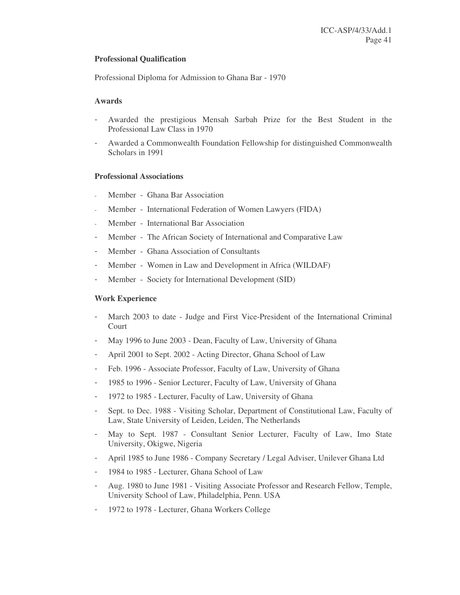## **Professional Qualification**

Professional Diploma for Admission to Ghana Bar - 1970

#### **Awards**

- Awarded the prestigious Mensah Sarbah Prize for the Best Student in the Professional Law Class in 1970
- Awarded a Commonwealth Foundation Fellowship for distinguished Commonwealth Scholars in 1991

#### **Professional Associations**

- Member Ghana Bar Association
- Member International Federation of Women Lawyers (FIDA)
- Member International Bar Association
- Member The African Society of International and Comparative Law
- Member Ghana Association of Consultants
- Member Women in Law and Development in Africa (WILDAF)
- Member Society for International Development (SID)

#### **Work Experience**

- March 2003 to date Judge and First Vice-President of the International Criminal Court
- May 1996 to June 2003 Dean, Faculty of Law, University of Ghana
- April 2001 to Sept. 2002 Acting Director, Ghana School of Law
- Feb. 1996 Associate Professor, Faculty of Law, University of Ghana
- 1985 to 1996 Senior Lecturer, Faculty of Law, University of Ghana
- 1972 to 1985 Lecturer, Faculty of Law, University of Ghana
- Sept. to Dec. 1988 Visiting Scholar, Department of Constitutional Law, Faculty of Law, State University of Leiden, Leiden, The Netherlands
- May to Sept. 1987 Consultant Senior Lecturer, Faculty of Law, Imo State University, Okigwe, Nigeria
- April 1985 to June 1986 Company Secretary / Legal Adviser, Unilever Ghana Ltd
- 1984 to 1985 Lecturer, Ghana School of Law
- Aug. 1980 to June 1981 Visiting Associate Professor and Research Fellow, Temple, University School of Law, Philadelphia, Penn. USA
- 1972 to 1978 Lecturer, Ghana Workers College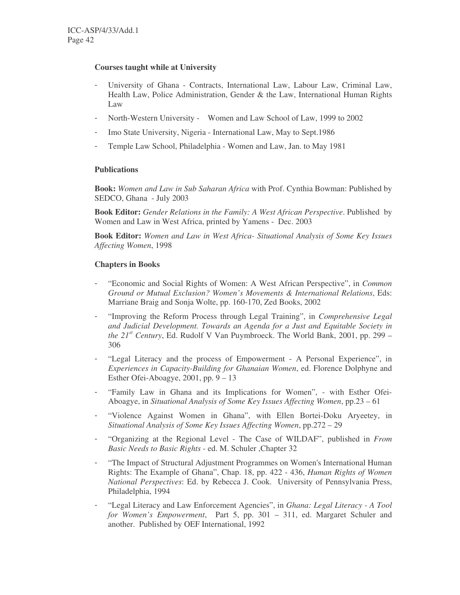## **Courses taught while at University**

- University of Ghana Contracts, International Law, Labour Law, Criminal Law, Health Law, Police Administration, Gender & the Law, International Human Rights Law
- North-Western University Women and Law School of Law, 1999 to 2002
- Imo State University, Nigeria International Law, May to Sept.1986
- Temple Law School, Philadelphia Women and Law, Jan. to May 1981

## **Publications**

**Book:** *Women and Law in Sub Saharan Africa* with Prof. Cynthia Bowman: Published by SEDCO, Ghana - July 2003

**Book Editor:** *Gender Relations in the Family: A West African Perspective*. Published by Women and Law in West Africa, printed by Yamens - Dec. 2003

**Book Editor:** *Women and Law in West Africa- Situational Analysis of Some Key Issues Affecting Women*, 1998

## **Chapters in Books**

- "Economic and Social Rights of Women: A West African Perspective", in *Common Ground or Mutual Exclusion? Women's Movements & International Relations*, Eds: Marriane Braig and Sonja Wolte, pp. 160-170, Zed Books, 2002
- "Improving the Reform Process through Legal Training", in *Comprehensive Legal and Judicial Development. Towards an Agenda for a Just and Equitable Society in the 21 st Century*, Ed. Rudolf V Van Puymbroeck. The World Bank, 2001, pp. 299 – 306
- "Legal Literacy and the process of Empowerment A Personal Experience", in *Experiences in Capacity-Building for Ghanaian Women*, ed. Florence Dolphyne and Esther Ofei-Aboagye, 2001, pp. 9 – 13
- "Family Law in Ghana and its Implications for Women", with Esther Ofei-Aboagye, in *Situational Analysis of Some Key Issues Affecting Women*, pp.23 – 61
- "Violence Against Women in Ghana", with Ellen Bortei-Doku Aryeetey, in *Situational Analysis of Some Key Issues Affecting Women*, pp.272 – 29
- "Organizing at the Regional Level The Case of WILDAF", published in *From Basic Needs to Basic Rights* - ed. M. Schuler ,Chapter 32
- "The Impact of Structural Adjustment Programmes on Women's International Human Rights: The Example of Ghana", Chap. 18, pp. 422 - 436, *Human Rights of Women National Perspectives*: Ed. by Rebecca J. Cook. University of Pennsylvania Press, Philadelphia, 1994
- "Legal Literacy and Law Enforcement Agencies", in *Ghana: Legal Literacy - A Tool for Women's Empowerment*, Part 5, pp. 301 – 311, ed. Margaret Schuler and another. Published by OEF International, 1992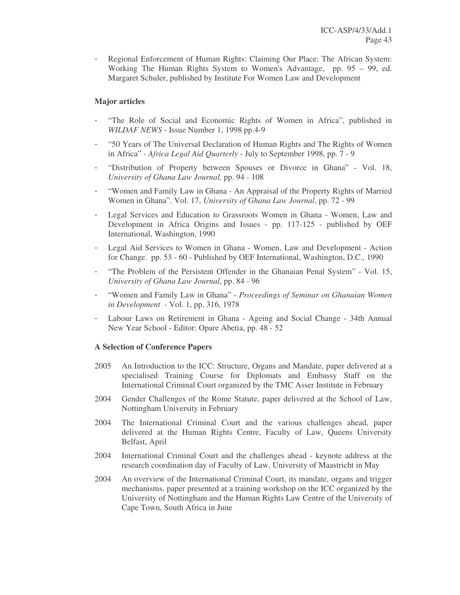Regional Enforcement of Human Rights: Claiming Our Place: The African System: Working The Human Rights System to Women's Advantage, pp. 95 – 99, ed. Margaret Schuler, published by Institute For Women Law and Development

## **Major articles**

- "The Role of Social and Economic Rights of Women in Africa", published in *WILDAF NEWS* - Issue Number 1, 1998 pp.4-9
- "50 Years of The Universal Declaration of Human Rights and The Rights of Women in Africa" - *Africa Legal Aid Quarterly* - July to September 1998, pp. 7 - 9
- "Distribution of Property between Spouses or Divorce in Ghana" Vol. 18, *University of Ghana Law Journal,* pp. 94 - 108
- "Women and Family Law in Ghana An Appraisal of the Property Rights of Married Women in Ghana". Vol. 17, *University of Ghana Law Journal*, pp. 72 - 99
- Legal Services and Education to Grassroots Women in Ghana Women, Law and Development in Africa Origins and Issues - pp. 117-125 - published by OEF International, Washington, 1990
- Legal Aid Services to Women in Ghana Women, Law and Development Action for Change. pp. 53 - 60 - Published by OEF International, Washington, D.C., 1990
- "The Problem of the Persistent Offender in the Ghanaian Penal System" Vol. 15, *University of Ghana Law Journal*, pp. 84 - 96
- "Women and Family Law in Ghana" *Proceedings of Seminar on Ghanaian Women in Development* - Vol. 1, pp. 316, 1978
- Labour Laws on Retirement in Ghana Ageing and Social Change 34th Annual New Year School - Editor: Opare Abetia, pp. 48 - 52

## **A Selection of Conference Papers**

- 2005 An Introduction to the ICC: Structure, Organs and Mandate, paper delivered at a specialised Training Course for Diplomats and Embassy Staff on the International Criminal Court organized by the TMC Asser Institute in February
- 2004 Gender Challenges of the Rome Statute, paper delivered at the School of Law, Nottingham University in February
- 2004 The International Criminal Court and the various challenges ahead, paper delivered at the Human Rights Centre, Faculty of Law, Queens University Belfast, April
- 2004 International Criminal Court and the challenges ahead keynote address at the research coordination day of Faculty of Law, University of Maastricht in May
- 2004 An overview of the International Criminal Court, its mandate, organs and trigger mechanisms, paper presented at a training workshop on the ICC organized by the University of Nottingham and the Human Rights Law Centre of the University of Cape Town, South Africa in June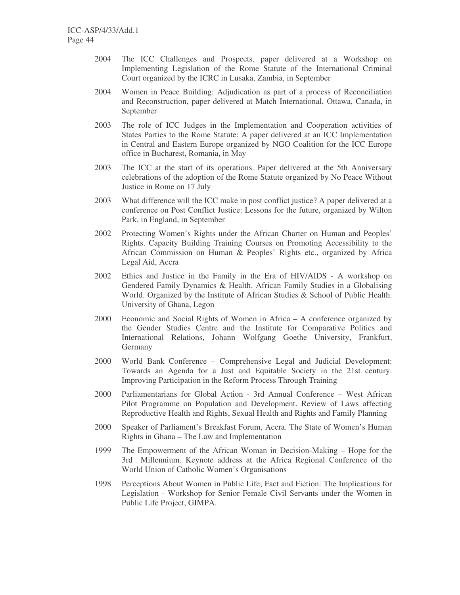- 2004 The ICC Challenges and Prospects, paper delivered at a Workshop on Implementing Legislation of the Rome Statute of the International Criminal Court organized by the ICRC in Lusaka, Zambia, in September
- 2004 Women in Peace Building: Adjudication as part of a process of Reconciliation and Reconstruction, paper delivered at Match International, Ottawa, Canada, in September
- 2003 The role of ICC Judges in the Implementation and Cooperation activities of States Parties to the Rome Statute: A paper delivered at an ICC Implementation in Central and Eastern Europe organized by NGO Coalition for the ICC Europe office in Bucharest, Romania, in May
- 2003 The ICC at the start of its operations. Paper delivered at the 5th Anniversary celebrations of the adoption of the Rome Statute organized by No Peace Without Justice in Rome on 17 July
- 2003 What difference will the ICC make in post conflict justice? A paper delivered at a conference on Post Conflict Justice: Lessons for the future, organized by Wilton Park, in England, in September
- 2002 Protecting Women's Rights under the African Charter on Human and Peoples' Rights. Capacity Building Training Courses on Promoting Accessibility to the African Commission on Human & Peoples' Rights etc., organized by Africa Legal Aid, Accra
- 2002 Ethics and Justice in the Family in the Era of HIV/AIDS A workshop on Gendered Family Dynamics & Health. African Family Studies in a Globalising World. Organized by the Institute of African Studies & School of Public Health. University of Ghana, Legon
- 2000 Economic and Social Rights of Women in Africa A conference organized by the Gender Studies Centre and the Institute for Comparative Politics and International Relations, Johann Wolfgang Goethe University, Frankfurt, Germany
- 2000 World Bank Conference Comprehensive Legal and Judicial Development: Towards an Agenda for a Just and Equitable Society in the 21st century. Improving Participation in the Reform Process Through Training
- 2000 Parliamentarians for Global Action 3rd Annual Conference West African Pilot Programme on Population and Development. Review of Laws affecting Reproductive Health and Rights, Sexual Health and Rights and Family Planning
- 2000 Speaker of Parliament's Breakfast Forum, Accra. The State of Women's Human Rights in Ghana – The Law and Implementation
- 1999 The Empowerment of the African Woman in Decision-Making Hope for the 3rd Millennium. Keynote address at the Africa Regional Conference of the World Union of Catholic Women's Organisations
- 1998 Perceptions About Women in Public Life; Fact and Fiction: The Implications for Legislation - Workshop for Senior Female Civil Servants under the Women in Public Life Project, GIMPA.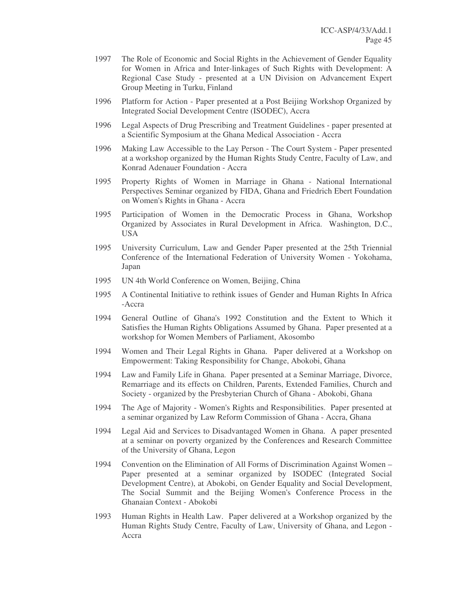- 1997 The Role of Economic and Social Rights in the Achievement of Gender Equality for Women in Africa and Inter-linkages of Such Rights with Development: A Regional Case Study - presented at a UN Division on Advancement Expert Group Meeting in Turku, Finland
- 1996 Platform for Action Paper presented at a Post Beijing Workshop Organized by Integrated Social Development Centre (ISODEC), Accra
- 1996 Legal Aspects of Drug Prescribing and Treatment Guidelines paper presented at a Scientific Symposium at the Ghana Medical Association - Accra
- 1996 Making Law Accessible to the Lay Person The Court System Paper presented at a workshop organized by the Human Rights Study Centre, Faculty of Law, and Konrad Adenauer Foundation - Accra
- 1995 Property Rights of Women in Marriage in Ghana National International Perspectives Seminar organized by FIDA, Ghana and Friedrich Ebert Foundation on Women's Rights in Ghana - Accra
- 1995 Participation of Women in the Democratic Process in Ghana, Workshop Organized by Associates in Rural Development in Africa. Washington, D.C., USA
- 1995 University Curriculum, Law and Gender Paper presented at the 25th Triennial Conference of the International Federation of University Women - Yokohama, Japan
- 1995 UN 4th World Conference on Women, Beijing, China
- 1995 A Continental Initiative to rethink issues of Gender and Human Rights In Africa -Accra
- 1994 General Outline of Ghana's 1992 Constitution and the Extent to Which it Satisfies the Human Rights Obligations Assumed by Ghana. Paper presented at a workshop for Women Members of Parliament, Akosombo
- 1994 Women and Their Legal Rights in Ghana. Paper delivered at a Workshop on Empowerment: Taking Responsibility for Change, Abokobi, Ghana
- 1994 Law and Family Life in Ghana. Paper presented at a Seminar Marriage, Divorce, Remarriage and its effects on Children, Parents, Extended Families, Church and Society - organized by the Presbyterian Church of Ghana - Abokobi, Ghana
- 1994 The Age of Majority Women's Rights and Responsibilities. Paper presented at a seminar organized by Law Reform Commission of Ghana - Accra, Ghana
- 1994 Legal Aid and Services to Disadvantaged Women in Ghana. A paper presented at a seminar on poverty organized by the Conferences and Research Committee of the University of Ghana, Legon
- 1994 Convention on the Elimination of All Forms of Discrimination Against Women Paper presented at a seminar organized by ISODEC (Integrated Social Development Centre), at Abokobi, on Gender Equality and Social Development, The Social Summit and the Beijing Women's Conference Process in the Ghanaian Context - Abokobi
- 1993 Human Rights in Health Law. Paper delivered at a Workshop organized by the Human Rights Study Centre, Faculty of Law, University of Ghana, and Legon - Accra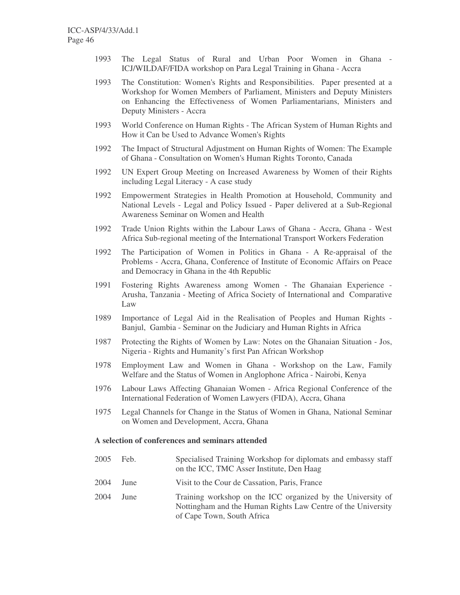- 1993 The Legal Status of Rural and Urban Poor Women in Ghana ICJ/WILDAF/FIDA workshop on Para Legal Training in Ghana - Accra
- 1993 The Constitution: Women's Rights and Responsibilities. Paper presented at a Workshop for Women Members of Parliament, Ministers and Deputy Ministers on Enhancing the Effectiveness of Women Parliamentarians, Ministers and Deputy Ministers - Accra
- 1993 World Conference on Human Rights The African System of Human Rights and How it Can be Used to Advance Women's Rights
- 1992 The Impact of Structural Adjustment on Human Rights of Women: The Example of Ghana - Consultation on Women's Human Rights Toronto, Canada
- 1992 UN Expert Group Meeting on Increased Awareness by Women of their Rights including Legal Literacy - A case study
- 1992 Empowerment Strategies in Health Promotion at Household, Community and National Levels - Legal and Policy Issued - Paper delivered at a Sub-Regional Awareness Seminar on Women and Health
- 1992 Trade Union Rights within the Labour Laws of Ghana Accra, Ghana West Africa Sub-regional meeting of the International Transport Workers Federation
- 1992 The Participation of Women in Politics in Ghana A Re-appraisal of the Problems - Accra, Ghana, Conference of Institute of Economic Affairs on Peace and Democracy in Ghana in the 4th Republic
- 1991 Fostering Rights Awareness among Women The Ghanaian Experience Arusha, Tanzania - Meeting of Africa Society of International and Comparative Law
- 1989 Importance of Legal Aid in the Realisation of Peoples and Human Rights Banjul, Gambia - Seminar on the Judiciary and Human Rights in Africa
- 1987 Protecting the Rights of Women by Law: Notes on the Ghanaian Situation Jos, Nigeria - Rights and Humanity's first Pan African Workshop
- 1978 Employment Law and Women in Ghana Workshop on the Law, Family Welfare and the Status of Women in Anglophone Africa - Nairobi, Kenya
- 1976 Labour Laws Affecting Ghanaian Women Africa Regional Conference of the International Federation of Women Lawyers (FIDA), Accra, Ghana
- 1975 Legal Channels for Change in the Status of Women in Ghana, National Seminar on Women and Development, Accra, Ghana

#### **A selection of conferences and seminars attended**

| 2005 | Feb. | Specialised Training Workshop for diplomats and embassy staff<br>on the ICC, TMC Asser Institute, Den Haag                                                |
|------|------|-----------------------------------------------------------------------------------------------------------------------------------------------------------|
| 2004 | June | Visit to the Cour de Cassation, Paris, France                                                                                                             |
| 2004 | June | Training workshop on the ICC organized by the University of<br>Nottingham and the Human Rights Law Centre of the University<br>of Cape Town, South Africa |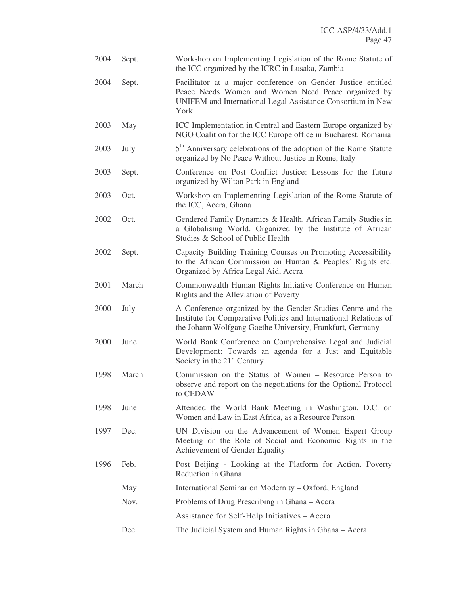| 2004 | Sept. | Workshop on Implementing Legislation of the Rome Statute of<br>the ICC organized by the ICRC in Lusaka, Zambia                                                                                |  |
|------|-------|-----------------------------------------------------------------------------------------------------------------------------------------------------------------------------------------------|--|
| 2004 | Sept. | Facilitator at a major conference on Gender Justice entitled<br>Peace Needs Women and Women Need Peace organized by<br>UNIFEM and International Legal Assistance Consortium in New<br>York    |  |
| 2003 | May   | ICC Implementation in Central and Eastern Europe organized by<br>NGO Coalition for the ICC Europe office in Bucharest, Romania                                                                |  |
| 2003 | July  | 5 <sup>th</sup> Anniversary celebrations of the adoption of the Rome Statute<br>organized by No Peace Without Justice in Rome, Italy                                                          |  |
| 2003 | Sept. | Conference on Post Conflict Justice: Lessons for the future<br>organized by Wilton Park in England                                                                                            |  |
| 2003 | Oct.  | Workshop on Implementing Legislation of the Rome Statute of<br>the ICC, Accra, Ghana                                                                                                          |  |
| 2002 | Oct.  | Gendered Family Dynamics & Health. African Family Studies in<br>a Globalising World. Organized by the Institute of African<br>Studies & School of Public Health                               |  |
| 2002 | Sept. | Capacity Building Training Courses on Promoting Accessibility<br>to the African Commission on Human & Peoples' Rights etc.<br>Organized by Africa Legal Aid, Accra                            |  |
| 2001 | March | Commonwealth Human Rights Initiative Conference on Human<br>Rights and the Alleviation of Poverty                                                                                             |  |
| 2000 | July  | A Conference organized by the Gender Studies Centre and the<br>Institute for Comparative Politics and International Relations of<br>the Johann Wolfgang Goethe University, Frankfurt, Germany |  |
| 2000 | June  | World Bank Conference on Comprehensive Legal and Judicial<br>Development: Towards an agenda for a Just and Equitable<br>Society in the 21 <sup>st</sup> Century                               |  |
| 1998 | March | Commission on the Status of Women – Resource Person to<br>observe and report on the negotiations for the Optional Protocol<br>to CEDAW                                                        |  |
| 1998 | June  | Attended the World Bank Meeting in Washington, D.C. on<br>Women and Law in East Africa, as a Resource Person                                                                                  |  |
| 1997 | Dec.  | UN Division on the Advancement of Women Expert Group<br>Meeting on the Role of Social and Economic Rights in the<br>Achievement of Gender Equality                                            |  |
| 1996 | Feb.  | Post Beijing - Looking at the Platform for Action. Poverty<br>Reduction in Ghana                                                                                                              |  |
|      | May   | International Seminar on Modernity - Oxford, England                                                                                                                                          |  |
|      | Nov.  | Problems of Drug Prescribing in Ghana – Accra                                                                                                                                                 |  |
|      |       | Assistance for Self-Help Initiatives - Accra                                                                                                                                                  |  |
|      | Dec.  | The Judicial System and Human Rights in Ghana – Accra                                                                                                                                         |  |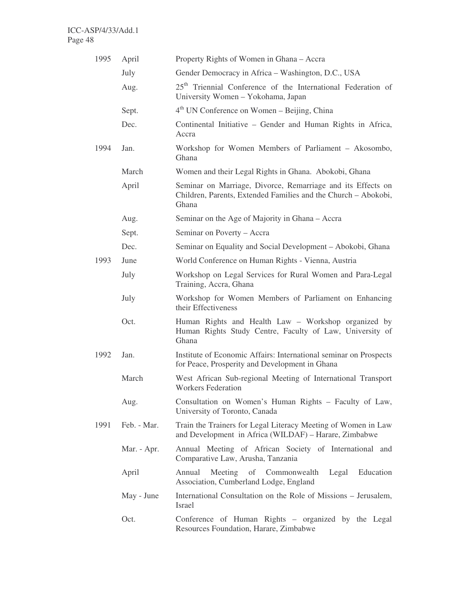| 1995         | April       | Property Rights of Women in Ghana – Accra                                                                                              |  |  |
|--------------|-------------|----------------------------------------------------------------------------------------------------------------------------------------|--|--|
|              | July        | Gender Democracy in Africa – Washington, D.C., USA                                                                                     |  |  |
|              | Aug.        | 25 <sup>th</sup> Triennial Conference of the International Federation of<br>University Women - Yokohama, Japan                         |  |  |
|              | Sept.       | 4 <sup>th</sup> UN Conference on Women – Beijing, China                                                                                |  |  |
|              | Dec.        | Continental Initiative – Gender and Human Rights in Africa,<br>Accra                                                                   |  |  |
| 1994<br>Jan. |             | Workshop for Women Members of Parliament - Akosombo,<br>Ghana                                                                          |  |  |
|              | March       | Women and their Legal Rights in Ghana. Abokobi, Ghana                                                                                  |  |  |
|              | April       | Seminar on Marriage, Divorce, Remarriage and its Effects on<br>Children, Parents, Extended Families and the Church - Abokobi,<br>Ghana |  |  |
|              | Aug.        | Seminar on the Age of Majority in Ghana – Accra                                                                                        |  |  |
|              | Sept.       | Seminar on Poverty – Accra                                                                                                             |  |  |
| Dec.         |             | Seminar on Equality and Social Development – Abokobi, Ghana                                                                            |  |  |
| 1993<br>June |             | World Conference on Human Rights - Vienna, Austria                                                                                     |  |  |
|              | July        | Workshop on Legal Services for Rural Women and Para-Legal<br>Training, Accra, Ghana                                                    |  |  |
|              | July        | Workshop for Women Members of Parliament on Enhancing<br>their Effectiveness                                                           |  |  |
|              | Oct.        | Human Rights and Health Law - Workshop organized by<br>Human Rights Study Centre, Faculty of Law, University of<br>Ghana               |  |  |
| 1992<br>Jan. |             | Institute of Economic Affairs: International seminar on Prospects<br>for Peace, Prosperity and Development in Ghana                    |  |  |
|              | March       | West African Sub-regional Meeting of International Transport<br><b>Workers Federation</b>                                              |  |  |
|              | Aug.        | Consultation on Women's Human Rights - Faculty of Law,<br>University of Toronto, Canada                                                |  |  |
| 1991         | Feb. - Mar. | Train the Trainers for Legal Literacy Meeting of Women in Law<br>and Development in Africa (WILDAF) – Harare, Zimbabwe                 |  |  |
|              | Mar. - Apr. | Annual Meeting of African Society of International and<br>Comparative Law, Arusha, Tanzania                                            |  |  |
|              | April       | Meeting of Commonwealth Legal Education<br>Annual<br>Association, Cumberland Lodge, England                                            |  |  |
|              | May - June  | International Consultation on the Role of Missions – Jerusalem,<br><b>Israel</b>                                                       |  |  |
|              | Oct.        | Conference of Human Rights – organized by the Legal<br>Resources Foundation, Harare, Zimbabwe                                          |  |  |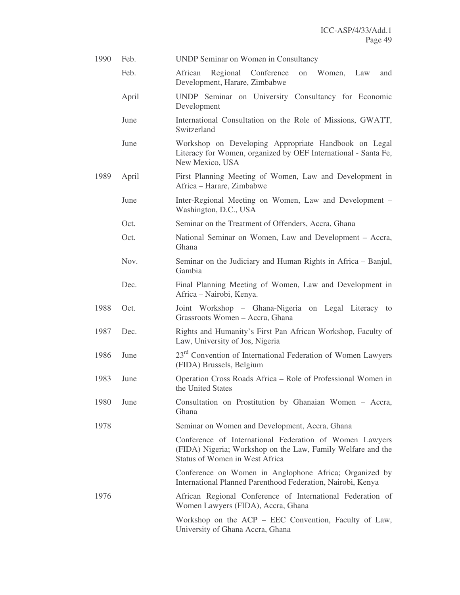| 1990 | Feb.  | <b>UNDP Seminar on Women in Consultancy</b>                                                                                                                             |  |  |
|------|-------|-------------------------------------------------------------------------------------------------------------------------------------------------------------------------|--|--|
|      | Feb.  | Regional Conference<br>Women,<br>African<br>Law<br>on<br>and<br>Development, Harare, Zimbabwe                                                                           |  |  |
|      | April | UNDP Seminar on University Consultancy for Economic<br>Development                                                                                                      |  |  |
|      | June  | International Consultation on the Role of Missions, GWATT,<br>Switzerland                                                                                               |  |  |
|      | June  | Workshop on Developing Appropriate Handbook on Legal<br>Literacy for Women, organized by OEF International - Santa Fe,<br>New Mexico, USA                               |  |  |
| 1989 | April | First Planning Meeting of Women, Law and Development in<br>Africa - Harare, Zimbabwe<br>Inter-Regional Meeting on Women, Law and Development –<br>Washington, D.C., USA |  |  |
|      | June  |                                                                                                                                                                         |  |  |
|      | Oct.  | Seminar on the Treatment of Offenders, Accra, Ghana                                                                                                                     |  |  |
|      | Oct.  | National Seminar on Women, Law and Development – Accra,<br>Ghana                                                                                                        |  |  |
|      | Nov.  | Seminar on the Judiciary and Human Rights in Africa – Banjul,<br>Gambia                                                                                                 |  |  |
|      | Dec.  | Final Planning Meeting of Women, Law and Development in<br>Africa – Nairobi, Kenya.                                                                                     |  |  |
| 1988 | Oct.  | Joint Workshop – Ghana-Nigeria on Legal Literacy to<br>Grassroots Women - Accra, Ghana                                                                                  |  |  |
| 1987 | Dec.  | Rights and Humanity's First Pan African Workshop, Faculty of<br>Law, University of Jos, Nigeria                                                                         |  |  |
| 1986 | June  | 23 <sup>rd</sup> Convention of International Federation of Women Lawyers<br>(FIDA) Brussels, Belgium                                                                    |  |  |
| 1983 | June  | Operation Cross Roads Africa – Role of Professional Women in<br>the United States                                                                                       |  |  |
| 1980 | June  | Consultation on Prostitution by Ghanaian Women - Accra,<br>Ghana                                                                                                        |  |  |
| 1978 |       | Seminar on Women and Development, Accra, Ghana                                                                                                                          |  |  |
|      |       | Conference of International Federation of Women Lawyers<br>(FIDA) Nigeria; Workshop on the Law, Family Welfare and the<br>Status of Women in West Africa                |  |  |
|      |       | Conference on Women in Anglophone Africa; Organized by<br>International Planned Parenthood Federation, Nairobi, Kenya                                                   |  |  |
| 1976 |       | African Regional Conference of International Federation of<br>Women Lawyers (FIDA), Accra, Ghana                                                                        |  |  |
|      |       | Workshop on the ACP – EEC Convention, Faculty of Law,<br>University of Ghana Accra, Ghana                                                                               |  |  |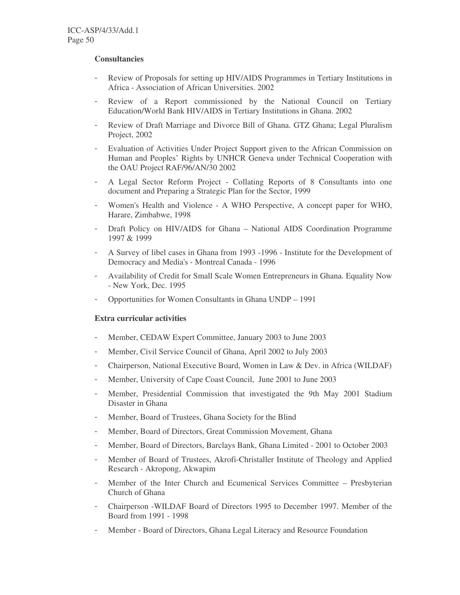#### **Consultancies**

- Review of Proposals for setting up HIV/AIDS Programmes in Tertiary Institutions in Africa - Association of African Universities. 2002
- Review of a Report commissioned by the National Council on Tertiary Education/World Bank HIV/AIDS in Tertiary Institutions in Ghana. 2002
- Review of Draft Marriage and Divorce Bill of Ghana. GTZ Ghana; Legal Pluralism Project, 2002
- Evaluation of Activities Under Project Support given to the African Commission on Human and Peoples' Rights by UNHCR Geneva under Technical Cooperation with the OAU Project RAF/96/AN/30 2002
- A Legal Sector Reform Project Collating Reports of 8 Consultants into one document and Preparing a Strategic Plan for the Sector, 1999
- Women's Health and Violence A WHO Perspective, A concept paper for WHO, Harare, Zimbabwe, 1998
- Draft Policy on HIV/AIDS for Ghana National AIDS Coordination Programme 1997 & 1999
- A Survey of libel cases in Ghana from 1993 -1996 Institute for the Development of Democracy and Media's - Montreal Canada - 1996
- Availability of Credit for Small Scale Women Entrepreneurs in Ghana. Equality Now - New York, Dec. 1995
- Opportunities for Women Consultants in Ghana UNDP 1991

#### **Extra curricular activities**

- Member, CEDAW Expert Committee, January 2003 to June 2003
- Member, Civil Service Council of Ghana, April 2002 to July 2003
- Chairperson, National Executive Board, Women in Law & Dev. in Africa (WILDAF)
- Member, University of Cape Coast Council, June 2001 to June 2003
- Member, Presidential Commission that investigated the 9th May 2001 Stadium Disaster in Ghana
- Member, Board of Trustees, Ghana Society for the Blind
- Member, Board of Directors, Great Commission Movement, Ghana
- Member, Board of Directors, Barclays Bank, Ghana Limited 2001 to October 2003
- Member of Board of Trustees, Akrofi-Christaller Institute of Theology and Applied Research - Akropong, Akwapim
- Member of the Inter Church and Ecumenical Services Committee Presbyterian Church of Ghana
- Chairperson -WILDAF Board of Directors 1995 to December 1997. Member of the Board from 1991 - 1998
- Member Board of Directors, Ghana Legal Literacy and Resource Foundation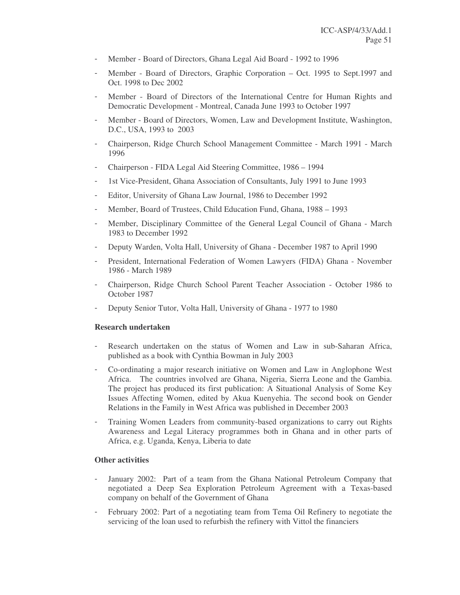- Member Board of Directors, Ghana Legal Aid Board 1992 to 1996
- Member Board of Directors, Graphic Corporation Oct. 1995 to Sept.1997 and Oct. 1998 to Dec 2002
- Member Board of Directors of the International Centre for Human Rights and Democratic Development - Montreal, Canada June 1993 to October 1997
- Member Board of Directors, Women, Law and Development Institute, Washington, D.C., USA, 1993 to 2003
- Chairperson, Ridge Church School Management Committee March 1991 March 1996
- Chairperson FIDA Legal Aid Steering Committee, 1986 1994
- 1st Vice-President, Ghana Association of Consultants, July 1991 to June 1993
- Editor, University of Ghana Law Journal, 1986 to December 1992
- Member, Board of Trustees, Child Education Fund, Ghana, 1988 1993
- Member, Disciplinary Committee of the General Legal Council of Ghana March 1983 to December 1992
- Deputy Warden, Volta Hall, University of Ghana December 1987 to April 1990
- President, International Federation of Women Lawyers (FIDA) Ghana November 1986 - March 1989
- Chairperson, Ridge Church School Parent Teacher Association October 1986 to October 1987
- Deputy Senior Tutor, Volta Hall, University of Ghana 1977 to 1980

#### **Research undertaken**

- Research undertaken on the status of Women and Law in sub-Saharan Africa, published as a book with Cynthia Bowman in July 2003
- Co-ordinating a major research initiative on Women and Law in Anglophone West Africa. The countries involved are Ghana, Nigeria, Sierra Leone and the Gambia. The project has produced its first publication: A Situational Analysis of Some Key Issues Affecting Women, edited by Akua Kuenyehia. The second book on Gender Relations in the Family in West Africa was published in December 2003
- Training Women Leaders from community-based organizations to carry out Rights Awareness and Legal Literacy programmes both in Ghana and in other parts of Africa, e.g. Uganda, Kenya, Liberia to date

#### **Other activities**

- January 2002: Part of a team from the Ghana National Petroleum Company that negotiated a Deep Sea Exploration Petroleum Agreement with a Texas-based company on behalf of the Government of Ghana
- February 2002: Part of a negotiating team from Tema Oil Refinery to negotiate the servicing of the loan used to refurbish the refinery with Vittol the financiers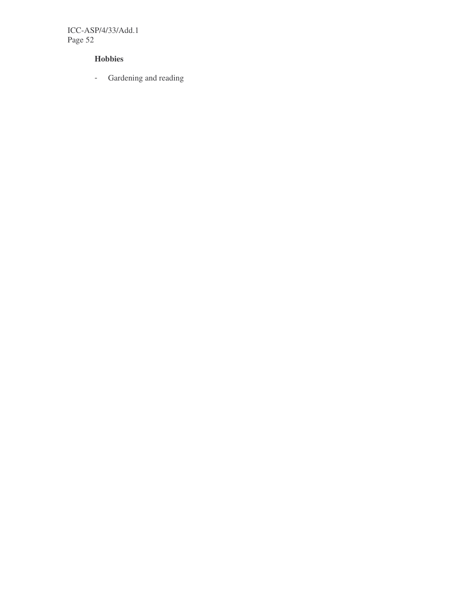ICC-ASP/4/33/Add.1 Page 52

## **Hobbies**

- Gardening and reading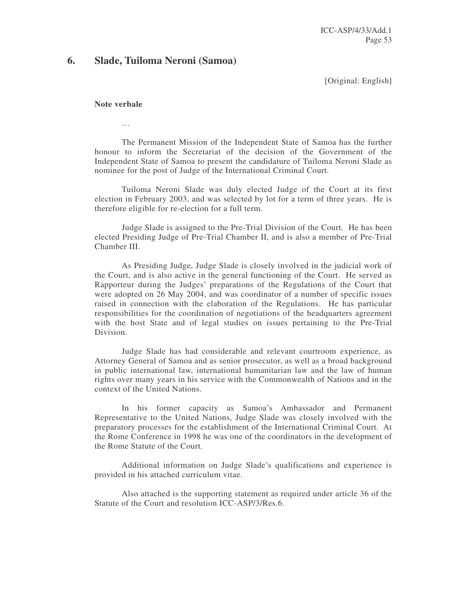## **6. Slade, Tuiloma Neroni (Samoa)**

[Original: English]

#### **Note verbale**

…

The Permanent Mission of the Independent State of Samoa has the further honour to inform the Secretariat of the decision of the Government of the Independent State of Samoa to present the candidature of Tuiloma Neroni Slade as nominee for the post of Judge of the International Criminal Court.

Tuiloma Neroni Slade was duly elected Judge of the Court at its first election in February 2003, and was selected by lot for a term of three years. He is therefore eligible for re-election for a full term.

Judge Slade is assigned to the Pre-Trial Division of the Court. He has been elected Presiding Judge of Pre-Trial Chamber II, and is also a member of Pre-Trial Chamber III.

As Presiding Judge, Judge Slade is closely involved in the judicial work of the Court, and is also active in the general functioning of the Court. He served as Rapporteur during the Judges' preparations of the Regulations of the Court that were adopted on 26 May 2004, and was coordinator of a number of specific issues raised in connection with the elaboration of the Regulations. He has particular responsibilities for the coordination of negotiations of the headquarters agreement with the host State and of legal studies on issues pertaining to the Pre-Trial Division.

Judge Slade has had considerable and relevant courtroom experience, as Attorney General of Samoa and as senior prosecutor, as well as a broad background in public international law, international humanitarian law and the law of human rights over many years in his service with the Commonwealth of Nations and in the context of the United Nations.

In his former capacity as Samoa's Ambassador and Permanent Representative to the United Nations, Judge Slade was closely involved with the preparatory processes for the establishment of the International Criminal Court. At the Rome Conference in 1998 he was one of the coordinators in the development of the Rome Statute of the Court.

Additional information on Judge Slade's qualifications and experience is provided in his attached curriculum vitae.

Also attached is the supporting statement as required under article 36 of the Statute of the Court and resolution ICC-ASP/3/Res.6.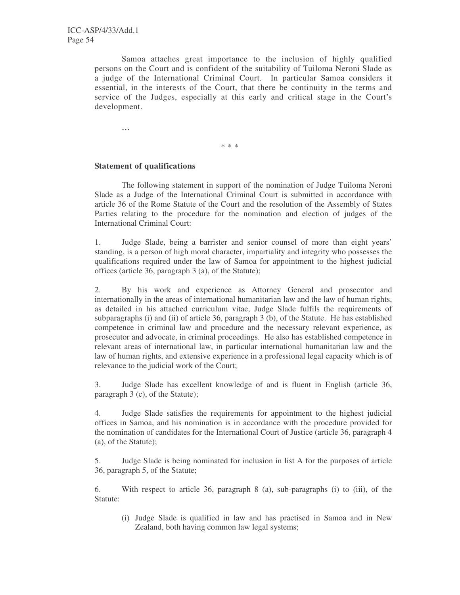Samoa attaches great importance to the inclusion of highly qualified persons on the Court and is confident of the suitability of Tuiloma Neroni Slade as a judge of the International Criminal Court. In particular Samoa considers it essential, in the interests of the Court, that there be continuity in the terms and service of the Judges, especially at this early and critical stage in the Court's development.

...

\* \* \*

## **Statement of qualifications**

The following statement in support of the nomination of Judge Tuiloma Neroni Slade as a Judge of the International Criminal Court is submitted in accordance with article 36 of the Rome Statute of the Court and the resolution of the Assembly of States Parties relating to the procedure for the nomination and election of judges of the International Criminal Court:

1. Judge Slade, being a barrister and senior counsel of more than eight years' standing, is a person of high moral character, impartiality and integrity who possesses the qualifications required under the law of Samoa for appointment to the highest judicial offices (article 36, paragraph 3 (a), of the Statute);

2. By his work and experience as Attorney General and prosecutor and internationally in the areas of international humanitarian law and the law of human rights, as detailed in his attached curriculum vitae, Judge Slade fulfils the requirements of subparagraphs (i) and (ii) of article 36, paragraph 3 (b), of the Statute. He has established competence in criminal law and procedure and the necessary relevant experience, as prosecutor and advocate, in criminal proceedings. He also has established competence in relevant areas of international law, in particular international humanitarian law and the law of human rights, and extensive experience in a professional legal capacity which is of relevance to the judicial work of the Court;

3. Judge Slade has excellent knowledge of and is fluent in English (article 36, paragraph 3 (c), of the Statute);

4. Judge Slade satisfies the requirements for appointment to the highest judicial offices in Samoa, and his nomination is in accordance with the procedure provided for the nomination of candidates for the International Court of Justice (article 36, paragraph 4 (a), of the Statute);

5. Judge Slade is being nominated for inclusion in list A for the purposes of article 36, paragraph 5, of the Statute;

6. With respect to article 36, paragraph 8 (a), sub-paragraphs (i) to (iii), of the Statute:

(i) Judge Slade is qualified in law and has practised in Samoa and in New Zealand, both having common law legal systems;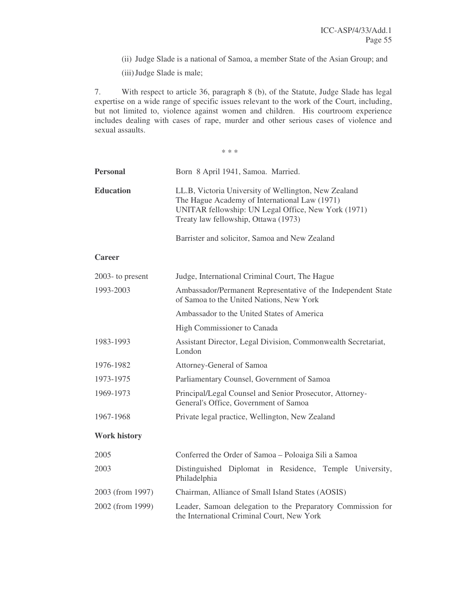(ii) Judge Slade is a national of Samoa, a member State of the Asian Group; and

(iii)Judge Slade is male;

7. With respect to article 36, paragraph 8 (b), of the Statute, Judge Slade has legal expertise on a wide range of specific issues relevant to the work of the Court, including, but not limited to, violence against women and children. His courtroom experience includes dealing with cases of rape, murder and other serious cases of violence and sexual assaults.

\* \* \*

| <b>Personal</b>     | Born 8 April 1941, Samoa. Married.                                                                                                                                                                   |  |  |
|---------------------|------------------------------------------------------------------------------------------------------------------------------------------------------------------------------------------------------|--|--|
| <b>Education</b>    | LL.B, Victoria University of Wellington, New Zealand<br>The Hague Academy of International Law (1971)<br>UNITAR fellowship: UN Legal Office, New York (1971)<br>Treaty law fellowship, Ottawa (1973) |  |  |
|                     | Barrister and solicitor, Samoa and New Zealand                                                                                                                                                       |  |  |
| <b>Career</b>       |                                                                                                                                                                                                      |  |  |
| $2003$ - to present | Judge, International Criminal Court, The Hague                                                                                                                                                       |  |  |
| 1993-2003           | Ambassador/Permanent Representative of the Independent State<br>of Samoa to the United Nations, New York                                                                                             |  |  |
|                     | Ambassador to the United States of America                                                                                                                                                           |  |  |
|                     | High Commissioner to Canada                                                                                                                                                                          |  |  |
| 1983-1993           | Assistant Director, Legal Division, Commonwealth Secretariat,<br>London                                                                                                                              |  |  |
| 1976-1982           | Attorney-General of Samoa                                                                                                                                                                            |  |  |
| 1973-1975           | Parliamentary Counsel, Government of Samoa                                                                                                                                                           |  |  |
| 1969-1973           | Principal/Legal Counsel and Senior Prosecutor, Attorney-<br>General's Office, Government of Samoa                                                                                                    |  |  |
| 1967-1968           | Private legal practice, Wellington, New Zealand                                                                                                                                                      |  |  |
| <b>Work history</b> |                                                                                                                                                                                                      |  |  |
| 2005                | Conferred the Order of Samoa - Poloaiga Sili a Samoa                                                                                                                                                 |  |  |
| 2003                | Distinguished Diplomat in Residence, Temple University,<br>Philadelphia                                                                                                                              |  |  |
| 2003 (from 1997)    | Chairman, Alliance of Small Island States (AOSIS)                                                                                                                                                    |  |  |
| 2002 (from 1999)    | Leader, Samoan delegation to the Preparatory Commission for<br>the International Criminal Court, New York                                                                                            |  |  |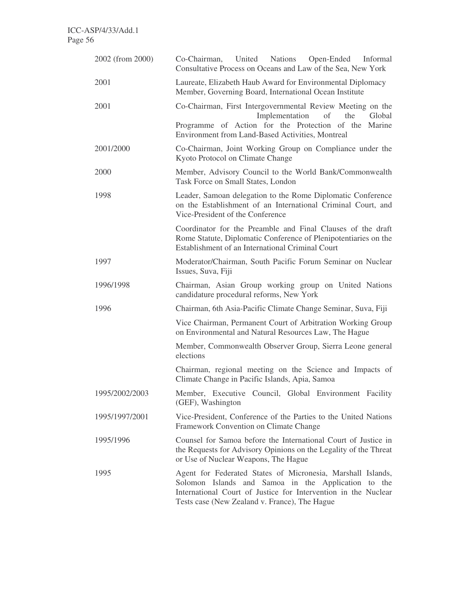| 2002 (from 2000) | Co-Chairman, United Nations Open-Ended Informal<br>Consultative Process on Oceans and Law of the Sea, New York                                                                                                                        |  |  |  |
|------------------|---------------------------------------------------------------------------------------------------------------------------------------------------------------------------------------------------------------------------------------|--|--|--|
| 2001             | Laureate, Elizabeth Haub Award for Environmental Diplomacy<br>Member, Governing Board, International Ocean Institute                                                                                                                  |  |  |  |
| 2001             | Co-Chairman, First Intergovernmental Review Meeting on the<br>Implementation<br>of<br>the<br>Global<br>Programme of Action for the Protection of the Marine<br>Environment from Land-Based Activities, Montreal                       |  |  |  |
| 2001/2000        | Co-Chairman, Joint Working Group on Compliance under the<br>Kyoto Protocol on Climate Change                                                                                                                                          |  |  |  |
| 2000             | Member, Advisory Council to the World Bank/Commonwealth<br>Task Force on Small States, London                                                                                                                                         |  |  |  |
| 1998             | Leader, Samoan delegation to the Rome Diplomatic Conference<br>on the Establishment of an International Criminal Court, and<br>Vice-President of the Conference                                                                       |  |  |  |
|                  | Coordinator for the Preamble and Final Clauses of the draft<br>Rome Statute, Diplomatic Conference of Plenipotentiaries on the<br>Establishment of an International Criminal Court                                                    |  |  |  |
| 1997             | Moderator/Chairman, South Pacific Forum Seminar on Nuclear<br>Issues, Suva, Fiji                                                                                                                                                      |  |  |  |
| 1996/1998        | Chairman, Asian Group working group on United Nations<br>candidature procedural reforms, New York                                                                                                                                     |  |  |  |
| 1996             | Chairman, 6th Asia-Pacific Climate Change Seminar, Suva, Fiji                                                                                                                                                                         |  |  |  |
|                  | Vice Chairman, Permanent Court of Arbitration Working Group<br>on Environmental and Natural Resources Law, The Hague                                                                                                                  |  |  |  |
|                  | Member, Commonwealth Observer Group, Sierra Leone general<br>elections                                                                                                                                                                |  |  |  |
|                  | Chairman, regional meeting on the Science and Impacts of<br>Climate Change in Pacific Islands, Apia, Samoa                                                                                                                            |  |  |  |
| 1995/2002/2003   | Member, Executive Council, Global Environment Facility<br>(GEF), Washington                                                                                                                                                           |  |  |  |
| 1995/1997/2001   | Vice-President, Conference of the Parties to the United Nations<br>Framework Convention on Climate Change                                                                                                                             |  |  |  |
| 1995/1996        | Counsel for Samoa before the International Court of Justice in<br>the Requests for Advisory Opinions on the Legality of the Threat<br>or Use of Nuclear Weapons, The Hague                                                            |  |  |  |
| 1995             | Agent for Federated States of Micronesia, Marshall Islands,<br>Solomon Islands and Samoa in the Application to the<br>International Court of Justice for Intervention in the Nuclear<br>Tests case (New Zealand v. France), The Hague |  |  |  |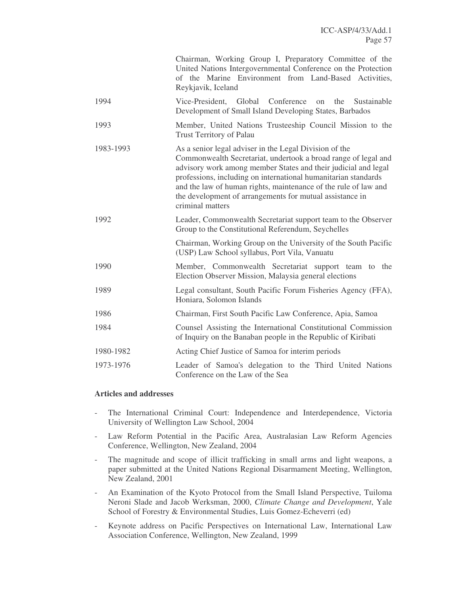|           | Chairman, Working Group I, Preparatory Committee of the<br>United Nations Intergovernmental Conference on the Protection<br>of the Marine Environment from Land-Based Activities,<br>Reykjavik, Iceland                                                                                                                                                                                                         |  |  |
|-----------|-----------------------------------------------------------------------------------------------------------------------------------------------------------------------------------------------------------------------------------------------------------------------------------------------------------------------------------------------------------------------------------------------------------------|--|--|
| 1994      | Vice-President, Global Conference<br>the<br>Sustainable<br>$_{\rm on}$<br>Development of Small Island Developing States, Barbados                                                                                                                                                                                                                                                                               |  |  |
| 1993      | Member, United Nations Trusteeship Council Mission to the<br><b>Trust Territory of Palau</b>                                                                                                                                                                                                                                                                                                                    |  |  |
| 1983-1993 | As a senior legal adviser in the Legal Division of the<br>Commonwealth Secretariat, undertook a broad range of legal and<br>advisory work among member States and their judicial and legal<br>professions, including on international humanitarian standards<br>and the law of human rights, maintenance of the rule of law and<br>the development of arrangements for mutual assistance in<br>criminal matters |  |  |
| 1992      | Leader, Commonwealth Secretariat support team to the Observer<br>Group to the Constitutional Referendum, Seychelles                                                                                                                                                                                                                                                                                             |  |  |
|           | Chairman, Working Group on the University of the South Pacific<br>(USP) Law School syllabus, Port Vila, Vanuatu                                                                                                                                                                                                                                                                                                 |  |  |
| 1990      | Member, Commonwealth Secretariat support team to the<br>Election Observer Mission, Malaysia general elections                                                                                                                                                                                                                                                                                                   |  |  |
| 1989      | Legal consultant, South Pacific Forum Fisheries Agency (FFA),<br>Honiara, Solomon Islands                                                                                                                                                                                                                                                                                                                       |  |  |
| 1986      | Chairman, First South Pacific Law Conference, Apia, Samoa                                                                                                                                                                                                                                                                                                                                                       |  |  |
| 1984      | Counsel Assisting the International Constitutional Commission<br>of Inquiry on the Banaban people in the Republic of Kiribati                                                                                                                                                                                                                                                                                   |  |  |
| 1980-1982 | Acting Chief Justice of Samoa for interim periods                                                                                                                                                                                                                                                                                                                                                               |  |  |
| 1973-1976 | Leader of Samoa's delegation to the Third United Nations<br>Conference on the Law of the Sea                                                                                                                                                                                                                                                                                                                    |  |  |

#### **Articles and addresses**

- The International Criminal Court: Independence and Interdependence, Victoria University of Wellington Law School, 2004
- Law Reform Potential in the Pacific Area, Australasian Law Reform Agencies Conference, Wellington, New Zealand, 2004
- The magnitude and scope of illicit trafficking in small arms and light weapons, a paper submitted at the United Nations Regional Disarmament Meeting, Wellington, New Zealand, 2001
- An Examination of the Kyoto Protocol from the Small Island Perspective, Tuiloma Neroni Slade and Jacob Werksman, 2000, *Climate Change and Development*, Yale School of Forestry & Environmental Studies, Luis Gomez-Echeverri (ed)
- Keynote address on Pacific Perspectives on International Law, International Law Association Conference, Wellington, New Zealand, 1999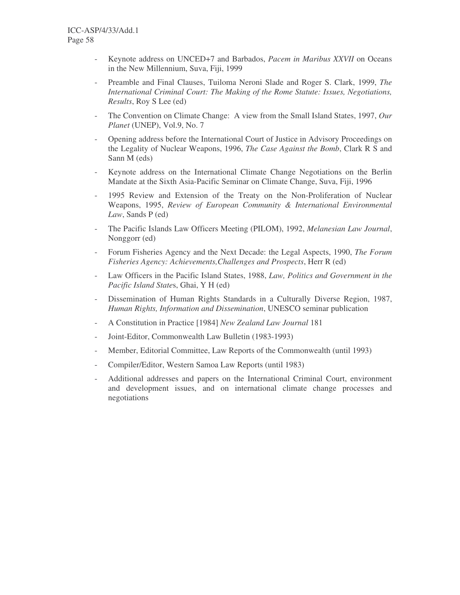- Keynote address on UNCED+7 and Barbados, *Pacem in Maribus XXVII* on Oceans in the New Millennium, Suva, Fiji, 1999
- Preamble and Final Clauses, Tuiloma Neroni Slade and Roger S. Clark, 1999, *The International Criminal Court: The Making of the Rome Statute: Issues, Negotiations, Results*, Roy S Lee (ed)
- The Convention on Climate Change: A view from the Small Island States, 1997, Our *Planet* (UNEP), Vol.9, No. 7
- Opening address before the International Court of Justice in Advisory Proceedings on the Legality of Nuclear Weapons, 1996, *The Case Against the Bomb*, Clark R S and Sann M (eds)
- Keynote address on the International Climate Change Negotiations on the Berlin Mandate at the Sixth Asia-Pacific Seminar on Climate Change, Suva, Fiji, 1996
- 1995 Review and Extension of the Treaty on the Non-Proliferation of Nuclear Weapons, 1995, *Review of European Community & International Environmental Law*, Sands P (ed)
- The Pacific Islands Law Officers Meeting (PILOM), 1992, *Melanesian Law Journal*, Nonggorr (ed)
- Forum Fisheries Agency and the Next Decade: the Legal Aspects, 1990, *The Forum Fisheries Agency: Achievements,Challenges and Prospects*, Herr R (ed)
- Law Officers in the Pacific Island States, 1988, *Law, Politics and Government in the Pacific Island State*s, Ghai, Y H (ed)
- Dissemination of Human Rights Standards in a Culturally Diverse Region, 1987, *Human Rights, Information and Dissemination*, UNESCO seminar publication
- A Constitution in Practice [1984] *New Zealand Law Journal* 181
- Joint-Editor, Commonwealth Law Bulletin (1983-1993)
- Member, Editorial Committee, Law Reports of the Commonwealth (until 1993)
- Compiler/Editor, Western Samoa Law Reports (until 1983)
- Additional addresses and papers on the International Criminal Court, environment and development issues, and on international climate change processes and negotiations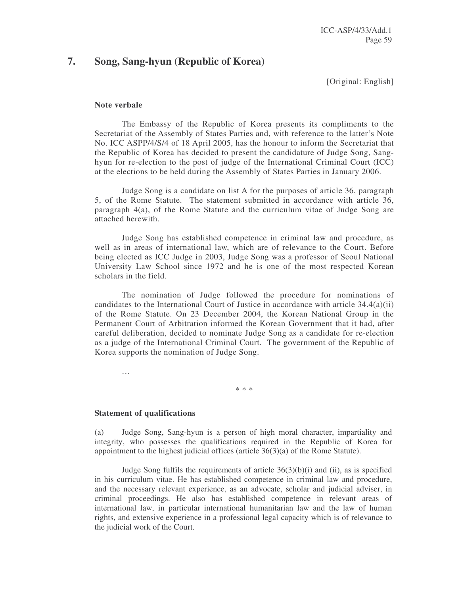## **7. Song, Sang-hyun (Republic of Korea)**

[Original: English]

#### **Note verbale**

The Embassy of the Republic of Korea presents its compliments to the Secretariat of the Assembly of States Parties and, with reference to the latter's Note No. ICC ASPP/4/S/4 of 18 April 2005, has the honour to inform the Secretariat that the Republic of Korea has decided to present the candidature of Judge Song, Sanghyun for re-election to the post of judge of the International Criminal Court (ICC) at the elections to be held during the Assembly of States Parties in January 2006.

Judge Song is a candidate on list A for the purposes of article 36, paragraph 5, of the Rome Statute. The statement submitted in accordance with article 36, paragraph 4(a), of the Rome Statute and the curriculum vitae of Judge Song are attached herewith.

Judge Song has established competence in criminal law and procedure, as well as in areas of international law, which are of relevance to the Court. Before being elected as ICC Judge in 2003, Judge Song was a professor of Seoul National University Law School since 1972 and he is one of the most respected Korean scholars in the field.

The nomination of Judge followed the procedure for nominations of candidates to the International Court of Justice in accordance with article 34.4(a)(ii) of the Rome Statute. On 23 December 2004, the Korean National Group in the Permanent Court of Arbitration informed the Korean Government that it had, after careful deliberation, decided to nominate Judge Song as a candidate for re-election as a judge of the International Criminal Court. The government of the Republic of Korea supports the nomination of Judge Song.

\* \* \*

…

**Statement of qualifications**

(a) Judge Song, Sang-hyun is a person of high moral character, impartiality and integrity, who possesses the qualifications required in the Republic of Korea for appointment to the highest judicial offices (article 36(3)(a) of the Rome Statute).

Judge Song fulfils the requirements of article  $36(3)(b)(i)$  and (ii), as is specified in his curriculum vitae. He has established competence in criminal law and procedure, and the necessary relevant experience, as an advocate, scholar and judicial adviser, in criminal proceedings. He also has established competence in relevant areas of international law, in particular international humanitarian law and the law of human rights, and extensive experience in a professional legal capacity which is of relevance to the judicial work of the Court.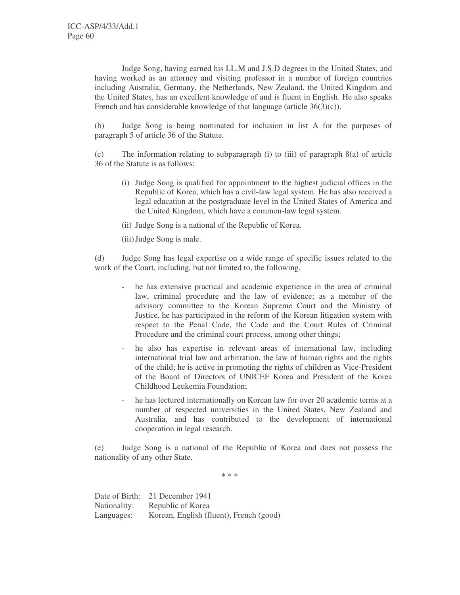Judge Song, having earned his LL.M and J.S.D degrees in the United States, and having worked as an attorney and visiting professor in a number of foreign countries including Australia, Germany, the Netherlands, New Zealand, the United Kingdom and the United States, has an excellent knowledge of and is fluent in English. He also speaks French and has considerable knowledge of that language (article  $36(3)(c)$ ).

(b) Judge Song is being nominated for inclusion in list A for the purposes of paragraph 5 of article 36 of the Statute.

(c) The information relating to subparagraph (i) to (iii) of paragraph 8(a) of article 36 of the Statute is as follows:

- (i) Judge Song is qualified for appointment to the highest judicial offices in the Republic of Korea, which has a civil-law legal system. He has also received a legal education at the postgraduate level in the United States of America and the United Kingdom, which have a common-law legal system.
- (ii) Judge Song is a national of the Republic of Korea.
- (iii)Judge Song is male.

(d) Judge Song has legal expertise on a wide range of specific issues related to the work of the Court, including, but not limited to, the following.

- he has extensive practical and academic experience in the area of criminal law, criminal procedure and the law of evidence; as a member of the advisory committee to the Korean Supreme Court and the Ministry of Justice, he has participated in the reform of the Korean litigation system with respect to the Penal Code, the Code and the Court Rules of Criminal Procedure and the criminal court process, among other things;
- he also has expertise in relevant areas of international law, including international trial law and arbitration, the law of human rights and the rights of the child; he is active in promoting the rights of children as Vice-President of the Board of Directors of UNICEF Korea and President of the Korea Childhood Leukemia Foundation;
- he has lectured internationally on Korean law for over 20 academic terms at a number of respected universities in the United States, New Zealand and Australia, and has contributed to the development of international cooperation in legal research.

(e) Judge Song is a national of the Republic of Korea and does not possess the nationality of any other State.

\* \* \*

Date of Birth: 21 December 1941 Nationality: Republic of Korea Languages: Korean, English (fluent), French (good)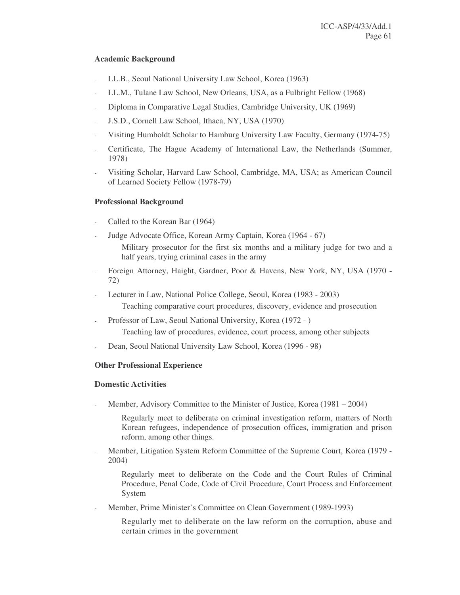## **Academic Background**

- LL.B., Seoul National University Law School, Korea (1963)
- LL.M., Tulane Law School, New Orleans, USA, as a Fulbright Fellow (1968)
- Diploma in Comparative Legal Studies, Cambridge University, UK (1969)
- J.S.D., Cornell Law School, Ithaca, NY, USA (1970)
- Visiting Humboldt Scholar to Hamburg University Law Faculty, Germany (1974-75)
- Certificate, The Hague Academy of International Law, the Netherlands (Summer, 1978)
- Visiting Scholar, Harvard Law School, Cambridge, MA, USA; as American Council of Learned Society Fellow (1978-79)

## **Professional Background**

- Called to the Korean Bar (1964)
- Judge Advocate Office, Korean Army Captain, Korea (1964 67)
	- Military prosecutor for the first six months and a military judge for two and a half years, trying criminal cases in the army
- Foreign Attorney, Haight, Gardner, Poor & Havens, New York, NY, USA (1970 72)
- Lecturer in Law, National Police College, Seoul, Korea (1983 2003) Teaching comparative court procedures, discovery, evidence and prosecution
- Professor of Law, Seoul National University, Korea (1972 ) Teaching law of procedures, evidence, court process, among other subjects
- Dean, Seoul National University Law School, Korea (1996 98)

## **Other Professional Experience**

## **Domestic Activities**

Member, Advisory Committee to the Minister of Justice, Korea (1981 – 2004)

Regularly meet to deliberate on criminal investigation reform, matters of North Korean refugees, independence of prosecution offices, immigration and prison reform, among other things.

- Member, Litigation System Reform Committee of the Supreme Court, Korea (1979 - 2004)

Regularly meet to deliberate on the Code and the Court Rules of Criminal Procedure, Penal Code, Code of Civil Procedure, Court Process and Enforcement System

Member, Prime Minister's Committee on Clean Government (1989-1993)

Regularly met to deliberate on the law reform on the corruption, abuse and certain crimes in the government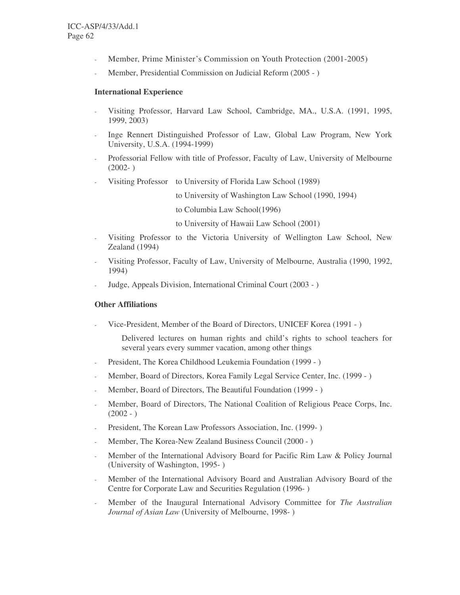- Member, Prime Minister's Commission on Youth Protection (2001-2005)
- Member, Presidential Commission on Judicial Reform (2005 )

#### **International Experience**

- Visiting Professor, Harvard Law School, Cambridge, MA., U.S.A. (1991, 1995, 1999, 2003)
- Inge Rennert Distinguished Professor of Law, Global Law Program, New York University, U.S.A. (1994-1999)
- Professorial Fellow with title of Professor, Faculty of Law, University of Melbourne  $(2002 - )$
- Visiting Professor to University of Florida Law School (1989)

to University of Washington Law School (1990, 1994)

to Columbia Law School(1996)

to University of Hawaii Law School (2001)

- Visiting Professor to the Victoria University of Wellington Law School, New Zealand (1994)
- Visiting Professor, Faculty of Law, University of Melbourne, Australia (1990, 1992, 1994)
- Judge, Appeals Division, International Criminal Court (2003 )

#### **Other Affiliations**

- Vice-President, Member of the Board of Directors, UNICEF Korea (1991 - )

Delivered lectures on human rights and child's rights to school teachers for several years every summer vacation, among other things

- President, The Korea Childhood Leukemia Foundation (1999 )
- Member, Board of Directors, Korea Family Legal Service Center, Inc. (1999 )
- Member, Board of Directors, The Beautiful Foundation (1999 )
- Member, Board of Directors, The National Coalition of Religious Peace Corps, Inc.  $(2002 - )$
- President, The Korean Law Professors Association, Inc. (1999-)
- Member, The Korea-New Zealand Business Council (2000 )
- Member of the International Advisory Board for Pacific Rim Law & Policy Journal (University of Washington, 1995- )
- Member of the International Advisory Board and Australian Advisory Board of the Centre for Corporate Law and Securities Regulation (1996- )
- Member of the Inaugural International Advisory Committee for *The Australian Journal of Asian Law* (University of Melbourne, 1998- )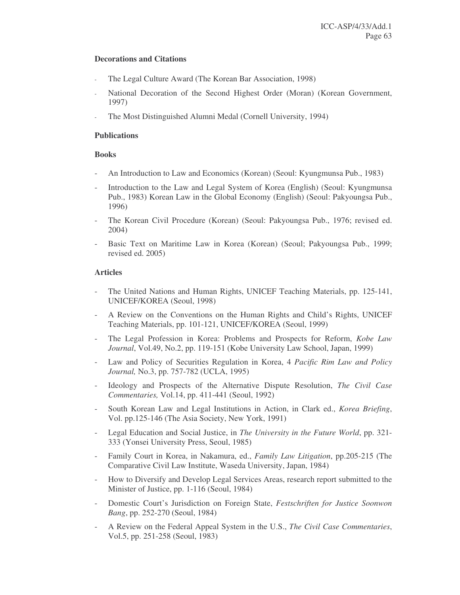### **Decorations and Citations**

- The Legal Culture Award (The Korean Bar Association, 1998)
- National Decoration of the Second Highest Order (Moran) (Korean Government, 1997)
- The Most Distinguished Alumni Medal (Cornell University, 1994)

### **Publications**

## **Books**

- An Introduction to Law and Economics (Korean) (Seoul: Kyungmunsa Pub., 1983)
- Introduction to the Law and Legal System of Korea (English) (Seoul: Kyungmunsa Pub., 1983) Korean Law in the Global Economy (English) (Seoul: Pakyoungsa Pub., 1996)
- The Korean Civil Procedure (Korean) (Seoul: Pakyoungsa Pub., 1976; revised ed. 2004)
- Basic Text on Maritime Law in Korea (Korean) (Seoul; Pakyoungsa Pub., 1999; revised ed. 2005)

## **Articles**

- The United Nations and Human Rights, UNICEF Teaching Materials, pp. 125-141, UNICEF/KOREA (Seoul, 1998)
- A Review on the Conventions on the Human Rights and Child's Rights, UNICEF Teaching Materials, pp. 101-121, UNICEF/KOREA (Seoul, 1999)
- The Legal Profession in Korea: Problems and Prospects for Reform, *Kobe Law Journal*, Vol.49, No.2, pp. 119-151 (Kobe University Law School, Japan, 1999)
- Law and Policy of Securities Regulation in Korea, 4 *Pacific Rim Law and Policy Journal,* No.3, pp. 757-782 (UCLA, 1995)
- Ideology and Prospects of the Alternative Dispute Resolution, *The Civil Case Commentaries,* Vol.14, pp. 411-441 (Seoul, 1992)
- South Korean Law and Legal Institutions in Action, in Clark ed., *Korea Briefing*, Vol. pp.125-146 (The Asia Society, New York, 1991)
- Legal Education and Social Justice, in *The University in the Future World*, pp. 321- 333 (Yonsei University Press, Seoul, 1985)
- Family Court in Korea, in Nakamura, ed., *Family Law Litigation*, pp.205-215 (The Comparative Civil Law Institute, Waseda University, Japan, 1984)
- How to Diversify and Develop Legal Services Areas, research report submitted to the Minister of Justice, pp. 1-116 (Seoul, 1984)
- Domestic Court's Jurisdiction on Foreign State, *Festschriften for Justice Soonwon Bang*, pp. 252-270 (Seoul, 1984)
- A Review on the Federal Appeal System in the U.S., *The Civil Case Commentaries*, Vol.5, pp. 251-258 (Seoul, 1983)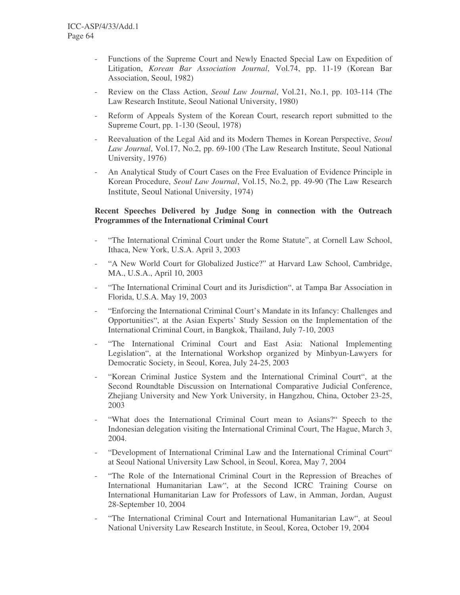- Functions of the Supreme Court and Newly Enacted Special Law on Expedition of Litigation, *Korean Bar Association Journal*, Vol.74, pp. 11-19 (Korean Bar Association, Seoul, 1982)
- Review on the Class Action, *Seoul Law Journal*, Vol.21, No.1, pp. 103-114 (The Law Research Institute, Seoul National University, 1980)
- Reform of Appeals System of the Korean Court, research report submitted to the Supreme Court, pp. 1-130 (Seoul, 1978)
- Reevaluation of the Legal Aid and its Modern Themes in Korean Perspective, *Seoul Law Journal*, Vol.17, No.2, pp. 69-100 (The Law Research Institute, Seoul National University, 1976)
- An Analytical Study of Court Cases on the Free Evaluation of Evidence Principle in Korean Procedure, *Seoul Law Journal*, Vol.15, No.2, pp. 49-90 (The Law Research Institute, Seoul National University, 1974)

## **Recent Speeches Delivered by Judge Song in connection with the Outreach Programmes of the International Criminal Court**

- "The International Criminal Court under the Rome Statute", at Cornell Law School, Ithaca, New York, U.S.A. April 3, 2003
- "A New World Court for Globalized Justice?" at Harvard Law School, Cambridge, MA., U.S.A., April 10, 2003
- "The International Criminal Court and its Jurisdiction", at Tampa Bar Association in Florida, U.S.A. May 19, 2003
- "Enforcing the International Criminal Court's Mandate in its Infancy: Challenges and Opportunities", at the Asian Experts' Study Session on the Implementation of the International Criminal Court, in Bangkok, Thailand, July 7-10, 2003
- "The International Criminal Court and East Asia: National Implementing Legislation", at the International Workshop organized by Minbyun-Lawyers for Democratic Society, in Seoul, Korea, July 24-25, 2003
- "Korean Criminal Justice System and the International Criminal Court", at the Second Roundtable Discussion on International Comparative Judicial Conference, Zhejiang University and New York University, in Hangzhou, China, October 23-25, 2003
- "What does the International Criminal Court mean to Asians?" Speech to the Indonesian delegation visiting the International Criminal Court, The Hague, March 3, 2004.
- "Development of International Criminal Law and the International Criminal Court" at Seoul National University Law School, in Seoul, Korea, May 7, 2004
- "The Role of the International Criminal Court in the Repression of Breaches of International Humanitarian Law", at the Second ICRC Training Course on International Humanitarian Law for Professors of Law, in Amman, Jordan, August 28-September 10, 2004
- "The International Criminal Court and International Humanitarian Law", at Seoul National University Law Research Institute, in Seoul, Korea, October 19, 2004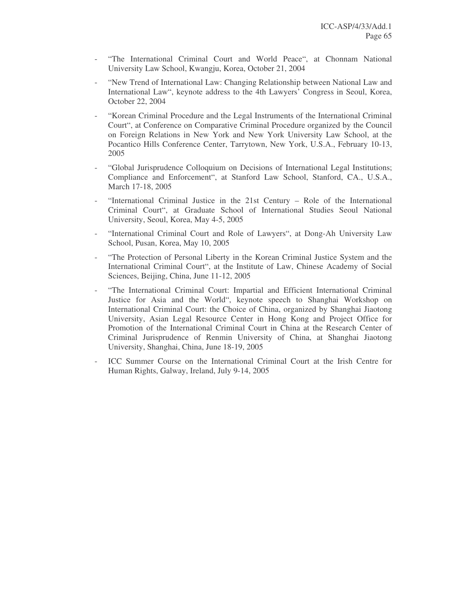- "The International Criminal Court and World Peace", at Chonnam National University Law School, Kwangju, Korea, October 21, 2004
- "New Trend of International Law: Changing Relationship between National Law and International Law", keynote address to the 4th Lawyers' Congress in Seoul, Korea, October 22, 2004
- "Korean Criminal Procedure and the Legal Instruments of the International Criminal Court", at Conference on Comparative Criminal Procedure organized by the Council on Foreign Relations in New York and New York University Law School, at the Pocantico Hills Conference Center, Tarrytown, New York, U.S.A., February 10-13, 2005
- "Global Jurisprudence Colloquium on Decisions of International Legal Institutions; Compliance and Enforcement", at Stanford Law School, Stanford, CA., U.S.A., March 17-18, 2005
- "International Criminal Justice in the 21st Century Role of the International Criminal Court", at Graduate School of International Studies Seoul National University, Seoul, Korea, May 4-5, 2005
- "International Criminal Court and Role of Lawyers", at Dong-Ah University Law School, Pusan, Korea, May 10, 2005
- "The Protection of Personal Liberty in the Korean Criminal Justice System and the International Criminal Court", at the Institute of Law, Chinese Academy of Social Sciences, Beijing, China, June 11-12, 2005
- "The International Criminal Court: Impartial and Efficient International Criminal Justice for Asia and the World", keynote speech to Shanghai Workshop on International Criminal Court: the Choice of China, organized by Shanghai Jiaotong University, Asian Legal Resource Center in Hong Kong and Project Office for Promotion of the International Criminal Court in China at the Research Center of Criminal Jurisprudence of Renmin University of China, at Shanghai Jiaotong University, Shanghai, China, June 18-19, 2005
- ICC Summer Course on the International Criminal Court at the Irish Centre for Human Rights, Galway, Ireland, July 9-14, 2005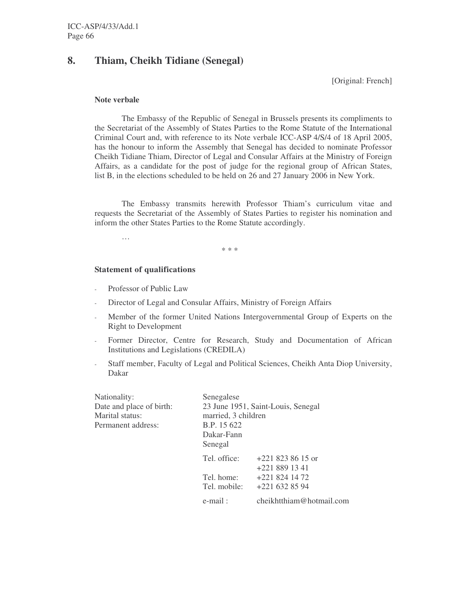# **8. Thiam, Cheikh Tidiane (Senegal)**

[Original: French]

#### **Note verbale**

The Embassy of the Republic of Senegal in Brussels presents its compliments to the Secretariat of the Assembly of States Parties to the Rome Statute of the International Criminal Court and, with reference to its Note verbale ICC-ASP 4/S/4 of 18 April 2005, has the honour to inform the Assembly that Senegal has decided to nominate Professor Cheikh Tidiane Thiam, Director of Legal and Consular Affairs at the Ministry of Foreign Affairs, as a candidate for the post of judge for the regional group of African States, list B, in the elections scheduled to be held on 26 and 27 January 2006 in New York.

The Embassy transmits herewith Professor Thiam's curriculum vitae and requests the Secretariat of the Assembly of States Parties to register his nomination and inform the other States Parties to the Rome Statute accordingly.

…

\* \* \*

### **Statement of qualifications**

- Professor of Public Law
- Director of Legal and Consular Affairs, Ministry of Foreign Affairs
- Member of the former United Nations Intergovernmental Group of Experts on the Right to Development
- Former Director, Centre for Research, Study and Documentation of African Institutions and Legislations (CREDILA)
- Staff member, Faculty of Legal and Political Sciences, Cheikh Anta Diop University, Dakar

| Nationality:<br>Date and place of birth:<br>Marital status:<br>Permanent address: | Senegalese<br>23 June 1951, Saint-Louis, Senegal<br>married, 3 children<br>B.P. 15 622<br>Dakar-Fann<br>Senegal |                                                    |
|-----------------------------------------------------------------------------------|-----------------------------------------------------------------------------------------------------------------|----------------------------------------------------|
|                                                                                   | Tel. office:<br>Tel. home:                                                                                      | $+2218238615$ or<br>$+2218891341$<br>$+2218241472$ |
|                                                                                   | Tel. mobile:                                                                                                    | $+2216328594$                                      |
|                                                                                   | e-mail:                                                                                                         | cheikhtthiam@hotmail.com                           |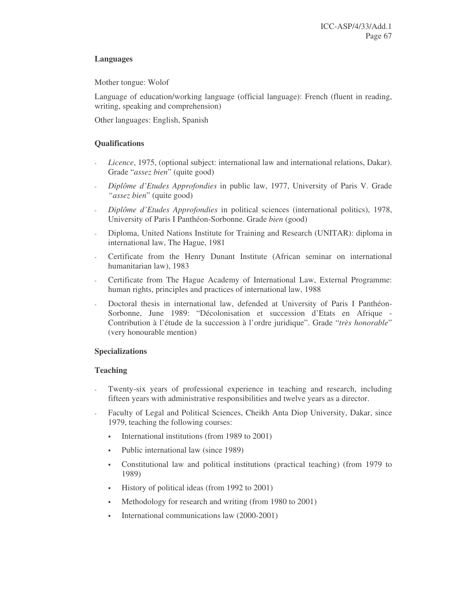## **Languages**

Mother tongue: Wolof

Language of education/working language (official language): French (fluent in reading, writing, speaking and comprehension)

Other languages: English, Spanish

## **Qualifications**

- *Licence*, 1975, (optional subject: international law and international relations, Dakar). Grade "*assez bien*" (quite good)
- *Diplôme d'Etudes Approfondies* in public law, 1977, University of Paris V. Grade *"assez bien*" (quite good)
- *Diplôme d'Etudes Approfondies* in political sciences (international politics), 1978, University of Paris I Panthéon-Sorbonne. Grade *bien* (good)
- Diploma, United Nations Institute for Training and Research (UNITAR): diploma in international law, The Hague, 1981
- Certificate from the Henry Dunant Institute (African seminar on international humanitarian law), 1983
- Certificate from The Hague Academy of International Law, External Programme: human rights, principles and practices of international law, 1988
- Doctoral thesis in international law, defended at University of Paris I Panthéon-Sorbonne, June 1989: "Décolonisation et succession d'Etats en Afrique - Contribution à l'étude de la succession à l'ordre juridique". Grade "*très honorable*" (very honourable mention)

## **Specializations**

## **Teaching**

- Twenty-six years of professional experience in teaching and research, including fifteen years with administrative responsibilities and twelve years as a director.
- Faculty of Legal and Political Sciences, Cheikh Anta Diop University, Dakar, since 1979, teaching the following courses:
	- International institutions (from 1989 to 2001)
	- Public international law (since 1989)
	- Constitutional law and political institutions (practical teaching) (from 1979 to 1989)
	- History of political ideas (from 1992 to 2001)
	- Methodology for research and writing (from 1980 to 2001)
	- International communications law (2000-2001)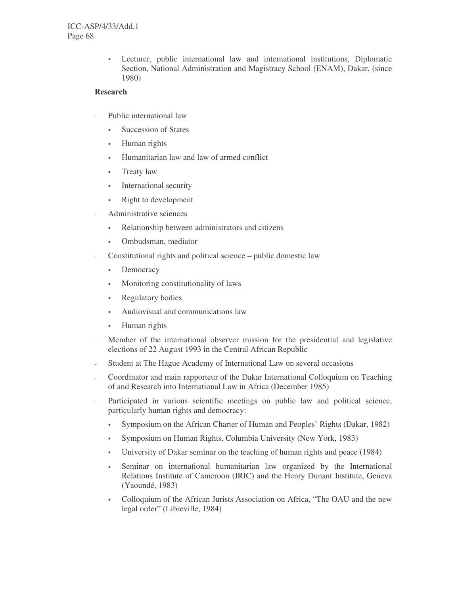Lecturer, public international law and international institutions, Diplomatic Section, National Administration and Magistracy School (ENAM), Dakar, (since 1980)

## **Research**

- Public international law
	- Succession of States
	- Human rights
	- Humanitarian law and law of armed conflict
	- **Treaty law**
	- **International security**
	- Right to development
- Administrative sciences
	- Relationship between administrators and citizens
	- Ombudsman, mediator
- Constitutional rights and political science public domestic law
	- **Democracy**
	- Monitoring constitutionality of laws
	- Regulatory bodies
	- Audiovisual and communications law
	- Human rights
- Member of the international observer mission for the presidential and legislative elections of 22 August 1993 in the Central African Republic
- Student at The Hague Academy of International Law on several occasions
- Coordinator and main rapporteur of the Dakar International Colloquium on Teaching of and Research into International Law in Africa (December 1985)
- Participated in various scientific meetings on public law and political science, particularly human rights and democracy:
	- Symposium on the African Charter of Human and Peoples' Rights (Dakar, 1982)
	- Symposium on Human Rights, Columbia University (New York, 1983)
	- University of Dakar seminar on the teaching of human rights and peace (1984)
	- Seminar on international humanitarian law organized by the International Relations Institute of Cameroon (IRIC) and the Henry Dunant Institute, Geneva (Yaoundé, 1983)
	- Colloquium of the African Jurists Association on Africa, "The OAU and the new legal order" (Libreville, 1984)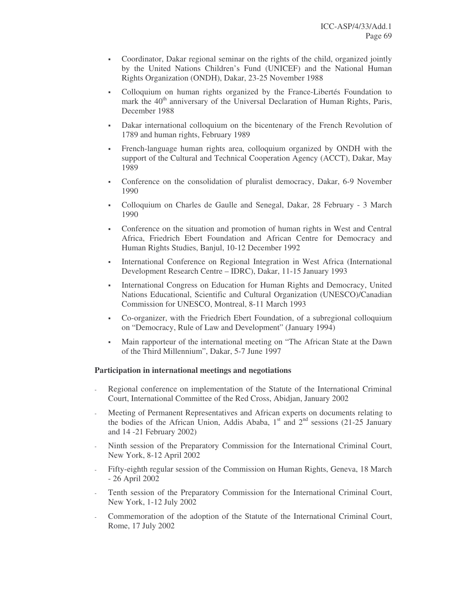- Coordinator, Dakar regional seminar on the rights of the child, organized jointly by the United Nations Children's Fund (UNICEF) and the National Human Rights Organization (ONDH), Dakar, 23-25 November 1988
- Colloquium on human rights organized by the France-Libertés Foundation to mark the 40<sup>th</sup> anniversary of the Universal Declaration of Human Rights, Paris, December 1988
- Dakar international colloquium on the bicentenary of the French Revolution of 1789 and human rights, February 1989
- French-language human rights area, colloquium organized by ONDH with the support of the Cultural and Technical Cooperation Agency (ACCT), Dakar, May 1989
- Conference on the consolidation of pluralist democracy, Dakar, 6-9 November 1990
- Colloquium on Charles de Gaulle and Senegal, Dakar, 28 February 3 March 1990
- Conference on the situation and promotion of human rights in West and Central Africa, Friedrich Ebert Foundation and African Centre for Democracy and Human Rights Studies, Banjul, 10-12 December 1992
- International Conference on Regional Integration in West Africa (International Development Research Centre – IDRC), Dakar, 11-15 January 1993
- International Congress on Education for Human Rights and Democracy, United Nations Educational, Scientific and Cultural Organization (UNESCO)/Canadian Commission for UNESCO, Montreal, 8-11 March 1993
- Co-organizer, with the Friedrich Ebert Foundation, of a subregional colloquium on "Democracy, Rule of Law and Development" (January 1994)
- Main rapporteur of the international meeting on "The African State at the Dawn of the Third Millennium", Dakar, 5-7 June 1997

## **Participation in international meetings and negotiations**

- Regional conference on implementation of the Statute of the International Criminal Court, International Committee of the Red Cross, Abidjan, January 2002
- Meeting of Permanent Representatives and African experts on documents relating to the bodies of the African Union, Addis Ababa,  $1<sup>st</sup>$  and  $2<sup>nd</sup>$  sessions (21-25 January and 14 -21 February 2002)
- Ninth session of the Preparatory Commission for the International Criminal Court, New York, 8-12 April 2002
- Fifty-eighth regular session of the Commission on Human Rights, Geneva, 18 March - 26 April 2002
- Tenth session of the Preparatory Commission for the International Criminal Court, New York, 1-12 July 2002
- Commemoration of the adoption of the Statute of the International Criminal Court, Rome, 17 July 2002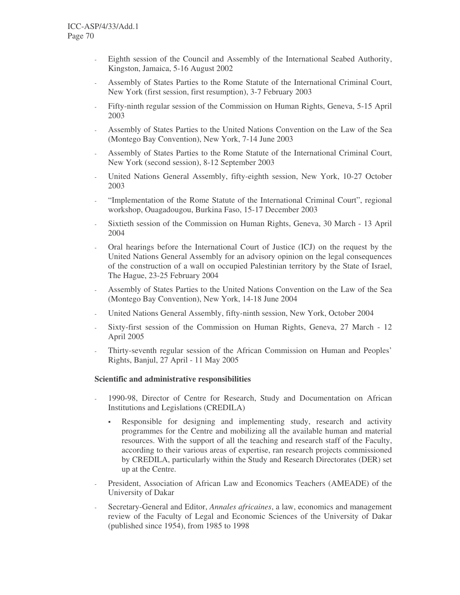- Eighth session of the Council and Assembly of the International Seabed Authority, Kingston, Jamaica, 5-16 August 2002
- Assembly of States Parties to the Rome Statute of the International Criminal Court, New York (first session, first resumption), 3-7 February 2003
- Fifty-ninth regular session of the Commission on Human Rights, Geneva, 5-15 April 2003
- Assembly of States Parties to the United Nations Convention on the Law of the Sea (Montego Bay Convention), New York, 7-14 June 2003
- Assembly of States Parties to the Rome Statute of the International Criminal Court, New York (second session), 8-12 September 2003
- United Nations General Assembly, fifty-eighth session, New York, 10-27 October 2003
- "Implementation of the Rome Statute of the International Criminal Court", regional workshop, Ouagadougou, Burkina Faso, 15-17 December 2003
- Sixtieth session of the Commission on Human Rights, Geneva, 30 March 13 April 2004
- Oral hearings before the International Court of Justice (ICJ) on the request by the United Nations General Assembly for an advisory opinion on the legal consequences of the construction of a wall on occupied Palestinian territory by the State of Israel, The Hague, 23-25 February 2004
- Assembly of States Parties to the United Nations Convention on the Law of the Sea (Montego Bay Convention), New York, 14-18 June 2004
- United Nations General Assembly, fifty-ninth session, New York, October 2004
- Sixty-first session of the Commission on Human Rights, Geneva, 27 March 12 April 2005
- Thirty-seventh regular session of the African Commission on Human and Peoples' Rights, Banjul, 27 April - 11 May 2005

#### **Scientific and administrative responsibilities**

- 1990-98, Director of Centre for Research, Study and Documentation on African Institutions and Legislations (CREDILA)
	- Responsible for designing and implementing study, research and activity programmes for the Centre and mobilizing all the available human and material resources. With the support of all the teaching and research staff of the Faculty, according to their various areas of expertise, ran research projects commissioned by CREDILA, particularly within the Study and Research Directorates (DER) set up at the Centre.
- President, Association of African Law and Economics Teachers (AMEADE) of the University of Dakar
- Secretary-General and Editor, *Annales africaines*, a law, economics and management review of the Faculty of Legal and Economic Sciences of the University of Dakar (published since 1954), from 1985 to 1998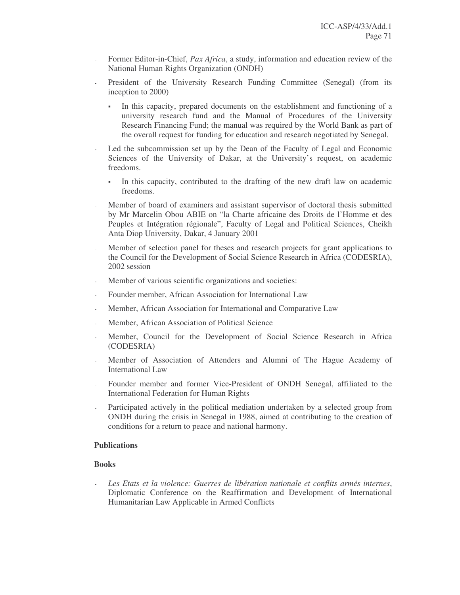- Former Editor-in-Chief, *Pax Africa*, a study, information and education review of the National Human Rights Organization (ONDH)
- President of the University Research Funding Committee (Senegal) (from its inception to 2000)
	- In this capacity, prepared documents on the establishment and functioning of a university research fund and the Manual of Procedures of the University Research Financing Fund; the manual was required by the World Bank as part of the overall request for funding for education and research negotiated by Senegal.
- Led the subcommission set up by the Dean of the Faculty of Legal and Economic Sciences of the University of Dakar, at the University's request, on academic freedoms.
	- In this capacity, contributed to the drafting of the new draft law on academic freedoms.
- Member of board of examiners and assistant supervisor of doctoral thesis submitted by Mr Marcelin Obou ABIE on "la Charte africaine des Droits de l'Homme et des Peuples et Intégration régionale", Faculty of Legal and Political Sciences, Cheikh Anta Diop University, Dakar, 4 January 2001
- Member of selection panel for theses and research projects for grant applications to the Council for the Development of Social Science Research in Africa (CODESRIA), 2002 session
- Member of various scientific organizations and societies:
- Founder member, African Association for International Law
- Member, African Association for International and Comparative Law
- Member, African Association of Political Science
- Member, Council for the Development of Social Science Research in Africa (CODESRIA)
- Member of Association of Attenders and Alumni of The Hague Academy of International Law
- Founder member and former Vice-President of ONDH Senegal, affiliated to the International Federation for Human Rights
- Participated actively in the political mediation undertaken by a selected group from ONDH during the crisis in Senegal in 1988, aimed at contributing to the creation of conditions for a return to peace and national harmony.

#### **Publications**

#### **Books**

- *Les Etats et la violence: Guerres de libération nationale et conflits armés internes*, Diplomatic Conference on the Reaffirmation and Development of International Humanitarian Law Applicable in Armed Conflicts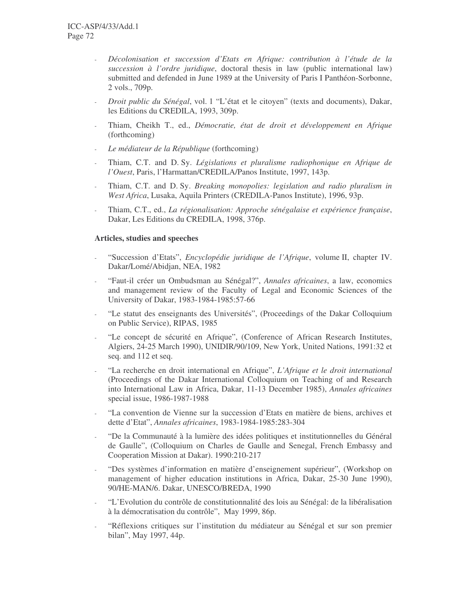- *Décolonisation et succession d'Etats en Afrique: contribution à l'étude de la succession à l'ordre juridique*, doctoral thesis in law (public international law) submitted and defended in June 1989 at the University of Paris I Panthéon-Sorbonne, 2 vols., 709p.
- *Droit public du Sénégal*, vol. 1 "L'état et le citoyen" (texts and documents), Dakar, les Editions du CREDILA, 1993, 309p.
- Thiam, Cheikh T., ed., *Démocratie, état de droit et développement en Afrique* (forthcoming)
- *Le médiateur de la République* (forthcoming)
- Thiam, C.T. and D. Sy. *Législations et pluralisme radiophonique en Afrique de l'Ouest*, Paris, l'Harmattan/CREDILA/Panos Institute, 1997, 143p.
- Thiam, C.T. and D. Sy. *Breaking monopolies: legislation and radio pluralism in West Africa*, Lusaka, Aquila Printers (CREDILA-Panos Institute), 1996, 93p.
- Thiam, C.T., ed., *La régionalisation: Approche sénégalaise et expérience française*, Dakar, Les Editions du CREDILA, 1998, 376p.

#### **Articles, studies and speeches**

- "Succession d'Etats", *Encyclopédie juridique de l'Afrique*, volume II, chapter IV. Dakar/Lomé/Abidjan, NEA, 1982
- "Faut-il créer un Ombudsman au Sénégal?", *Annales africaines*, a law, economics and management review of the Faculty of Legal and Economic Sciences of the University of Dakar, 1983-1984-1985:57-66
- "Le statut des enseignants des Universités", (Proceedings of the Dakar Colloquium on Public Service), RIPAS, 1985
- "Le concept de sécurité en Afrique", (Conference of African Research Institutes, Algiers, 24-25 March 1990), UNIDIR/90/109, New York, United Nations, 1991:32 et seq. and 112 et seq.
- "La recherche en droit international en Afrique", *L'Afrique et le droit international* (Proceedings of the Dakar International Colloquium on Teaching of and Research into International Law in Africa, Dakar, 11-13 December 1985), *Annales africaines* special issue, 1986-1987-1988
- "La convention de Vienne sur la succession d'Etats en matière de biens, archives et dette d'Etat", *Annales africaines*, 1983-1984-1985:283-304
- "De la Communauté à la lumière des idées politiques et institutionnelles du Général de Gaulle", (Colloquium on Charles de Gaulle and Senegal, French Embassy and Cooperation Mission at Dakar). 1990:210-217
- "Des systèmes d'information en matière d'enseignement supérieur", (Workshop on management of higher education institutions in Africa, Dakar, 25-30 June 1990), 90/HE-MAN/6. Dakar, UNESCO/BREDA, 1990
- "L'Evolution du contrôle de constitutionnalité des lois au Sénégal: de la libéralisation à la démocratisation du contrôle", May 1999, 86p.
- "Réflexions critiques sur l'institution du médiateur au Sénégal et sur son premier bilan", May 1997, 44p.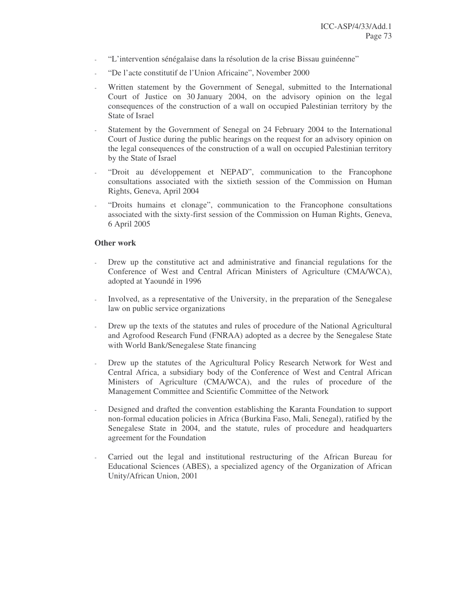- "L'intervention sénégalaise dans la résolution de la crise Bissau guinéenne"
- "De l'acte constitutif de l'Union Africaine", November 2000
- Written statement by the Government of Senegal, submitted to the International Court of Justice on 30 January 2004, on the advisory opinion on the legal consequences of the construction of a wall on occupied Palestinian territory by the State of Israel
- Statement by the Government of Senegal on 24 February 2004 to the International Court of Justice during the public hearings on the request for an advisory opinion on the legal consequences of the construction of a wall on occupied Palestinian territory by the State of Israel
- "Droit au développement et NEPAD", communication to the Francophone consultations associated with the sixtieth session of the Commission on Human Rights, Geneva, April 2004
- "Droits humains et clonage", communication to the Francophone consultations associated with the sixty-first session of the Commission on Human Rights, Geneva, 6 April 2005

# **Other work**

- Drew up the constitutive act and administrative and financial regulations for the Conference of West and Central African Ministers of Agriculture (CMA/WCA), adopted at Yaoundé in 1996
- Involved, as a representative of the University, in the preparation of the Senegalese law on public service organizations
- Drew up the texts of the statutes and rules of procedure of the National Agricultural and Agrofood Research Fund (FNRAA) adopted as a decree by the Senegalese State with World Bank/Senegalese State financing
- Drew up the statutes of the Agricultural Policy Research Network for West and Central Africa, a subsidiary body of the Conference of West and Central African Ministers of Agriculture (CMA/WCA), and the rules of procedure of the Management Committee and Scientific Committee of the Network
- Designed and drafted the convention establishing the Karanta Foundation to support non-formal education policies in Africa (Burkina Faso, Mali, Senegal), ratified by the Senegalese State in 2004, and the statute, rules of procedure and headquarters agreement for the Foundation
- Carried out the legal and institutional restructuring of the African Bureau for Educational Sciences (ABES), a specialized agency of the Organization of African Unity/African Union, 2001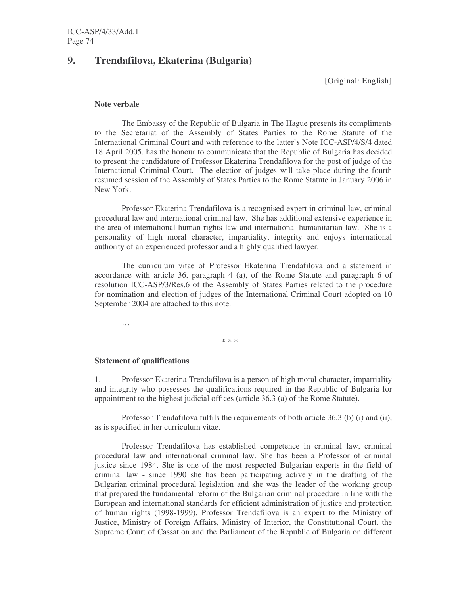# **9. Trendafilova, Ekaterina (Bulgaria)**

[Original: English]

### **Note verbale**

The Embassy of the Republic of Bulgaria in The Hague presents its compliments to the Secretariat of the Assembly of States Parties to the Rome Statute of the International Criminal Court and with reference to the latter's Note ICC-ASP/4/S/4 dated 18 April 2005, has the honour to communicate that the Republic of Bulgaria has decided to present the candidature of Professor Ekaterina Trendafilova for the post of judge of the International Criminal Court. The election of judges will take place during the fourth resumed session of the Assembly of States Parties to the Rome Statute in January 2006 in New York.

Professor Ekaterina Trendafilova is a recognised expert in criminal law, criminal procedural law and international criminal law. She has additional extensive experience in the area of international human rights law and international humanitarian law. She is a personality of high moral character, impartiality, integrity and enjoys international authority of an experienced professor and a highly qualified lawyer.

The curriculum vitae of Professor Ekaterina Trendafilova and a statement in accordance with article 36, paragraph 4 (a), of the Rome Statute and paragraph 6 of resolution ICC-ASP/3/Res.6 of the Assembly of States Parties related to the procedure for nomination and election of judges of the International Criminal Court adopted on 10 September 2004 are attached to this note.

…

# **Statement of qualifications**

1. Professor Ekaterina Trendafilova is a person of high moral character, impartiality and integrity who possesses the qualifications required in the Republic of Bulgaria for appointment to the highest judicial offices (article 36.3 (a) of the Rome Statute).

\* \* \*

Professor Trendafilova fulfils the requirements of both article 36.3 (b) (i) and (ii), as is specified in her curriculum vitae.

Professor Trendafilova has established competence in criminal law, criminal procedural law and international criminal law. She has been a Professor of criminal justice since 1984. She is one of the most respected Bulgarian experts in the field of criminal law - since 1990 she has been participating actively in the drafting of the Bulgarian criminal procedural legislation and she was the leader of the working group that prepared the fundamental reform of the Bulgarian criminal procedure in line with the European and international standards for efficient administration of justice and protection of human rights (1998-1999). Professor Trendafilova is an expert to the Ministry of Justice, Ministry of Foreign Affairs, Ministry of Interior, the Constitutional Court, the Supreme Court of Cassation and the Parliament of the Republic of Bulgaria on different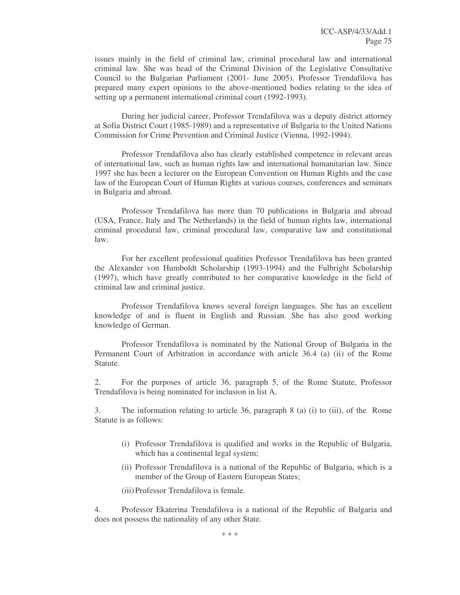issues mainly in the field of criminal law, criminal procedural law and international criminal law. She was head of the Criminal Division of the Legislative Consultative Council to the Bulgarian Parliament (2001- June 2005). Professor Trendafilova has prepared many expert opinions to the above-mentioned bodies relating to the idea of setting up a permanent international criminal court (1992-1993).

During her judicial career, Professor Trendafilova was a deputy district attorney at Sofia District Court (1985-1989) and a representative of Bulgaria to the United Nations Commission for Crime Prevention and Criminal Justice (Vienna, 1992-1994).

Professor Trendafilova also has clearly established competence in relevant areas of international law, such as human rights law and international humanitarian law. Since 1997 she has been a lecturer on the European Convention on Human Rights and the case law of the European Court of Human Rights at various courses, conferences and seminars in Bulgaria and abroad.

Professor Trendafilova has more than 70 publications in Bulgaria and abroad (USA, France, Italy and The Netherlands) in the field of human rights law, international criminal procedural law, criminal procedural law, comparative law and constitutional law.

For her excellent professional qualities Professor Trendafilova has been granted the Alexander von Humboldt Scholarship (1993-1994) and the Fulbright Scholarship (1997), which have greatly contributed to her comparative knowledge in the field of criminal law and criminal justice.

Professor Trendafilova knows several foreign languages. She has an excellent knowledge of and is fluent in English and Russian. She has also good working knowledge of German.

Professor Trendafilova is nominated by the National Group of Bulgaria in the Permanent Court of Arbitration in accordance with article 36.4 (a) (ii) of the Rome Statute.

2. For the purposes of article 36, paragraph 5, of the Rome Statute, Professor Trendafilova is being nominated for inclusion in list A.

3. The information relating to article 36, paragraph 8 (a) (i) to (iii), of the Rome Statute is as follows:

- (i) Professor Trendafilova is qualified and works in the Republic of Bulgaria, which has a continental legal system;
- (ii) Professor Trendafilova is a national of the Republic of Bulgaria, which is a member of the Group of Eastern European States;
- (iii)Professor Trendafilova is female.

4. Professor Ekaterina Trendafilova is a national of the Republic of Bulgaria and does not possess the nationality of any other State.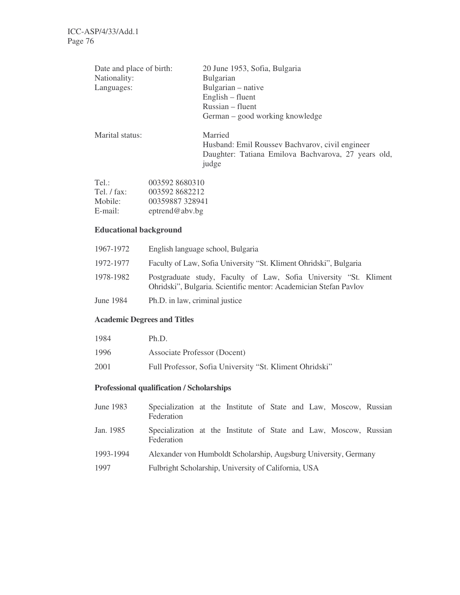| Date and place of birth:<br>Nationality:<br>Languages: | 20 June 1953, Sofia, Bulgaria<br><b>Bulgarian</b><br>Bulgarian – native<br>English – fluent<br>Russian – fluent<br>German – good working knowledge |  |  |  |  |
|--------------------------------------------------------|----------------------------------------------------------------------------------------------------------------------------------------------------|--|--|--|--|
| Marital status:                                        | Married<br>Husband: Emil Roussev Bachvarov, civil engineer<br>Daughter: Tatiana Emilova Bachvarova, 27 years old,<br>judge                         |  |  |  |  |

| Tel:        | 003592 8680310 |
|-------------|----------------|
| Tel. / fax: | 0035928682212  |
| Mobile:     | 00359887328941 |
| $E$ -mail:  | eptrend@abv.bg |

# **Educational background**

| 1967-1972 | English language school, Bulgaria                                                                                                      |
|-----------|----------------------------------------------------------------------------------------------------------------------------------------|
| 1972-1977 | Faculty of Law, Sofia University "St. Kliment Ohridski", Bulgaria                                                                      |
| 1978-1982 | Postgraduate study, Faculty of Law, Sofia University "St. Kliment<br>Ohridski", Bulgaria. Scientific mentor: Academician Stefan Pavlov |
| June 1984 | Ph.D. in law, criminal justice                                                                                                         |

# **Academic Degrees and Titles**

| 1984 | Ph.D.                                                   |
|------|---------------------------------------------------------|
| 1996 | Associate Professor (Docent)                            |
| 2001 | Full Professor, Sofia University "St. Kliment Ohridski" |

# **Professional qualification / Scholarships**

| June 1983 | Specialization at the Institute of State and Law, Moscow, Russian<br>Federation |  |  |  |  |  |
|-----------|---------------------------------------------------------------------------------|--|--|--|--|--|
| Jan. 1985 | Specialization at the Institute of State and Law, Moscow, Russian<br>Federation |  |  |  |  |  |
| 1993-1994 | Alexander von Humboldt Scholarship, Augsburg University, Germany                |  |  |  |  |  |
| 1997      | Fulbright Scholarship, University of California, USA                            |  |  |  |  |  |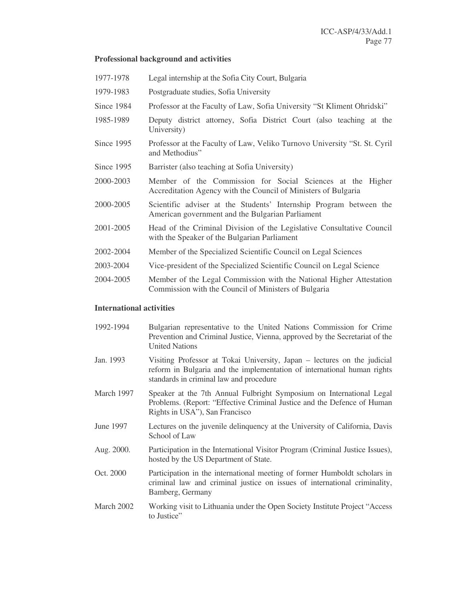#### **Professional background and activities**

1977-1978 Legal internship at the Sofia City Court, Bulgaria 1979-1983 Postgraduate studies, Sofia University Since 1984 Professor at the Faculty of Law, Sofia University "St Kliment Ohridski" 1985-1989 Deputy district attorney, Sofia District Court (also teaching at the University) Since 1995 Professor at the Faculty of Law, Veliko Turnovo University "St. St. Cyril and Methodius" Since 1995 Barrister (also teaching at Sofia University) 2000-2003 Member of the Commission for Social Sciences at the Higher Accreditation Agency with the Council of Ministers of Bulgaria 2000-2005 Scientific adviser at the Students' Internship Program between the American government and the Bulgarian Parliament 2001-2005 Head of the Criminal Division of the Legislative Consultative Council with the Speaker of the Bulgarian Parliament 2002-2004 Member of the Specialized Scientific Council on Legal Sciences 2003-2004 Vice-president of the Specialized Scientific Council on Legal Science 2004-2005 Member of the Legal Commission with the National Higher Attestation Commission with the Council of Ministers of Bulgaria

#### **International activities**

1992-1994 Bulgarian representative to the United Nations Commission for Crime Prevention and Criminal Justice, Vienna, approved by the Secretariat of the United Nations Jan. 1993 Visiting Professor at Tokai University, Japan – lectures on the judicial reform in Bulgaria and the implementation of international human rights standards in criminal law and procedure March 1997 Speaker at the 7th Annual Fulbright Symposium on International Legal Problems. (Report: "Effective Criminal Justice and the Defence of Human Rights in USA"), San Francisco June 1997 Lectures on the juvenile delinquency at the University of California, Davis School of Law Aug. 2000. Participation in the International Visitor Program (Criminal Justice Issues), hosted by the US Department of State. Oct. 2000 Participation in the international meeting of former Humboldt scholars in criminal law and criminal justice on issues of international criminality, Bamberg, Germany March 2002 Working visit to Lithuania under the Open Society Institute Project "Access to Justice"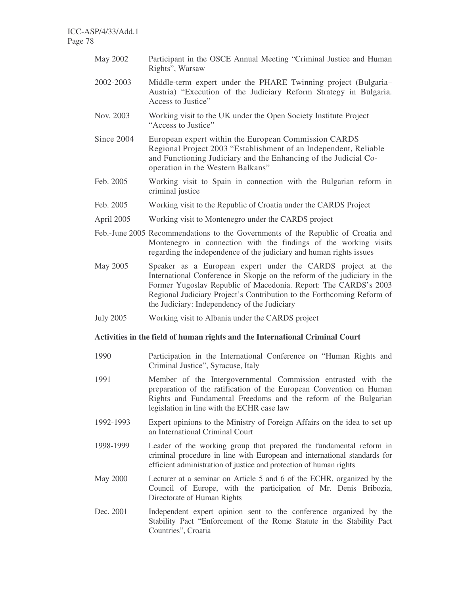- May 2002 Participant in the OSCE Annual Meeting "Criminal Justice and Human Rights", Warsaw
- 2002-2003 Middle-term expert under the PHARE Twinning project (Bulgaria– Austria) "Execution of the Judiciary Reform Strategy in Bulgaria. Access to Justice"
- Nov. 2003 Working visit to the UK under the Open Society Institute Project "Access to Justice"
- Since 2004 European expert within the European Commission CARDS Regional Project 2003 "Establishment of an Independent, Reliable and Functioning Judiciary and the Enhancing of the Judicial Cooperation in the Western Balkans"
- Feb. 2005 Working visit to Spain in connection with the Bulgarian reform in criminal justice
- Feb. 2005 Working visit to the Republic of Croatia under the CARDS Project
- April 2005 Working visit to Montenegro under the CARDS project
- Feb.-June 2005 Recommendations to the Governments of the Republic of Croatia and Montenegro in connection with the findings of the working visits regarding the independence of the judiciary and human rights issues
- May 2005 Speaker as a European expert under the CARDS project at the International Conference in Skopje on the reform of the judiciary in the Former Yugoslav Republic of Macedonia. Report: The CARDS's 2003 Regional Judiciary Project's Contribution to the Forthcoming Reform of the Judiciary: Independency of the Judiciary
- July 2005 Working visit to Albania under the CARDS project

# **Activities in the field of human rights and the International Criminal Court**

- 1990 Participation in the International Conference on "Human Rights and Criminal Justice", Syracuse, Italy
- 1991 Member of the Intergovernmental Commission entrusted with the preparation of the ratification of the European Convention on Human Rights and Fundamental Freedoms and the reform of the Bulgarian legislation in line with the ECHR case law
- 1992-1993 Expert opinions to the Ministry of Foreign Affairs on the idea to set up an International Criminal Court
- 1998-1999 Leader of the working group that prepared the fundamental reform in criminal procedure in line with European and international standards for efficient administration of justice and protection of human rights
- May 2000 Lecturer at a seminar on Article 5 and 6 of the ECHR, organized by the Council of Europe, with the participation of Mr. Denis Bribozia, Directorate of Human Rights
- Dec. 2001 Independent expert opinion sent to the conference organized by the Stability Pact "Enforcement of the Rome Statute in the Stability Pact Countries", Croatia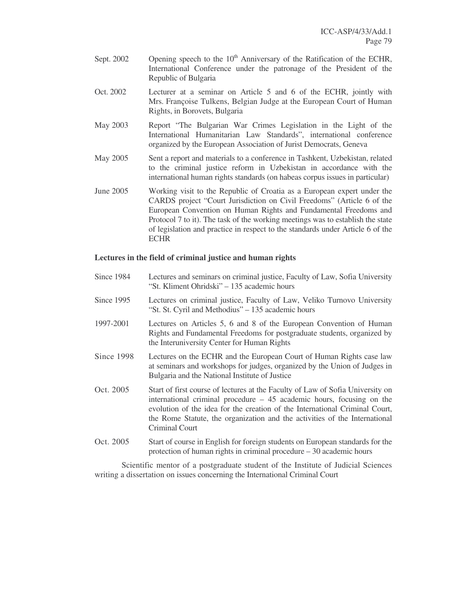- Sept.  $2002$  Opening speech to the  $10<sup>th</sup>$  Anniversary of the Ratification of the ECHR, International Conference under the patronage of the President of the Republic of Bulgaria
- Oct. 2002 Lecturer at a seminar on Article 5 and 6 of the ECHR, jointly with Mrs. Françoise Tulkens, Belgian Judge at the European Court of Human Rights, in Borovets, Bulgaria
- May 2003 Report "The Bulgarian War Crimes Legislation in the Light of the International Humanitarian Law Standards", international conference organized by the European Association of Jurist Democrats, Geneva
- May 2005 Sent a report and materials to a conference in Tashkent, Uzbekistan, related to the criminal justice reform in Uzbekistan in accordance with the international human rights standards (on habeas corpus issues in particular)
- June 2005 Working visit to the Republic of Croatia as a European expert under the CARDS project "Court Jurisdiction on Civil Freedoms" (Article 6 of the European Convention on Human Rights and Fundamental Freedoms and Protocol 7 to it). The task of the working meetings was to establish the state of legislation and practice in respect to the standards under Article 6 of the **ECHR**

### **Lectures in the field of criminal justice and human rights**

- Since 1984 Lectures and seminars on criminal justice, Faculty of Law, Sofia University "St. Kliment Ohridski" – 135 academic hours
- Since 1995 Lectures on criminal justice, Faculty of Law, Veliko Turnovo University "St. St. Cyril and Methodius" – 135 academic hours
- 1997-2001 Lectures on Articles 5, 6 and 8 of the European Convention of Human Rights and Fundamental Freedoms for postgraduate students, organized by the Interuniversity Center for Human Rights
- Since 1998 Lectures on the ECHR and the European Court of Human Rights case law at seminars and workshops for judges, organized by the Union of Judges in Bulgaria and the National Institute of Justice
- Oct. 2005 Start of first course of lectures at the Faculty of Law of Sofia University on international criminal procedure – 45 academic hours, focusing on the evolution of the idea for the creation of the International Criminal Court, the Rome Statute, the organization and the activities of the International Criminal Court
- Oct. 2005 Start of course in English for foreign students on European standards for the protection of human rights in criminal procedure – 30 academic hours

Scientific mentor of a postgraduate student of the Institute of Judicial Sciences writing a dissertation on issues concerning the International Criminal Court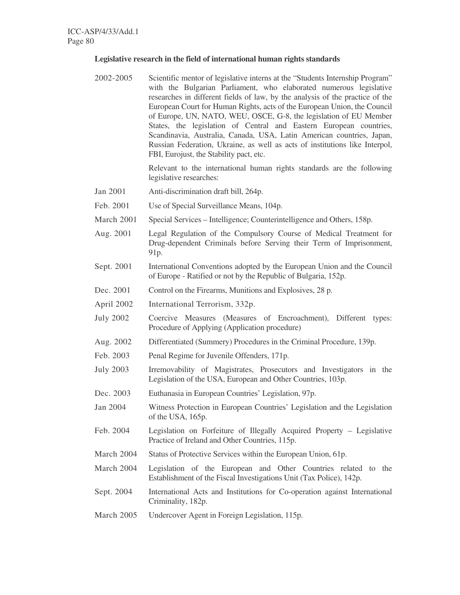#### **Legislative research in the field of international human rights standards**

2002-2005 Scientific mentor of legislative interns at the "Students Internship Program" with the Bulgarian Parliament, who elaborated numerous legislative researches in different fields of law, by the analysis of the practice of the European Court for Human Rights, acts of the European Union, the Council of Europe, UN, NATO, WEU, OSCE, G-8, the legislation of EU Member States, the legislation of Central and Eastern European countries, Scandinavia, Australia, Canada, USA, Latin American countries, Japan, Russian Federation, Ukraine, as well as acts of institutions like Interpol, FBI, Eurojust, the Stability pact, etc.

> Relevant to the international human rights standards are the following legislative researches:

- Jan 2001 Anti-discrimination draft bill, 264p.
- Feb. 2001 Use of Special Surveillance Means, 104p.
- March 2001 Special Services Intelligence; Counterintelligence and Others, 158p.
- Aug. 2001 Legal Regulation of the Compulsory Course of Medical Treatment for Drug-dependent Criminals before Serving their Term of Imprisonment, 91p.
- Sept. 2001 International Conventions adopted by the European Union and the Council of Europe - Ratified or not by the Republic of Bulgaria, 152p.
- Dec. 2001 Control on the Firearms, Munitions and Explosives, 28 p.
- April 2002 International Terrorism, 332p.
- July 2002 Coercive Measures (Measures of Encroachment), Different types: Procedure of Applying (Application procedure)
- Aug. 2002 Differentiated (Summery) Procedures in the Criminal Procedure, 139p.
- Feb. 2003 Penal Regime for Juvenile Offenders, 171p.
- July 2003 Irremovability of Magistrates, Prosecutors and Investigators in the Legislation of the USA, European and Other Countries, 103p.
- Dec. 2003 Euthanasia in European Countries' Legislation, 97p.
- Jan 2004 Witness Protection in European Countries' Legislation and the Legislation of the USA, 165p.
- Feb. 2004 Legislation on Forfeiture of Illegally Acquired Property Legislative Practice of Ireland and Other Countries, 115p.
- March 2004 Status of Protective Services within the European Union, 61p.
- March 2004 Legislation of the European and Other Countries related to the Establishment of the Fiscal Investigations Unit (Tax Police), 142p.
- Sept. 2004 International Acts and Institutions for Co-operation against International Criminality, 182p.
- March 2005 Undercover Agent in Foreign Legislation, 115p.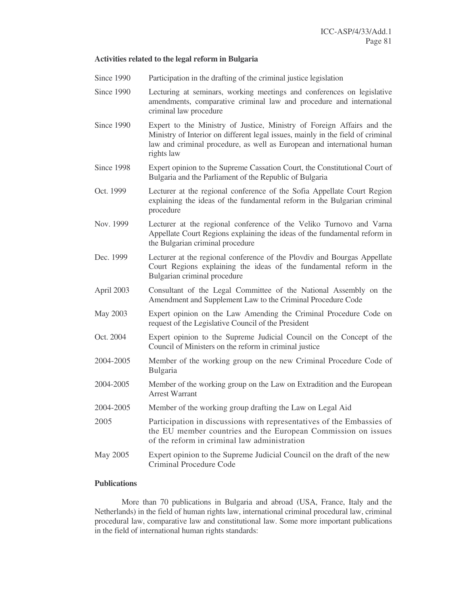#### **Activities related to the legal reform in Bulgaria**

- Since 1990 Participation in the drafting of the criminal justice legislation
- Since 1990 Lecturing at seminars, working meetings and conferences on legislative amendments, comparative criminal law and procedure and international criminal law procedure
- Since 1990 Expert to the Ministry of Justice, Ministry of Foreign Affairs and the Ministry of Interior on different legal issues, mainly in the field of criminal law and criminal procedure, as well as European and international human rights law
- Since 1998 Expert opinion to the Supreme Cassation Court, the Constitutional Court of Bulgaria and the Parliament of the Republic of Bulgaria
- Oct. 1999 Lecturer at the regional conference of the Sofia Appellate Court Region explaining the ideas of the fundamental reform in the Bulgarian criminal procedure
- Nov. 1999 Lecturer at the regional conference of the Veliko Turnovo and Varna Appellate Court Regions explaining the ideas of the fundamental reform in the Bulgarian criminal procedure
- Dec. 1999 Lecturer at the regional conference of the Plovdiv and Bourgas Appellate Court Regions explaining the ideas of the fundamental reform in the Bulgarian criminal procedure
- April 2003 Consultant of the Legal Committee of the National Assembly on the Amendment and Supplement Law to the Criminal Procedure Code
- May 2003 Expert opinion on the Law Amending the Criminal Procedure Code on request of the Legislative Council of the President
- Oct. 2004 Expert opinion to the Supreme Judicial Council on the Concept of the Council of Ministers on the reform in criminal justice
- 2004-2005 Member of the working group on the new Criminal Procedure Code of Bulgaria
- 2004-2005 Member of the working group on the Law on Extradition and the European Arrest Warrant
- 2004-2005 Member of the working group drafting the Law on Legal Aid
- 2005 Participation in discussions with representatives of the Embassies of the EU member countries and the European Commission on issues of the reform in criminal law administration
- May 2005 Expert opinion to the Supreme Judicial Council on the draft of the new Criminal Procedure Code

## **Publications**

More than 70 publications in Bulgaria and abroad (USA, France, Italy and the Netherlands) in the field of human rights law, international criminal procedural law, criminal procedural law, comparative law and constitutional law. Some more important publications in the field of international human rights standards: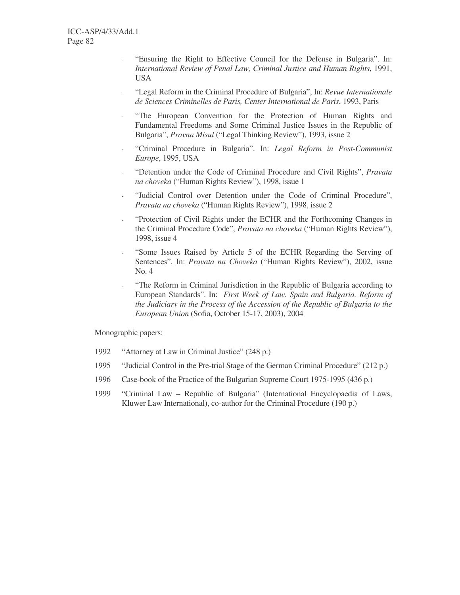- "Ensuring the Right to Effective Council for the Defense in Bulgaria". In: *International Review of Penal Law, Criminal Justice and Human Rights*, 1991, USA
- "Legal Reform in the Criminal Procedure of Bulgaria", In: *Revue Internationale de Sciences Criminelles de Paris, Center International de Paris*, 1993, Paris
- "The European Convention for the Protection of Human Rights and Fundamental Freedoms and Some Criminal Justice Issues in the Republic of Bulgaria", *Pravna Misul* ("Legal Thinking Review"), 1993, issue 2
- "Criminal Procedure in Bulgaria". In: *Legal Reform in Post-Communist Europe*, 1995, USA
- "Detention under the Code of Criminal Procedure and Civil Rights", *Pravata na choveka* ("Human Rights Review"), 1998, issue 1
- "Judicial Control over Detention under the Code of Criminal Procedure", *Pravata na choveka* ("Human Rights Review"), 1998, issue 2
- "Protection of Civil Rights under the ECHR and the Forthcoming Changes in the Criminal Procedure Code", *Pravata na choveka* ("Human Rights Review"), 1998, issue 4
- "Some Issues Raised by Article 5 of the ECHR Regarding the Serving of Sentences". In: *Pravata na Choveka* ("Human Rights Review"), 2002, issue No. 4
- "The Reform in Criminal Jurisdiction in the Republic of Bulgaria according to European Standards". In: *First Week of Law. Spain and Bulgaria. Reform of the Judiciary in the Process of the Accession of the Republic of Bulgaria to the European Union* (Sofia, October 15-17, 2003), 2004

Monographic papers:

- 1992 "Attorney at Law in Criminal Justice" (248 p.)
- 1995 "Judicial Control in the Pre-trial Stage of the German Criminal Procedure" (212 p.)
- 1996 Case-book of the Practice of the Bulgarian Supreme Court 1975-1995 (436 p.)
- 1999 "Criminal Law Republic of Bulgaria" (International Encyclopaedia of Laws, Kluwer Law International), co-author for the Criminal Procedure (190 p.)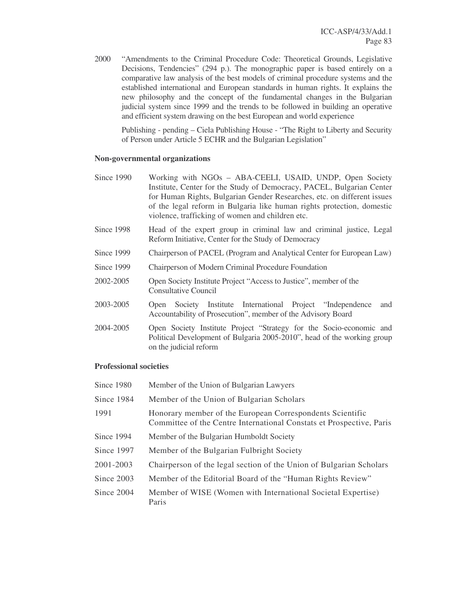2000 "Amendments to the Criminal Procedure Code: Theoretical Grounds, Legislative Decisions, Tendencies" (294 p.). The monographic paper is based entirely on a comparative law analysis of the best models of criminal procedure systems and the established international and European standards in human rights. It explains the new philosophy and the concept of the fundamental changes in the Bulgarian judicial system since 1999 and the trends to be followed in building an operative and efficient system drawing on the best European and world experience

Publishing - pending – Ciela Publishing House - "The Right to Liberty and Security of Person under Article 5 ECHR and the Bulgarian Legislation"

#### **Non-governmental organizations**

- Since 1990 Working with NGOs ABA-CEELI, USAID, UNDP, Open Society Institute, Center for the Study of Democracy, PACEL, Bulgarian Center for Human Rights, Bulgarian Gender Researches, etc. on different issues of the legal reform in Bulgaria like human rights protection, domestic violence, trafficking of women and children etc.
- Since 1998 Head of the expert group in criminal law and criminal justice, Legal Reform Initiative, Center for the Study of Democracy
- Since 1999 Chairperson of PACEL (Program and Analytical Center for European Law)
- Since 1999 Chairperson of Modern Criminal Procedure Foundation
- 2002-2005 Open Society Institute Project "Access to Justice", member of the Consultative Council
- 2003-2005 Open Society Institute International Project "Independence and Accountability of Prosecution", member of the Advisory Board
- 2004-2005 Open Society Institute Project "Strategy for the Socio-economic and Political Development of Bulgaria 2005-2010", head of the working group on the judicial reform

#### **Professional societies**

| Since 1980   | Member of the Union of Bulgarian Lawyers                                                                                          |
|--------------|-----------------------------------------------------------------------------------------------------------------------------------|
| Since 1984   | Member of the Union of Bulgarian Scholars                                                                                         |
| 1991         | Honorary member of the European Correspondents Scientific<br>Committee of the Centre International Constats et Prospective, Paris |
| Since 1994   | Member of the Bulgarian Humboldt Society                                                                                          |
| Since 1997   | Member of the Bulgarian Fulbright Society                                                                                         |
| 2001-2003    | Chairperson of the legal section of the Union of Bulgarian Scholars                                                               |
| Since $2003$ | Member of the Editorial Board of the "Human Rights Review"                                                                        |
| Since $2004$ | Member of WISE (Women with International Societal Expertise)<br>Paris                                                             |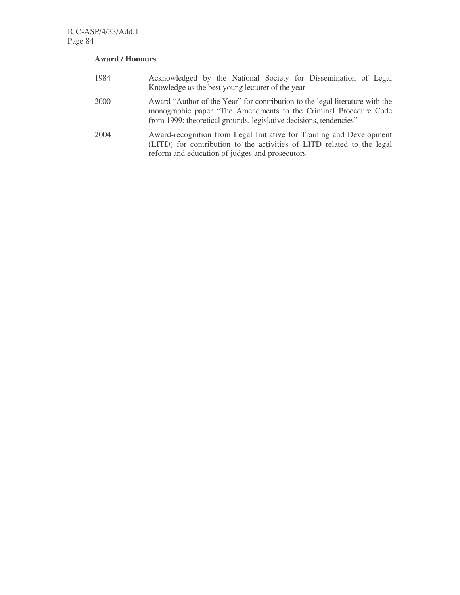# **Award / Honours**

| 1984 | Acknowledged by the National Society for Dissemination of Legal<br>Knowledge as the best young lecturer of the year                                                                                                    |
|------|------------------------------------------------------------------------------------------------------------------------------------------------------------------------------------------------------------------------|
| 2000 | Award "Author of the Year" for contribution to the legal literature with the<br>monographic paper "The Amendments to the Criminal Procedure Code<br>from 1999: theoretical grounds, legislative decisions, tendencies" |
| 2004 | Award-recognition from Legal Initiative for Training and Development<br>(LITD) for contribution to the activities of LITD related to the legal<br>reform and education of judges and prosecutors                       |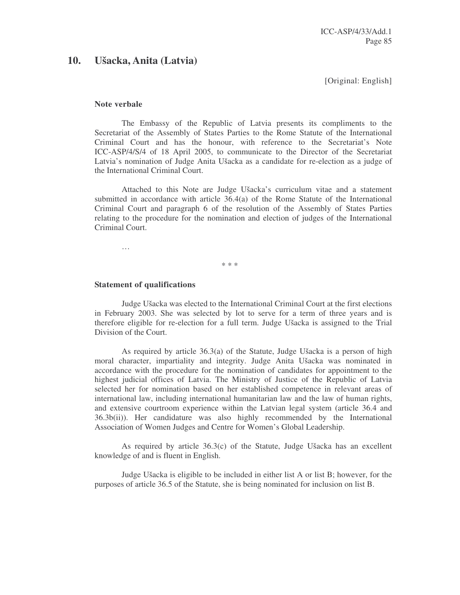# **10. Ušacka, Anita (Latvia)**

[Original: English]

#### **Note verbale**

The Embassy of the Republic of Latvia presents its compliments to the Secretariat of the Assembly of States Parties to the Rome Statute of the International Criminal Court and has the honour, with reference to the Secretariat's Note ICC-ASP/4/S/4 of 18 April 2005, to communicate to the Director of the Secretariat Latvia's nomination of Judge Anita Ušacka as a candidate for re-election as a judge of the International Criminal Court.

Attached to this Note are Judge Ušacka's curriculum vitae and a statement submitted in accordance with article 36.4(a) of the Rome Statute of the International Criminal Court and paragraph 6 of the resolution of the Assembly of States Parties relating to the procedure for the nomination and election of judges of the International Criminal Court.

\* \* \*

#### **Statement of qualifications**

…

Judge Ušacka was elected to the International Criminal Court at the first elections in February 2003. She was selected by lot to serve for a term of three years and is therefore eligible for re-election for a full term. Judge Ušacka is assigned to the Trial Division of the Court.

As required by article 36.3(a) of the Statute, Judge Ušacka is a person of high moral character, impartiality and integrity. Judge Anita Ušacka was nominated in accordance with the procedure for the nomination of candidates for appointment to the highest judicial offices of Latvia. The Ministry of Justice of the Republic of Latvia selected her for nomination based on her established competence in relevant areas of international law, including international humanitarian law and the law of human rights, and extensive courtroom experience within the Latvian legal system (article 36.4 and 36.3b(ii)). Her candidature was also highly recommended by the International Association of Women Judges and Centre for Women's Global Leadership.

As required by article 36.3(c) of the Statute, Judge Ušacka has an excellent knowledge of and is fluent in English.

Judge Ušacka is eligible to be included in either list A or list B; however, for the purposes of article 36.5 of the Statute, she is being nominated for inclusion on list B.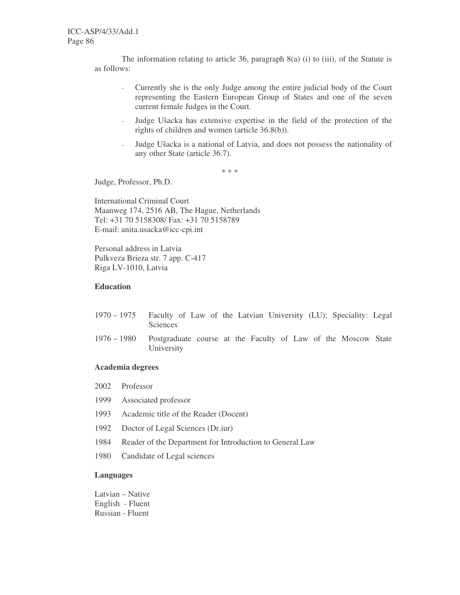The information relating to article 36, paragraph  $8(a)$  (i) to (iii), of the Statute is as follows:

- Currently she is the only Judge among the entire judicial body of the Court representing the Eastern European Group of States and one of the seven current female Judges in the Court.
- Judge Ušacka has extensive expertise in the field of the protection of the rights of children and women (article 36.8(b)).
- Judge Ušacka is a national of Latvia, and does not possess the nationality of any other State (article 36.7).

\* \* \*

Judge, Professor, Ph.D.

International Criminal Court Maanweg 174, 2516 AB, The Hague, Netherlands Tel: +31 70 5158308/ Fax: +31 70 5158789 E-mail: anita.usacka@icc-cpi.int

Personal address in Latvia Pulkveza Brieza str. 7 app. C-417 Riga LV-1010, Latvia

## **Education**

- 1970 1975 Faculty of Law of the Latvian University (LU); Speciality: Legal Sciences
- 1976 1980 Postgraduate course at the Faculty of Law of the Moscow State University

#### **Academia degrees**

- 2002 Professor
- 1999 Associated professor
- 1993 Academic title of the Reader (Docent)
- 1992 Doctor of Legal Sciences (Dr.iur)
- 1984 Reader of the Department for Introduction to General Law
- 1980 Candidate of Legal sciences

# **Languages**

Latvian – Native English - Fluent Russian - Fluent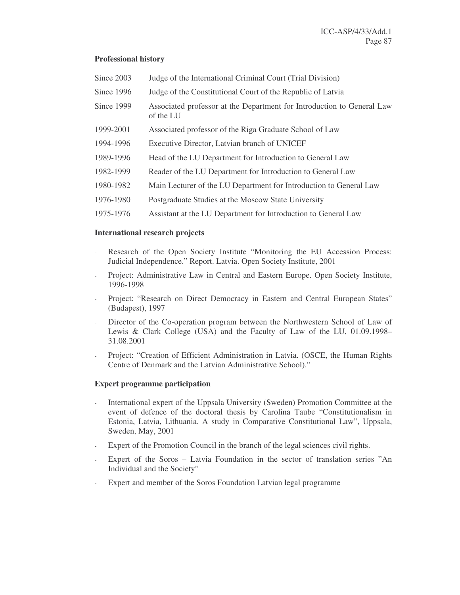# **Professional history**

| Since 2003 | Judge of the International Criminal Court (Trial Division)                          |
|------------|-------------------------------------------------------------------------------------|
| Since 1996 | Judge of the Constitutional Court of the Republic of Latvia                         |
| Since 1999 | Associated professor at the Department for Introduction to General Law<br>of the LU |
| 1999-2001  | Associated professor of the Riga Graduate School of Law                             |
| 1994-1996  | Executive Director, Latvian branch of UNICEF                                        |
| 1989-1996  | Head of the LU Department for Introduction to General Law                           |
| 1982-1999  | Reader of the LU Department for Introduction to General Law                         |
| 1980-1982  | Main Lecturer of the LU Department for Introduction to General Law                  |
| 1976-1980  | Postgraduate Studies at the Moscow State University                                 |
| 1975-1976  | Assistant at the LU Department for Introduction to General Law                      |

### **International research projects**

- Research of the Open Society Institute "Monitoring the EU Accession Process: Judicial Independence." Report. Latvia. Open Society Institute, 2001
- Project: Administrative Law in Central and Eastern Europe. Open Society Institute, 1996-1998
- Project: "Research on Direct Democracy in Eastern and Central European States" (Budapest), 1997
- Director of the Co-operation program between the Northwestern School of Law of Lewis & Clark College (USA) and the Faculty of Law of the LU, 01.09.1998– 31.08.2001
- Project: "Creation of Efficient Administration in Latvia. (OSCE, the Human Rights Centre of Denmark and the Latvian Administrative School)."

# **Expert programme participation**

- International expert of the Uppsala University (Sweden) Promotion Committee at the event of defence of the doctoral thesis by Carolina Taube "Constitutionalism in Estonia, Latvia, Lithuania. A study in Comparative Constitutional Law", Uppsala, Sweden, May, 2001
- Expert of the Promotion Council in the branch of the legal sciences civil rights.
- Expert of the Soros Latvia Foundation in the sector of translation series "An Individual and the Society"
- Expert and member of the Soros Foundation Latvian legal programme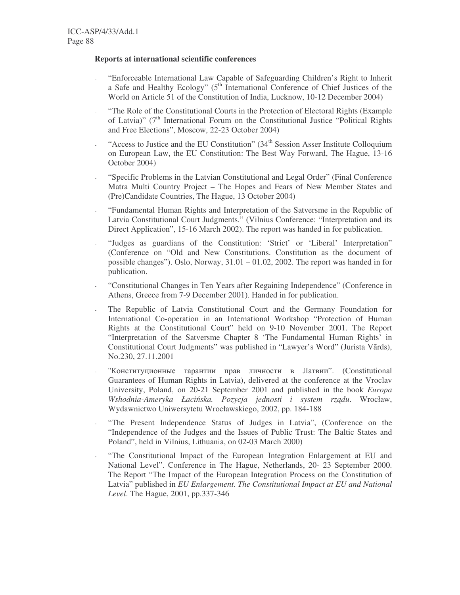### **Reports at international scientific conferences**

- "Enforceable International Law Capable of Safeguarding Children's Right to Inherit a Safe and Healthy Ecology" (5<sup>th</sup> International Conference of Chief Justices of the World on Article 51 of the Constitution of India, Lucknow, 10-12 December 2004)
- "The Role of the Constitutional Courts in the Protection of Electoral Rights (Example of Latvia)" (7<sup>th</sup> International Forum on the Constitutional Justice "Political Rights and Free Elections", Moscow, 22-23 October 2004)
- <sup>4</sup> "Access to Justice and the EU Constitution" (34<sup>th</sup> Session Asser Institute Colloquium on European Law, the EU Constitution: The Best Way Forward, The Hague, 13-16 October 2004)
- "Specific Problems in the Latvian Constitutional and Legal Order" (Final Conference Matra Multi Country Project – The Hopes and Fears of New Member States and (Pre)Candidate Countries, The Hague, 13 October 2004)
- "Fundamental Human Rights and Interpretation of the Satversme in the Republic of Latvia Constitutional Court Judgments." (Vilnius Conference: "Interpretation and its Direct Application", 15-16 March 2002). The report was handed in for publication.
- "Judges as guardians of the Constitution: 'Strict' or 'Liberal' Interpretation" (Conference on "Old and New Constitutions. Constitution as the document of possible changes"). Oslo, Norway, 31.01 – 01.02, 2002. The report was handed in for publication.
- "Constitutional Changes in Ten Years after Regaining Independence" (Conference in Athens, Greece from 7-9 December 2001). Handed in for publication.
- The Republic of Latvia Constitutional Court and the Germany Foundation for International Co-operation in an International Workshop "Protection of Human Rights at the Constitutional Court" held on 9-10 November 2001. The Report "Interpretation of the Satversme Chapter 8 'The Fundamental Human Rights' in Constitutional Court Judgments" was published in "Lawyer's Word" (Jurista Vārds), No.230, 27.11.2001
- "Конституционные гарантии прав личности в Латвии". (Constitutional Guarantees of Human Rights in Latvia), delivered at the conference at the Vroclav University, Poland, on 20-21 September 2001 and published in the book *Europa Wshodnia-Ameryka Łaciska. Pozycja jednosti i system rz*-*du*. Wrocław, Wydawnictwo Uniwersytetu Wrocławskiego, 2002, pp. 184-188
- "The Present Independence Status of Judges in Latvia", (Conference on the "Independence of the Judges and the Issues of Public Trust: The Baltic States and Poland", held in Vilnius, Lithuania, on 02-03 March 2000)
- "The Constitutional Impact of the European Integration Enlargement at EU and National Level". Conference in The Hague, Netherlands, 20- 23 September 2000. The Report "The Impact of the European Integration Process on the Constitution of Latvia" published in *EU Enlargement. The Constitutional Impact at EU and National Level*. The Hague, 2001, pp.337-346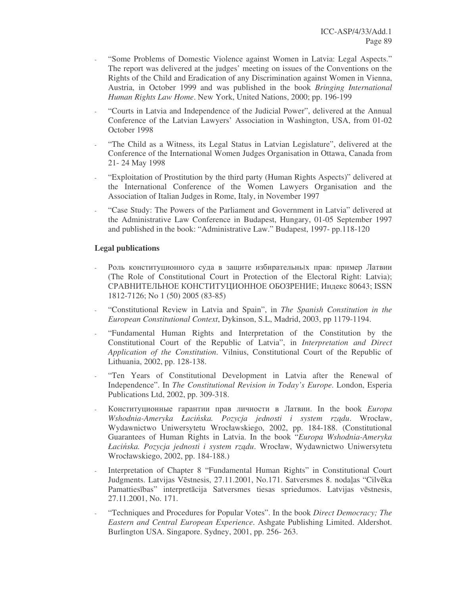- "Some Problems of Domestic Violence against Women in Latvia: Legal Aspects." The report was delivered at the judges' meeting on issues of the Conventions on the Rights of the Child and Eradication of any Discrimination against Women in Vienna, Austria, in October 1999 and was published in the book *Bringing International Human Rights Law Home*. New York, United Nations, 2000; pp. 196-199
- "Courts in Latvia and Independence of the Judicial Power", delivered at the Annual Conference of the Latvian Lawyers' Association in Washington, USA, from 01-02 October 1998
- "The Child as a Witness, its Legal Status in Latvian Legislature", delivered at the Conference of the International Women Judges Organisation in Ottawa, Canada from 21- 24 May 1998
- "Exploitation of Prostitution by the third party (Human Rights Aspects)" delivered at the International Conference of the Women Lawyers Organisation and the Association of Italian Judges in Rome, Italy, in November 1997
- "Case Study: The Powers of the Parliament and Government in Latvia" delivered at the Administrative Law Conference in Budapest, Hungary, 01-05 September 1997 and published in the book: "Administrative Law." Budapest, 1997- pp.118-120

# **Legal publications**

- Роль конституционного суда в защите избирательных прав: пример Латвии (The Role of Constitutional Court in Protection of the Electoral Right: Latvia); СРАВНИТЕЛЬНОЕ КОНСТИТУЦИОННОЕ ОБОЗРЕНИЕ; Индекс 80643; ISSN 1812-7126; No 1 (50) 2005 (83-85)
- "Constitutional Review in Latvia and Spain", in *The Spanish Constitution in the European Constitutional Context*, Dykinson, S.L, Madrid, 2003, pp 1179-1194.
- "Fundamental Human Rights and Interpretation of the Constitution by the Constitutional Court of the Republic of Latvia", in *Interpretation and Direct Application of the Constitution*. Vilnius, Constitutional Court of the Republic of Lithuania, 2002, pp. 128-138.
- "Ten Years of Constitutional Development in Latvia after the Renewal of Independence". In *The Constitutional Revision in Today's Europe*. London, Esperia Publications Ltd, 2002, pp. 309-318.
- Конституционные гарантии прав личности в Латвии. In the book *Europa Wshodnia-Ameryka Łaciska. Pozycja jednosti i system rz*-*du*. Wrocław, Wydawnictwo Uniwersytetu Wrocławskiego, 2002, pp. 184-188. (Constitutional Guarantees of Human Rights in Latvia. In the book "*Europa Wshodnia-Ameryka Łaciska. Pozycja jednosti i system rz*-*du*. Wrocław, Wydawnictwo Uniwersytetu Wrocławskiego, 2002, pp. 184-188.)
- Interpretation of Chapter 8 "Fundamental Human Rights" in Constitutional Court Judgments. Latvijas Vēstnesis, 27.11.2001, No.171. Satversmes 8. nodaļas "Cilvēka Pamattiesības" interpretācija Satversmes tiesas spriedumos. Latvijas vēstnesis, 27.11.2001, No. 171.
- "Techniques and Procedures for Popular Votes". In the book *Direct Democracy; The Eastern and Central European Experience*. Ashgate Publishing Limited. Aldershot. Burlington USA. Singapore. Sydney, 2001, pp. 256- 263.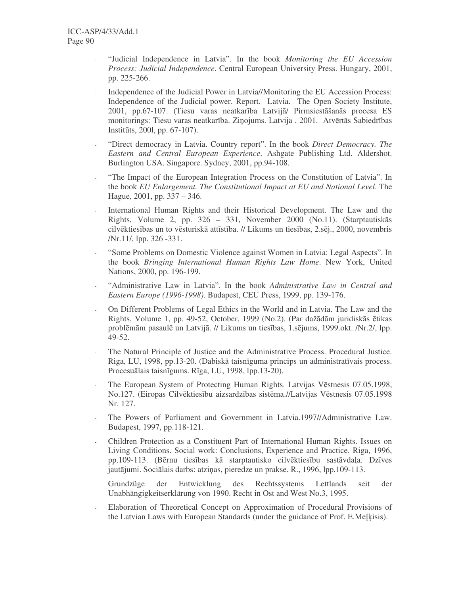- "Judicial Independence in Latvia". In the book *Monitoring the EU Accession Process: Judicial Independence*. Central European University Press. Hungary, 2001, pp. 225-266.
- Independence of the Judicial Power in Latvia//Monitoring the EU Accession Process: Independence of the Judicial power. Report. Latvia. The Open Society Institute, 2001, pp.67-107. (Tiesu varas neatkarība Latvijā/ Pirmsiestāšanās procesa ES monitorings: Tiesu varas neatkarība. Ziņojums. Latvija . 2001. Atvērtās Sabiedrības Institūts, 2001, pp. 67-107).
- "Direct democracy in Latvia. Country report". In the book *Direct Democracy. The Eastern and Central European Experience*. Ashgate Publishing Ltd. Aldershot. Burlington USA. Singapore. Sydney, 2001, pp.94-108.
- "The Impact of the European Integration Process on the Constitution of Latvia". In the book *EU Enlargement. The Constitutional Impact at EU and National Level*. The Hague, 2001, pp. 337 – 346.
- International Human Rights and their Historical Development. The Law and the Rights, Volume 2, pp. 326 – 331, November 2000 (No.11). (Starptautiskās cilvēktiesības un to vēsturiskā attīstība. // Likums un tiesības, 2.sēj., 2000, novembris /Nr.11/, lpp. 326 -331.
- "Some Problems on Domestic Violence against Women in Latvia: Legal Aspects". In the book *Bringing International Human Rights Law Home*. New York, United Nations, 2000, pp. 196-199.
- "Administrative Law in Latvia". In the book *Administrative Law in Central and Eastern Europe (1996-1998)*. Budapest, CEU Press, 1999, pp. 139-176.
- On Different Problems of Legal Ethics in the World and in Latvia. The Law and the Rights, Volume 1, pp. 49-52, October, 1999 (No.2). (Par dažādām juridiskās ētikas problēmām pasaulē un Latvijā. // Likums un tiesības, 1.sējums, 1999.okt. /Nr.2/, lpp. 49-52.
- The Natural Principle of Justice and the Administrative Process. Procedural Justice. Riga, LU, 1998, pp.13-20. (Dabiskā taisnīguma princips un administratīvais process. Procesuālais taisnīgums. Rīga, LU, 1998, lpp.13-20).
- The European System of Protecting Human Rights. Latvijas Vēstnesis 07.05.1998, No.127. (Eiropas Cilvēktiesību aizsardzības sistēma.//Latvijas Vēstnesis 07.05.1998 Nr. 127.
- The Powers of Parliament and Government in Latvia.1997//Administrative Law. Budapest, 1997, pp.118-121.
- Children Protection as a Constituent Part of International Human Rights. Issues on Living Conditions. Social work: Conclusions, Experience and Practice. Riga, 1996, pp.109-113. (Bērnu tiesības kā starptautisko cilvēktiesību sastāvdala. Dzīves jautājumi. Sociālais darbs: atziņas, pieredze un prakse. R., 1996, lpp.109-113.
- Grundzüge der Entwicklung des Rechtssystems Lettlands seit der Unabhängigkeitserklärung von 1990. Recht in Ost and West No.3, 1995.
- Elaboration of Theoretical Concept on Approximation of Procedural Provisions of the Latvian Laws with European Standards (under the guidance of Prof. E.Melkisis).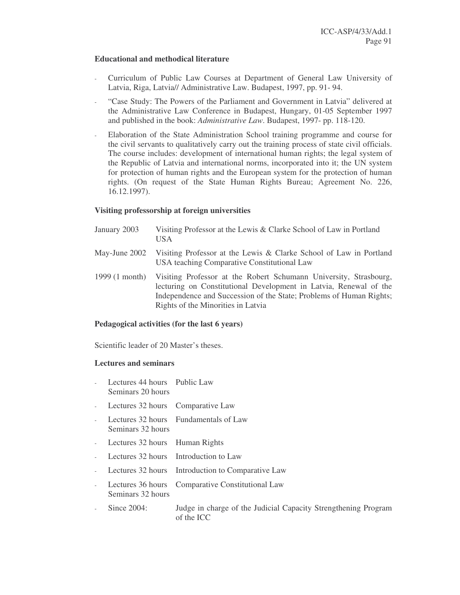#### **Educational and methodical literature**

- Curriculum of Public Law Courses at Department of General Law University of Latvia, Riga, Latvia// Administrative Law. Budapest, 1997, pp. 91- 94.
- "Case Study: The Powers of the Parliament and Government in Latvia" delivered at the Administrative Law Conference in Budapest, Hungary, 01-05 September 1997 and published in the book: *Administrative Law*. Budapest, 1997- pp. 118-120.
- Elaboration of the State Administration School training programme and course for the civil servants to qualitatively carry out the training process of state civil officials. The course includes: development of international human rights; the legal system of the Republic of Latvia and international norms, incorporated into it; the UN system for protection of human rights and the European system for the protection of human rights. (On request of the State Human Rights Bureau; Agreement No. 226, 16.12.1997).

# **Visiting professorship at foreign universities**

- January 2003 Visiting Professor at the Lewis & Clarke School of Law in Portland USA
- May-June 2002 Visiting Professor at the Lewis & Clarke School of Law in Portland USA teaching Comparative Constitutional Law
- 1999 (1 month) Visiting Professor at the Robert Schumann University, Strasbourg, lecturing on Constitutional Development in Latvia, Renewal of the Independence and Succession of the State; Problems of Human Rights; Rights of the Minorities in Latvia

# **Pedagogical activities (for the last 6 years)**

Scientific leader of 20 Master's theses.

#### **Lectures and seminars**

- Lectures 44 hours Public Law Seminars 20 hours
- Lectures 32 hours Comparative Law
- Lectures 32 hours Fundamentals of Law Seminars 32 hours
- Lectures 32 hours Human Rights
- Lectures 32 hours Introduction to Law
- Lectures 32 hours Introduction to Comparative Law
- Lectures 36 hours Comparative Constitutional Law Seminars 32 hours
- Since 2004: Judge in charge of the Judicial Capacity Strengthening Program of the ICC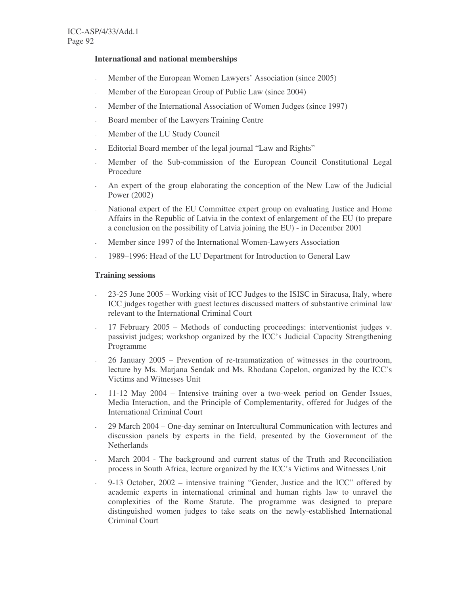### **International and national memberships**

- Member of the European Women Lawyers' Association (since 2005)
- Member of the European Group of Public Law (since 2004)
- Member of the International Association of Women Judges (since 1997)
- Board member of the Lawyers Training Centre
- Member of the LU Study Council
- Editorial Board member of the legal journal "Law and Rights"
- Member of the Sub-commission of the European Council Constitutional Legal Procedure
- An expert of the group elaborating the conception of the New Law of the Judicial Power (2002)
- National expert of the EU Committee expert group on evaluating Justice and Home Affairs in the Republic of Latvia in the context of enlargement of the EU (to prepare a conclusion on the possibility of Latvia joining the EU) - in December 2001
- Member since 1997 of the International Women-Lawyers Association
- 1989–1996: Head of the LU Department for Introduction to General Law

#### **Training sessions**

- 23-25 June 2005 Working visit of ICC Judges to the ISISC in Siracusa, Italy, where ICC judges together with guest lectures discussed matters of substantive criminal law relevant to the International Criminal Court
- 17 February 2005 Methods of conducting proceedings: interventionist judges v. passivist judges; workshop organized by the ICC's Judicial Capacity Strengthening Programme
- 26 January 2005 Prevention of re-traumatization of witnesses in the courtroom, lecture by Ms. Marjana Sendak and Ms. Rhodana Copelon, organized by the ICC's Victims and Witnesses Unit
- 11-12 May 2004 Intensive training over a two-week period on Gender Issues, Media Interaction, and the Principle of Complementarity, offered for Judges of the International Criminal Court
- 29 March 2004 One-day seminar on Intercultural Communication with lectures and discussion panels by experts in the field, presented by the Government of the Netherlands
- March 2004 The background and current status of the Truth and Reconciliation process in South Africa, lecture organized by the ICC's Victims and Witnesses Unit
- 9-13 October, 2002 intensive training "Gender, Justice and the ICC" offered by academic experts in international criminal and human rights law to unravel the complexities of the Rome Statute. The programme was designed to prepare distinguished women judges to take seats on the newly-established International Criminal Court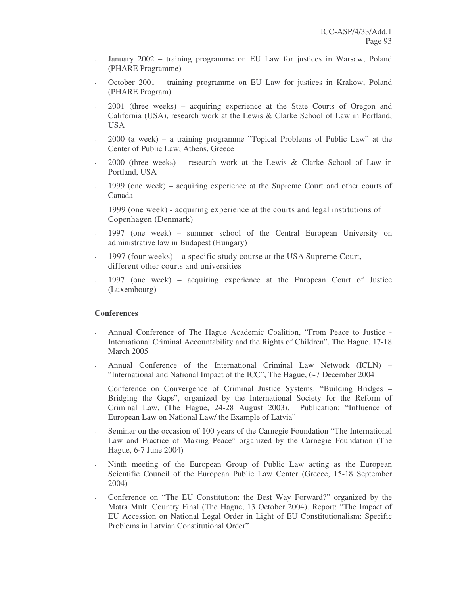- January 2002 training programme on EU Law for justices in Warsaw, Poland (PHARE Programme)
- October 2001 training programme on EU Law for justices in Krakow, Poland (PHARE Program)
- 2001 (three weeks) acquiring experience at the State Courts of Oregon and California (USA), research work at the Lewis & Clarke School of Law in Portland, USA
- 2000 (a week) a training programme "Topical Problems of Public Law" at the Center of Public Law, Athens, Greece
- 2000 (three weeks) research work at the Lewis & Clarke School of Law in Portland, USA
- 1999 (one week) acquiring experience at the Supreme Court and other courts of Canada
- 1999 (one week) acquiring experience at the courts and legal institutions of Copenhagen (Denmark)
- 1997 (one week) summer school of the Central European University on administrative law in Budapest (Hungary)
- 1997 (four weeks) a specific study course at the USA Supreme Court, different other courts and universities
- 1997 (one week) acquiring experience at the European Court of Justice (Luxembourg)

#### **Conferences**

- Annual Conference of The Hague Academic Coalition, "From Peace to Justice International Criminal Accountability and the Rights of Children", The Hague, 17-18 March 2005
- Annual Conference of the International Criminal Law Network (ICLN) "International and National Impact of the ICC", The Hague, 6-7 December 2004
- Conference on Convergence of Criminal Justice Systems: "Building Bridges Bridging the Gaps", organized by the International Society for the Reform of Criminal Law, (The Hague, 24-28 August 2003). Publication: "Influence of European Law on National Law/ the Example of Latvia"
- Seminar on the occasion of 100 years of the Carnegie Foundation "The International Law and Practice of Making Peace" organized by the Carnegie Foundation (The Hague, 6-7 June 2004)
- Ninth meeting of the European Group of Public Law acting as the European Scientific Council of the European Public Law Center (Greece, 15-18 September 2004)
- Conference on "The EU Constitution: the Best Way Forward?" organized by the Matra Multi Country Final (The Hague, 13 October 2004). Report: "The Impact of EU Accession on National Legal Order in Light of EU Constitutionalism: Specific Problems in Latvian Constitutional Order"